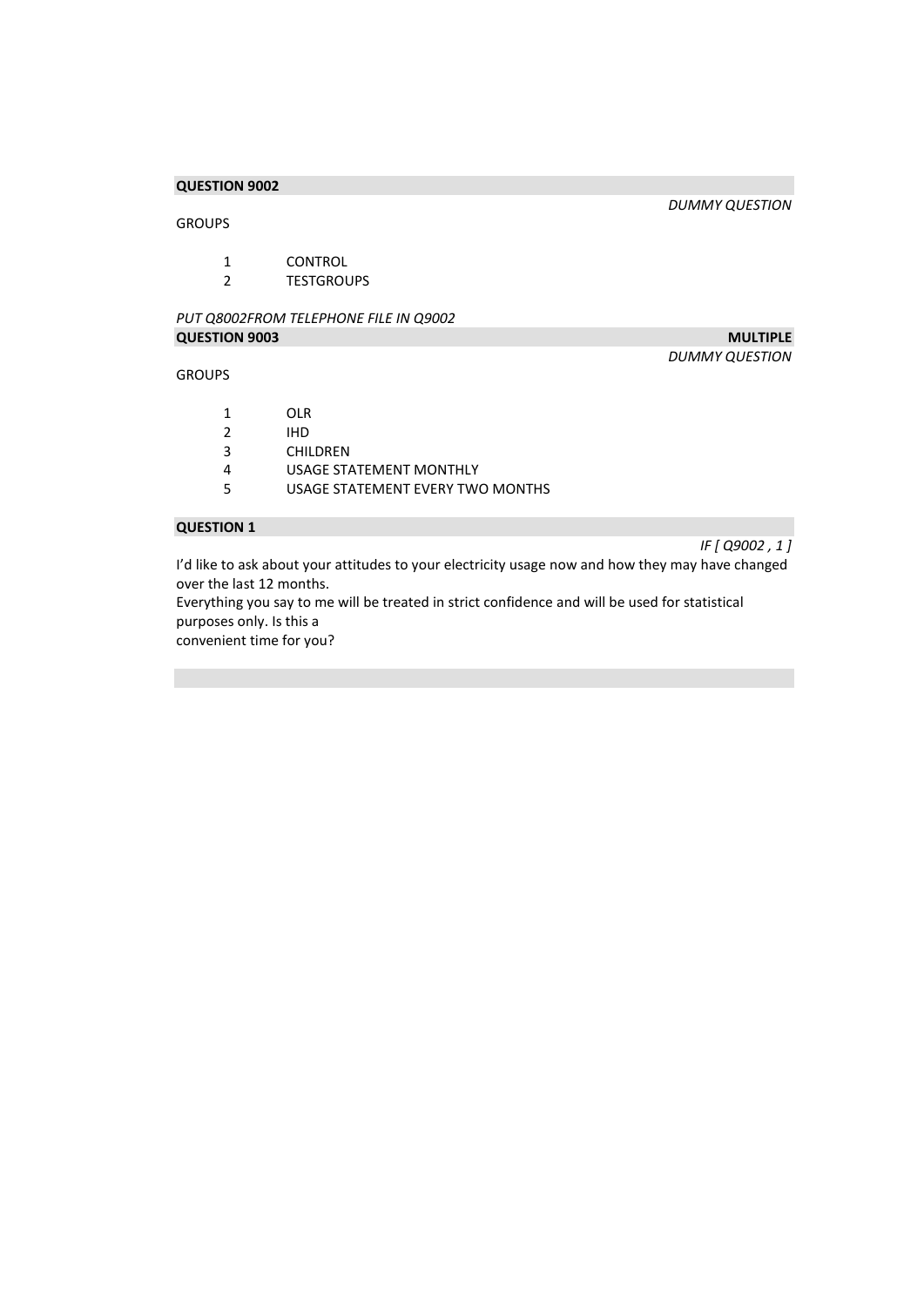#### GROUPS

*DUMMY QUESTION* 

# 1 CONTROL<br>2 TESTGROL

**TESTGROUPS** 

# *PUT Q8002FROM TELEPHONE FILE IN Q9002*  **QUESTION 9003** MULTIPLE

#### GROUPS

*DUMMY QUESTION* 

1 OLR<br>2 IHD

- 2 IHD<br>3 CHII
- **CHILDREN**
- 4 USAGE STATEMENT MONTHLY<br>5 USAGE STATEMENT EVERY TWO
- USAGE STATEMENT EVERY TWO MONTHS

# **QUESTION 1**

*IF [ Q9002 , 1 ]* 

I'd like to ask about your attitudes to your electricity usage now and how they may have changed over the last 12 months.

Everything you say to me will be treated in strict confidence and will be used for statistical purposes only. Is this a

convenient time for you?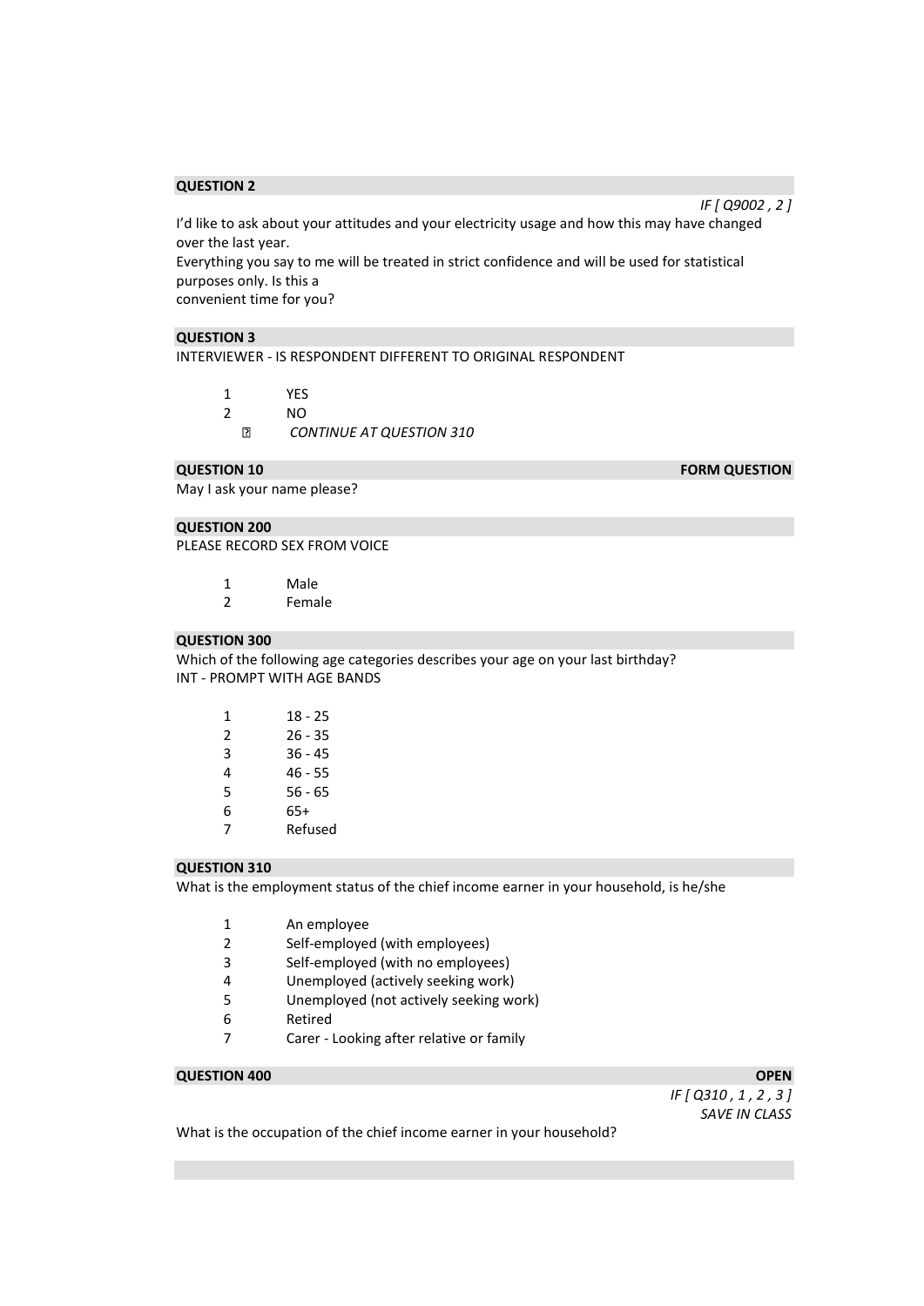I'd like to ask about your attitudes and your electricity usage and how this may have changed over the last year.

Everything you say to me will be treated in strict confidence and will be used for statistical purposes only. Is this a

convenient time for you?

# **QUESTION 3**

INTERVIEWER - IS RESPONDENT DIFFERENT TO ORIGINAL RESPONDENT

1 YES 2 NO  $\boxed{2}$ *CONTINUE AT QUESTION 310* 

May I ask your name please?

#### **QUESTION 200**

PLEASE RECORD SEX FROM VOICE

- 1 Male<br>2 Fema
- **Female**

#### **QUESTION 300**

Which of the following age categories describes your age on your last birthday? INT - PROMPT WITH AGE BANDS

| 1 | 18 - 25   |
|---|-----------|
| 2 | 26 - 35   |
| 3 | $36 - 45$ |
| 4 | 46 - 55   |
| 5 | 56 - 65   |
| 6 | 65+       |
| 7 | Refused   |

#### **QUESTION 310**

What is the employment status of the chief income earner in your household, is he/she

- 1 An employee
- 2 Self-employed (with employees)
- 3 Self-employed (with no employees)
- 4 Unemployed (actively seeking work)
- 5 Unemployed (not actively seeking work)
- 6 Retired
- 7 Carer Looking after relative or family

#### **QUESTION 400** OPEN **OPEN**

*IF [ Q310 , 1 , 2 , 3 ] SAVE IN CLASS* 

What is the occupation of the chief income earner in your household?

**QUESTION 10 FORM QUESTION** 

*IF [ Q9002 , 2 ]*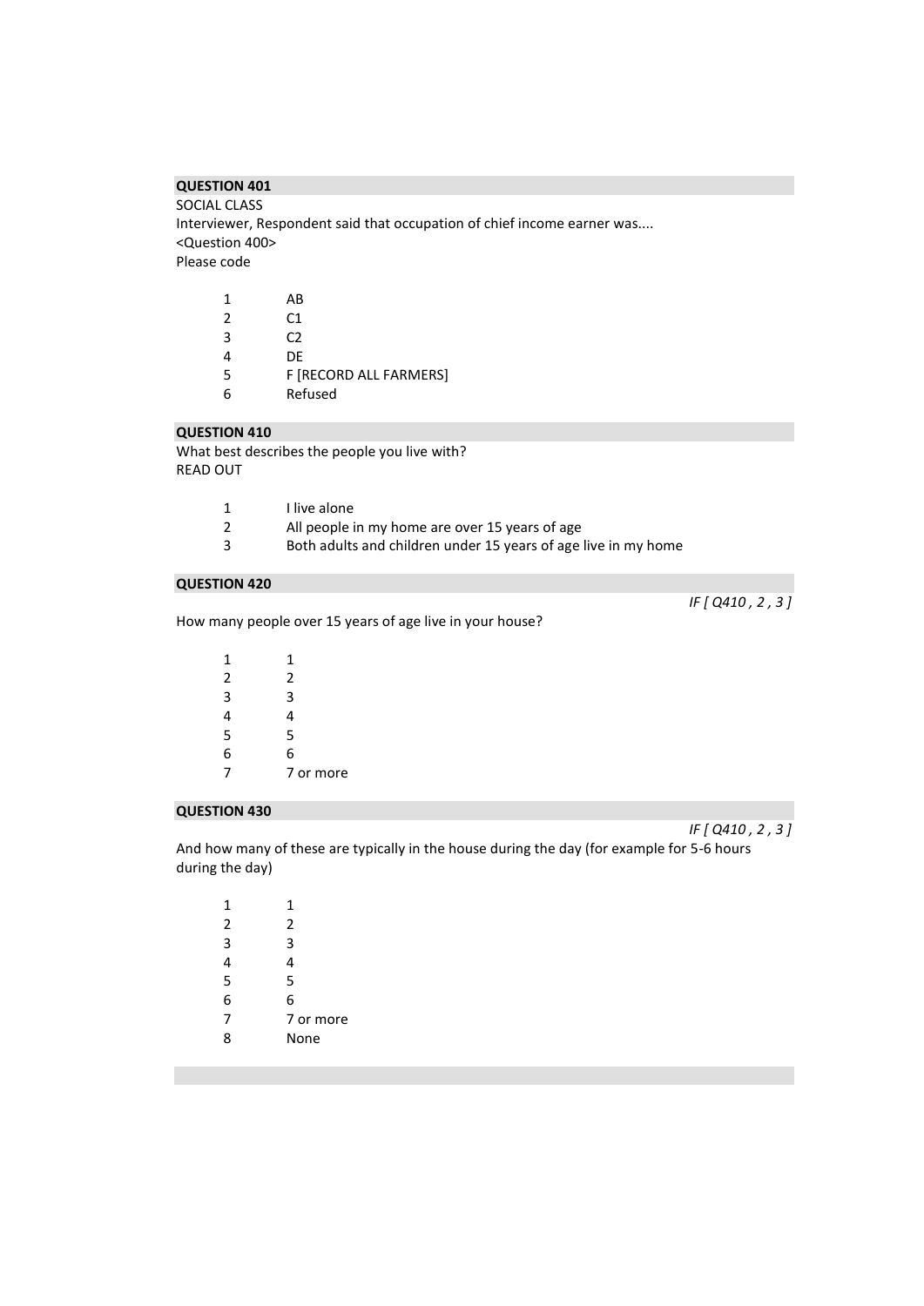SOCIAL CLASS Interviewer, Respondent said that occupation of chief income earner was.... <Question 400> Please code

| 1 | ΑR                     |
|---|------------------------|
| 2 | C1                     |
| 3 | C2                     |
| 4 | DF                     |
| 5 | F [RECORD ALL FARMERS] |
| 6 | Refused                |

# **QUESTION 410**

What best describes the people you live with? READ OUT

| 1 | I live alone                                                   |
|---|----------------------------------------------------------------|
| 2 | All people in my home are over 15 years of age                 |
| 3 | Both adults and children under 15 years of age live in my home |

#### **QUESTION 420**

How many people over 15 years of age live in your house?

| 1              | 1         |
|----------------|-----------|
| $\overline{2}$ | 2         |
| $\overline{3}$ | 3         |
| 4              | 4         |
| $\overline{5}$ | 5         |
| 6              | 6         |
| 7              | 7 or more |
|                |           |

#### **QUESTION 430**

And how many of these are typically in the house during the day (for example for 5-6 hours during the day)

| 1 | 1         |
|---|-----------|
| 2 | 2         |
| 3 | 3         |
| 4 | 4         |
| 5 | 5         |
| 6 | 6         |
| 7 | 7 or more |
| ႙ | None      |

*IF [ Q410 , 2 , 3 ]* 

*IF [ Q410 , 2 , 3 ]*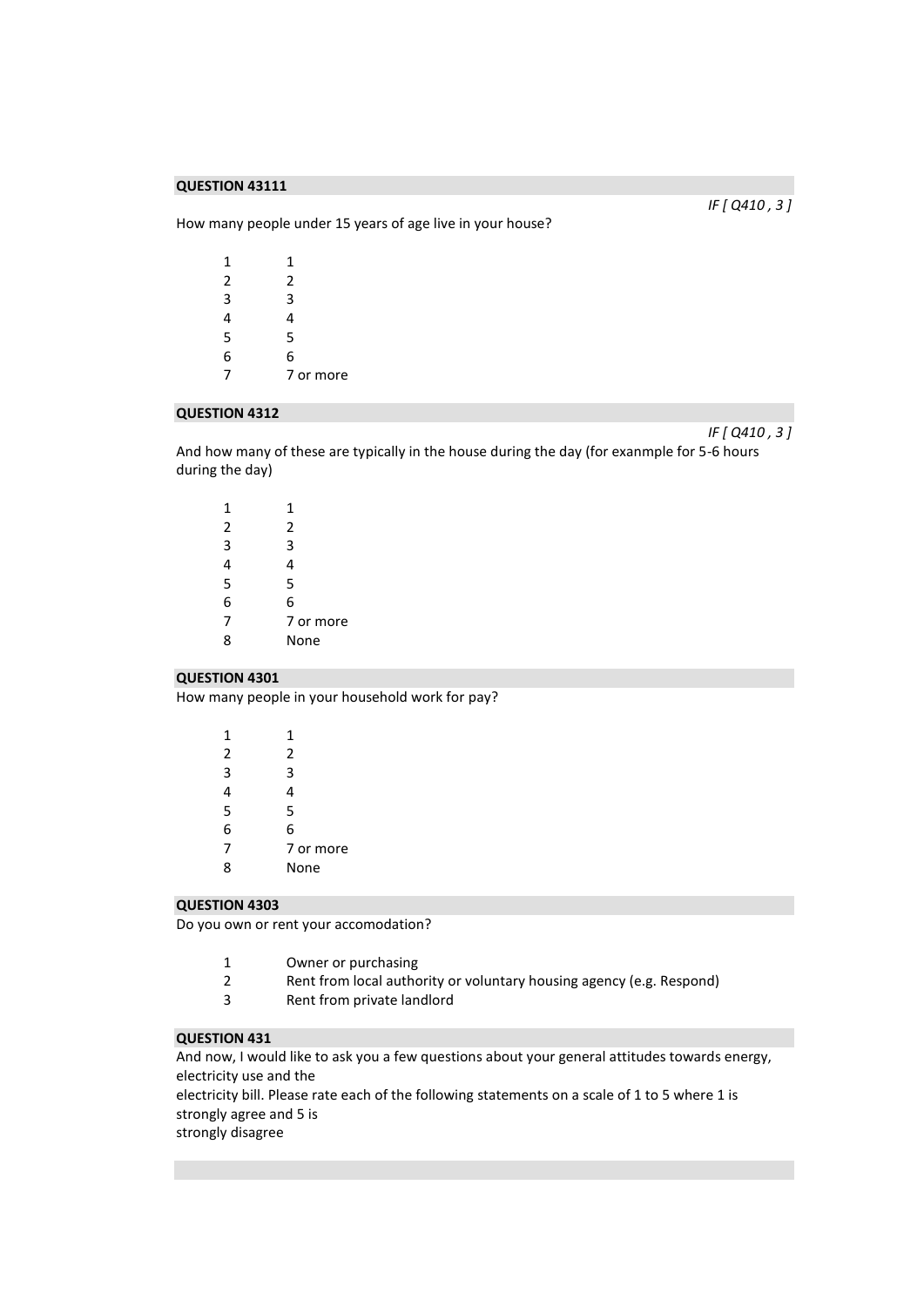How many people under 15 years of age live in your house?

| 1 | 1         |
|---|-----------|
| 2 | 2         |
| 3 | 3         |
| 4 | 4         |
| 5 | 5         |
| 6 | 6         |
| 7 | 7 or more |
|   |           |

#### **QUESTION 4312**

*IF [ Q410 , 3 ]* 

And how many of these are typically in the house during the day (for exanmple for 5-6 hours during the day)

| 1 | 1         |
|---|-----------|
| 2 | 2         |
| 3 | 3         |
| 4 | 4         |
| 5 | 5         |
| 6 | 6         |
| 7 | 7 or more |
| 8 | None      |
|   |           |

#### **QUESTION 4301**

How many people in your household work for pay?

| 1              | 1         |
|----------------|-----------|
| $\overline{2}$ | 2         |
| 3              | 3         |
| 4              | 4         |
| 5              | 5         |
| 6              | 6         |
| 7              | 7 or more |
| ጰ              | None      |
|                |           |

#### **QUESTION 4303**

Do you own or rent your accomodation?

- Owner or purchasing
- Rent from local authority or voluntary housing agency (e.g. Respond)
- Rent from private landlord

# **QUESTION 431**

And now, I would like to ask you a few questions about your general attitudes towards energy, electricity use and the

electricity bill. Please rate each of the following statements on a scale of 1 to 5 where 1 is strongly agree and 5 is

strongly disagree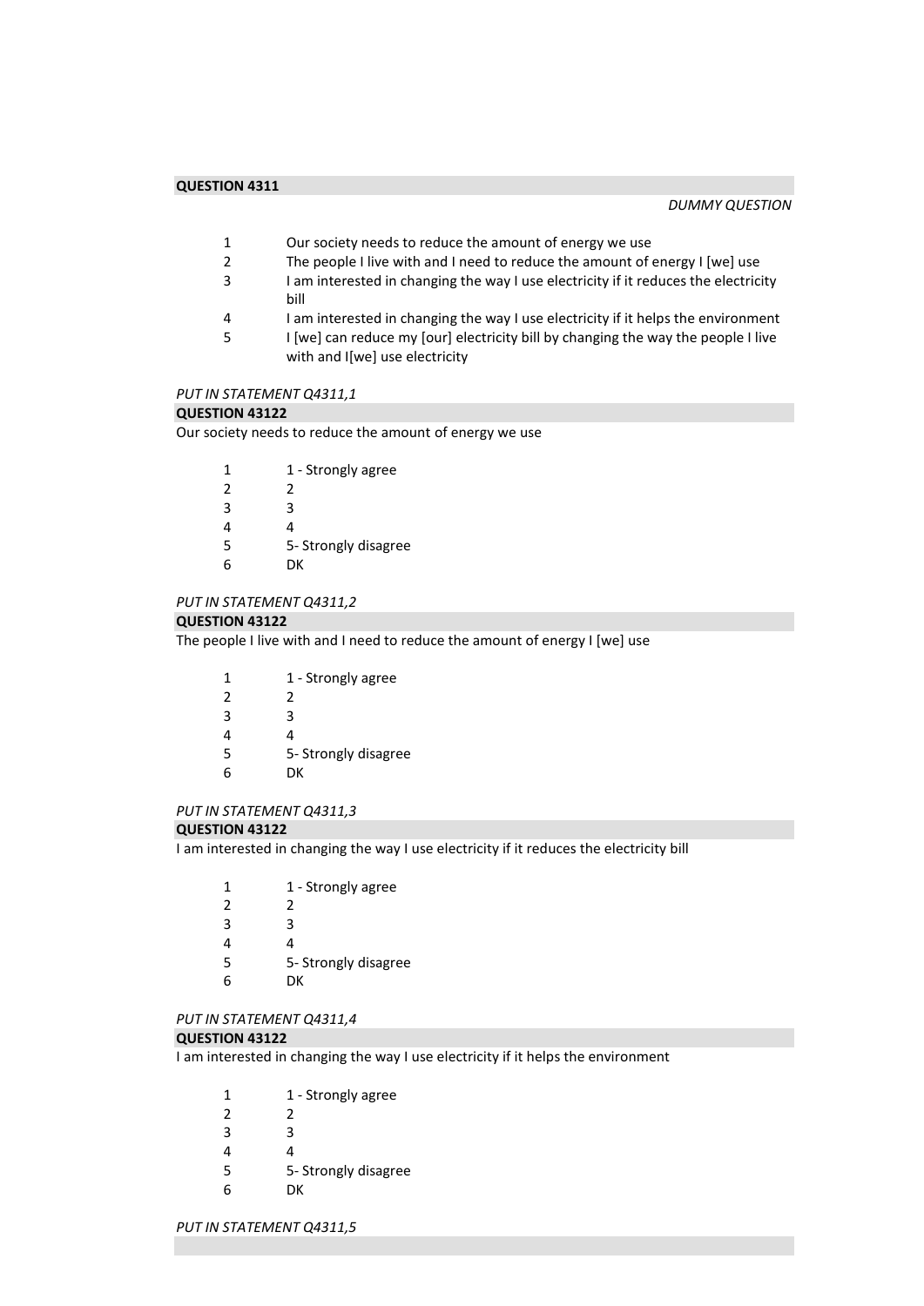- 1 Our society needs to reduce the amount of energy we use<br>2 The people I live with and I need to reduce the amount of
	- The people I live with and I need to reduce the amount of energy I [we] use
- 3 I am interested in changing the way I use electricity if it reduces the electricity bill
- 4 I am interested in changing the way I use electricity if it helps the environment
- 5 I [we] can reduce my [our] electricity bill by changing the way the people I live with and I[we] use electricity

#### *PUT IN STATEMENT Q4311,1*

#### **QUESTION 43122**

Our society needs to reduce the amount of energy we use

| 1 | 1 - Strongly agree   |
|---|----------------------|
| 2 | 2                    |
| 3 | ੨                    |
| 4 | 4                    |
| 5 | 5- Strongly disagree |
| 6 | DК                   |

#### *PUT IN STATEMENT Q4311,2*

#### **QUESTION 43122**

The people I live with and I need to reduce the amount of energy I [we] use

| 1             | 1 - Strongly agree   |
|---------------|----------------------|
| $\mathcal{P}$ | 2                    |
| 3             | ੨                    |
| 4             | 4                    |
| 5             | 5- Strongly disagree |
| 6             | DК                   |
|               |                      |

#### *PUT IN STATEMENT Q4311,3*

#### **QUESTION 43122**

I am interested in changing the way I use electricity if it reduces the electricity bill

| 1 | 1 - Strongly agree   |
|---|----------------------|
| 2 | 2                    |
| 3 | ੨                    |
| Δ | Δ                    |
| 5 | 5- Strongly disagree |
|   |                      |

6 DK

# *PUT IN STATEMENT Q4311,4*

#### **QUESTION 43122**

I am interested in changing the way I use electricity if it helps the environment

- 2 2
- 3 3
- 4 4
- 5 5- Strongly disagree
- 6 DK

#### *PUT IN STATEMENT Q4311,5*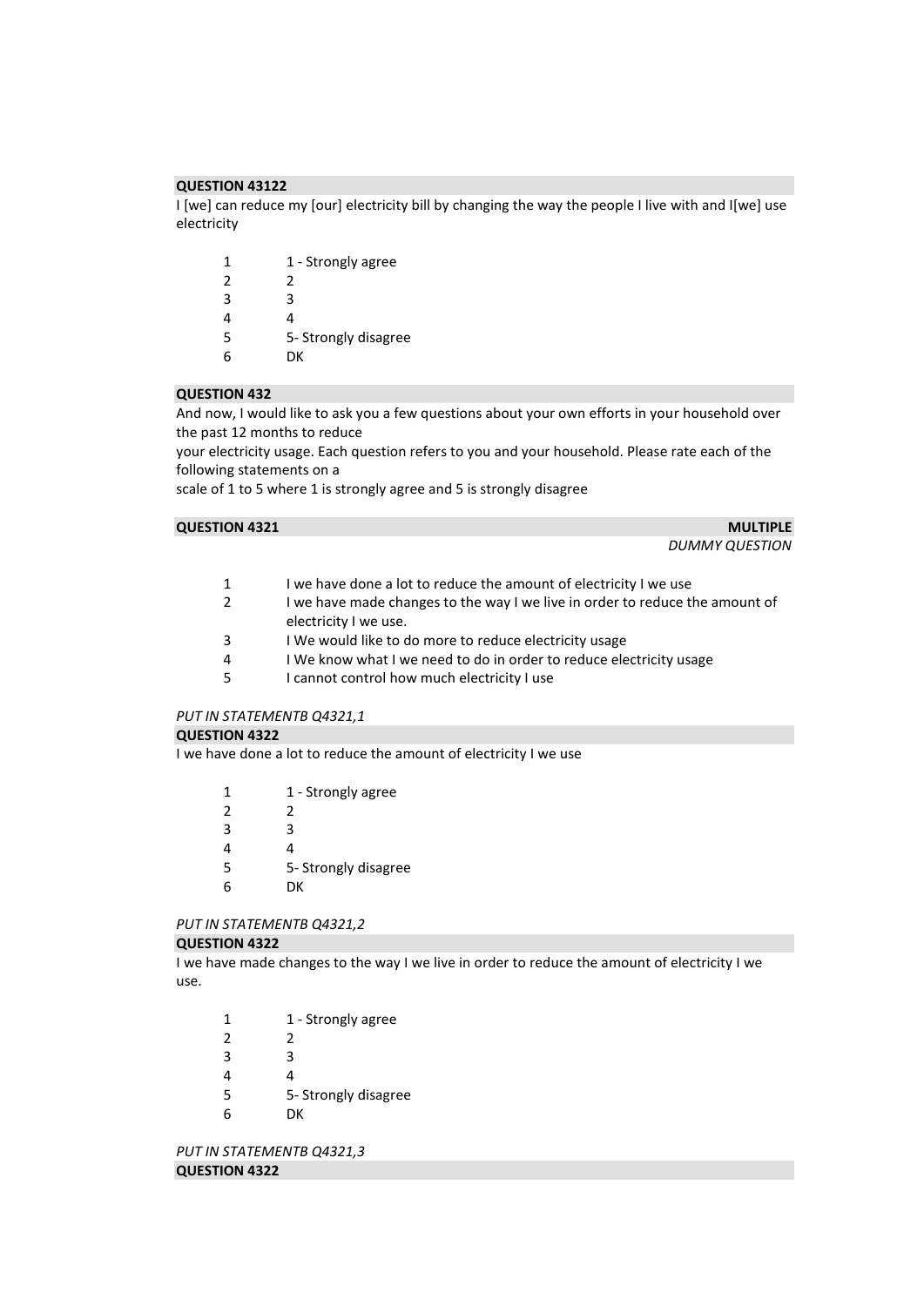I [we] can reduce my [our] electricity bill by changing the way the people I live with and I[we] use electricity

| 1 - Strongly agree   |
|----------------------|
| 2                    |
| ર                    |
| 4                    |
| 5- Strongly disagree |
| DК                   |
|                      |

#### **QUESTION 432**

And now, I would like to ask you a few questions about your own efforts in your household over the past 12 months to reduce

your electricity usage. Each question refers to you and your household. Please rate each of the following statements on a

scale of 1 to 5 where 1 is strongly agree and 5 is strongly disagree

#### **QUESTION 4321** MULTIPLE

*DUMMY QUESTION* 

- 1 I we have done a lot to reduce the amount of electricity I we use<br>2 I we have made changes to the way I we live in order to reduce t
- I we have made changes to the way I we live in order to reduce the amount of electricity I we use.
- 3 I We would like to do more to reduce electricity usage<br>4 I We know what I we need to do in order to reduce ele
- I We know what I we need to do in order to reduce electricity usage
- 5 I cannot control how much electricity I use

# *PUT IN STATEMENTB Q4321,1*

#### **QUESTION 4322**

I we have done a lot to reduce the amount of electricity I we use

|  | 1 - Strongly agree |
|--|--------------------|
|--|--------------------|

- 2 2
- 3 3
- 4 4
- 5 5- Strongly disagree
- 6 DK

# *PUT IN STATEMENTB Q4321,2*

# **QUESTION 4322**

I we have made changes to the way I we live in order to reduce the amount of electricity I we use.

| 1 - Strongly agree |
|--------------------|
|                    |

- 3 3
- 4 4
- 5 5- Strongly disagree
- 6 DK

*PUT IN STATEMENTB Q4321,3*  **QUESTION 4322**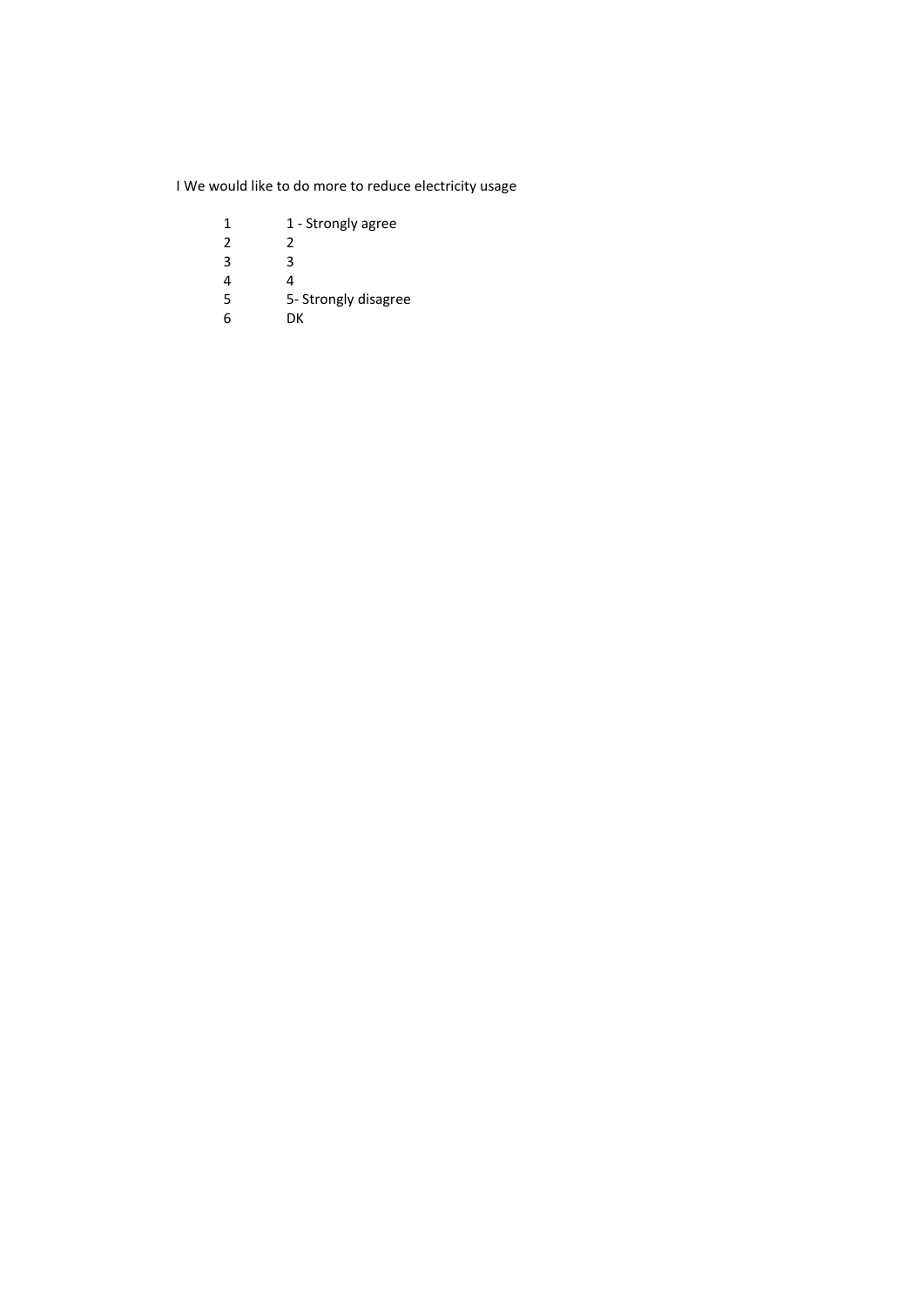I We would like to do more to reduce electricity usage

- 1 1 Strongly agree<br>2 2
- $\begin{array}{c} 2 \\ 3 \end{array}$
- $\begin{array}{ccc} 3 & & 3 \\ 4 & & 4 \end{array}$
- 4 4
- 5 5- Strongly disagree
- 6 DK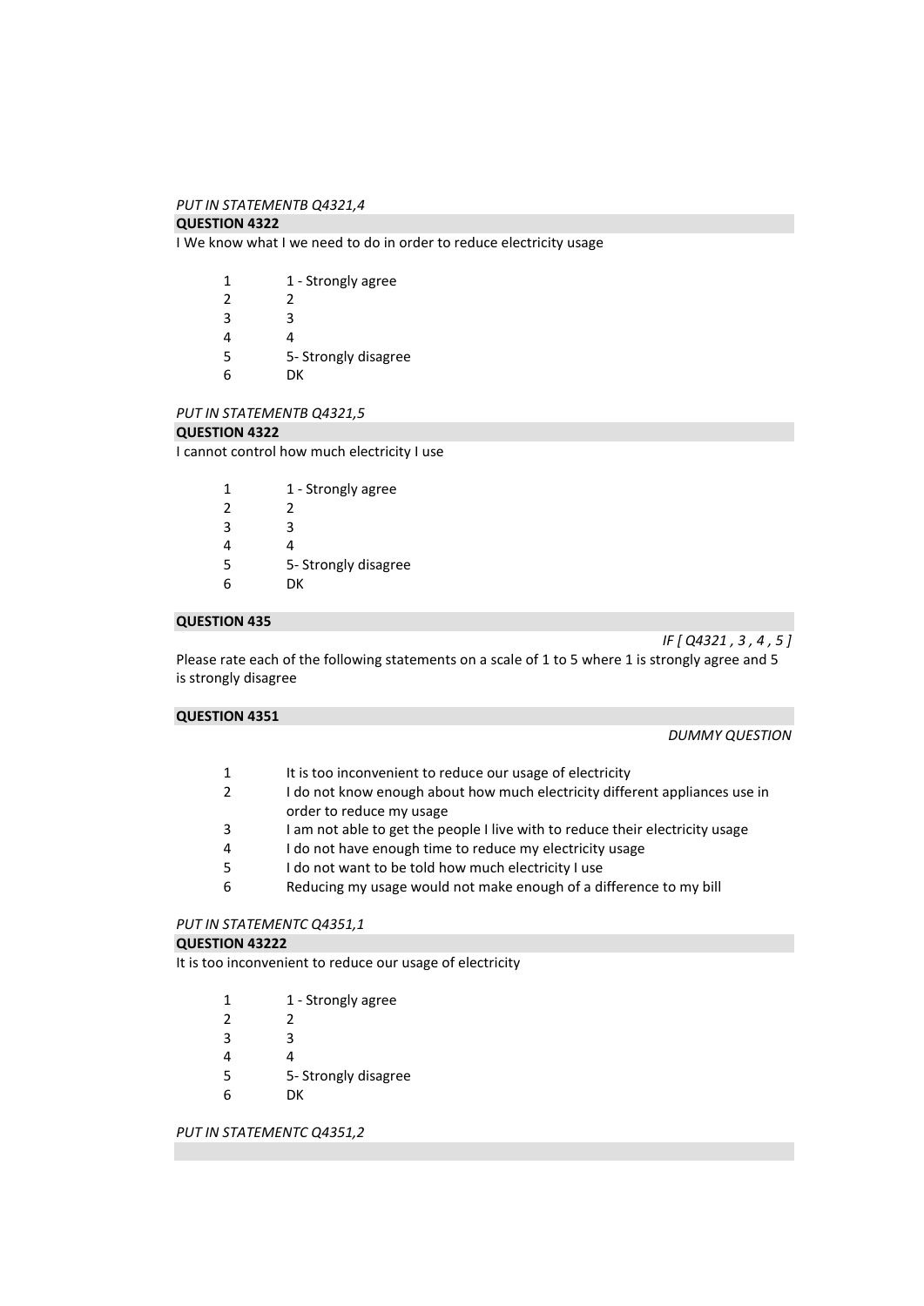#### *PUT IN STATEMENTB Q4321,4*

#### **QUESTION 4322**

I We know what I we need to do in order to reduce electricity usage

| 1              | 1 - Strongly agree   |
|----------------|----------------------|
| $\mathfrak{p}$ | 2                    |
| 3              | ર                    |
| 4              | 4                    |
| 5              | 5- Strongly disagree |
| h              | DΚ                   |

#### *PUT IN STATEMENTB Q4321,5*

# **QUESTION 4322**

I cannot control how much electricity I use

| 1             | 1 - Strongly agree   |
|---------------|----------------------|
| $\mathcal{P}$ | 2                    |
| 3             | ੨                    |
| 4             | 4                    |
| 5             | 5- Strongly disagree |
| 6             | DК                   |

# **QUESTION 435**

*IF [ Q4321 , 3 , 4 , 5 ]* 

Please rate each of the following statements on a scale of 1 to 5 where 1 is strongly agree and 5 is strongly disagree

### **QUESTION 4351**

*DUMMY QUESTION* 

| It is too inconvenient to reduce our usage of electricity |
|-----------------------------------------------------------|
|-----------------------------------------------------------|

- 2 I do not know enough about how much electricity different appliances use in order to reduce my usage
- 3 I am not able to get the people I live with to reduce their electricity usage
- 4 I do not have enough time to reduce my electricity usage
- 5 I do not want to be told how much electricity I use
- 6 Reducing my usage would not make enough of a difference to my bill

# *PUT IN STATEMENTC Q4351,1*

# **QUESTION 43222**

It is too inconvenient to reduce our usage of electricity

- 2 2
- 3 3
- 4 4
- 5 5- Strongly disagree
- 6 DK

*PUT IN STATEMENTC Q4351,2*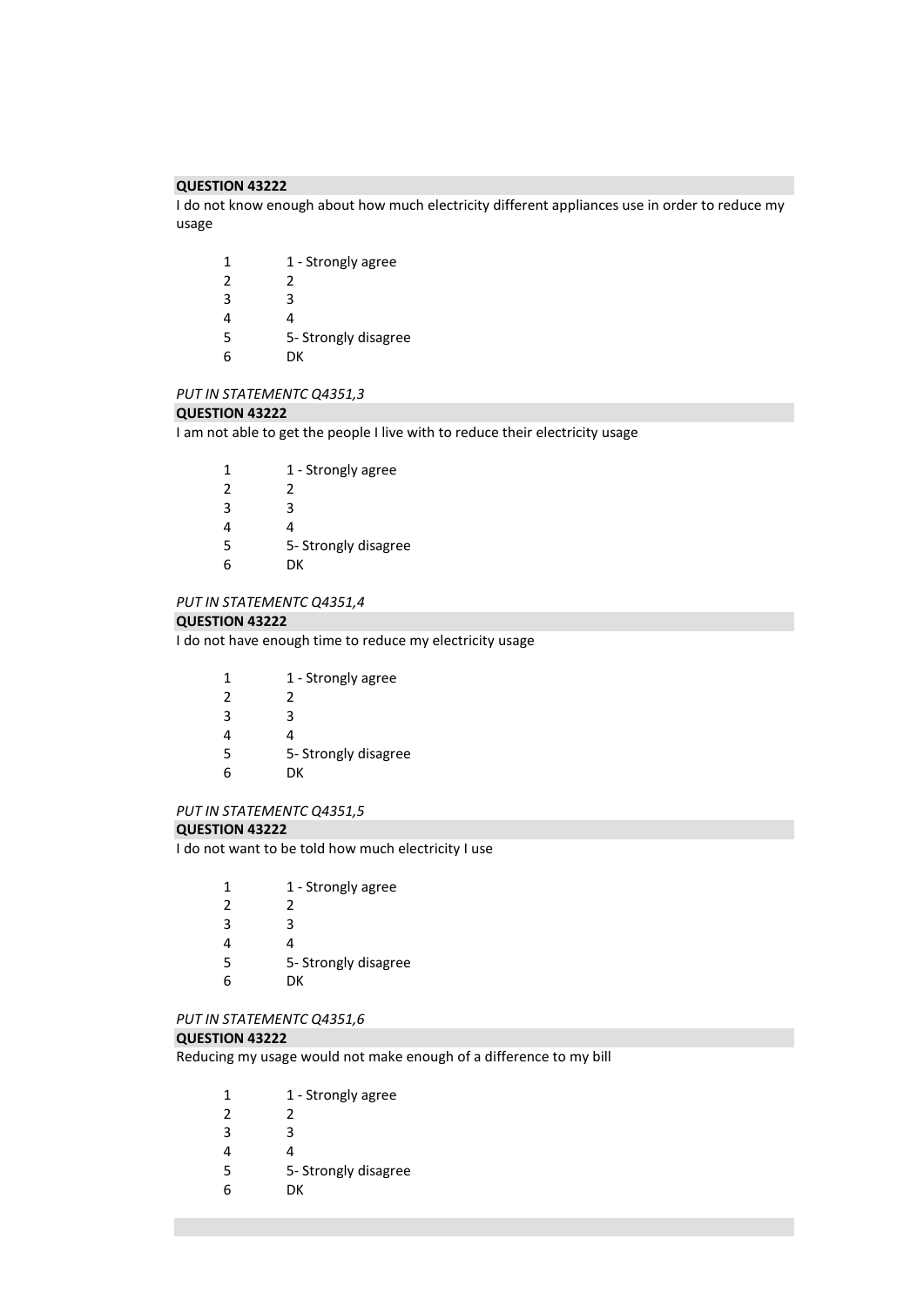I do not know enough about how much electricity different appliances use in order to reduce my usage

| 1              | 1 - Strongly agree   |
|----------------|----------------------|
| $\mathfrak{p}$ | 2                    |
| 3              | З                    |
| 4              | 4                    |
| 5              | 5- Strongly disagree |
| ĥ              | DК                   |

#### *PUT IN STATEMENTC Q4351,3*

#### **QUESTION 43222**

I am not able to get the people I live with to reduce their electricity usage

| 1             | 1 - Strongly agree   |
|---------------|----------------------|
|               |                      |
| $\mathcal{P}$ | 2                    |
| 3             | ੨                    |
| 4             | 4                    |
| 5             | 5- Strongly disagree |
| 6             | DК                   |

#### *PUT IN STATEMENTC Q4351,4*

#### **QUESTION 43222**

I do not have enough time to reduce my electricity usage

| 1 | 1 - Strongly agree   |
|---|----------------------|
| 2 | 2                    |
| 3 | ੨                    |
| 4 | 4                    |
| 5 | 5- Strongly disagree |
| 6 | DК                   |
|   |                      |

# *PUT IN STATEMENTC Q4351,5*

#### **QUESTION 43222**

I do not want to be told how much electricity I use

| 1 | 1 - Strongly agree   |
|---|----------------------|
| 2 | 2                    |
| 3 | ੨                    |
| Δ | Δ                    |
| 5 | 5- Strongly disagree |
|   |                      |

DK

# *PUT IN STATEMENTC Q4351,6*

#### **QUESTION 43222**

Reducing my usage would not make enough of a difference to my bill

| 1 - Strongly agree |
|--------------------|
|                    |

- 3
- 
- 4
- 5- Strongly disagree
- DK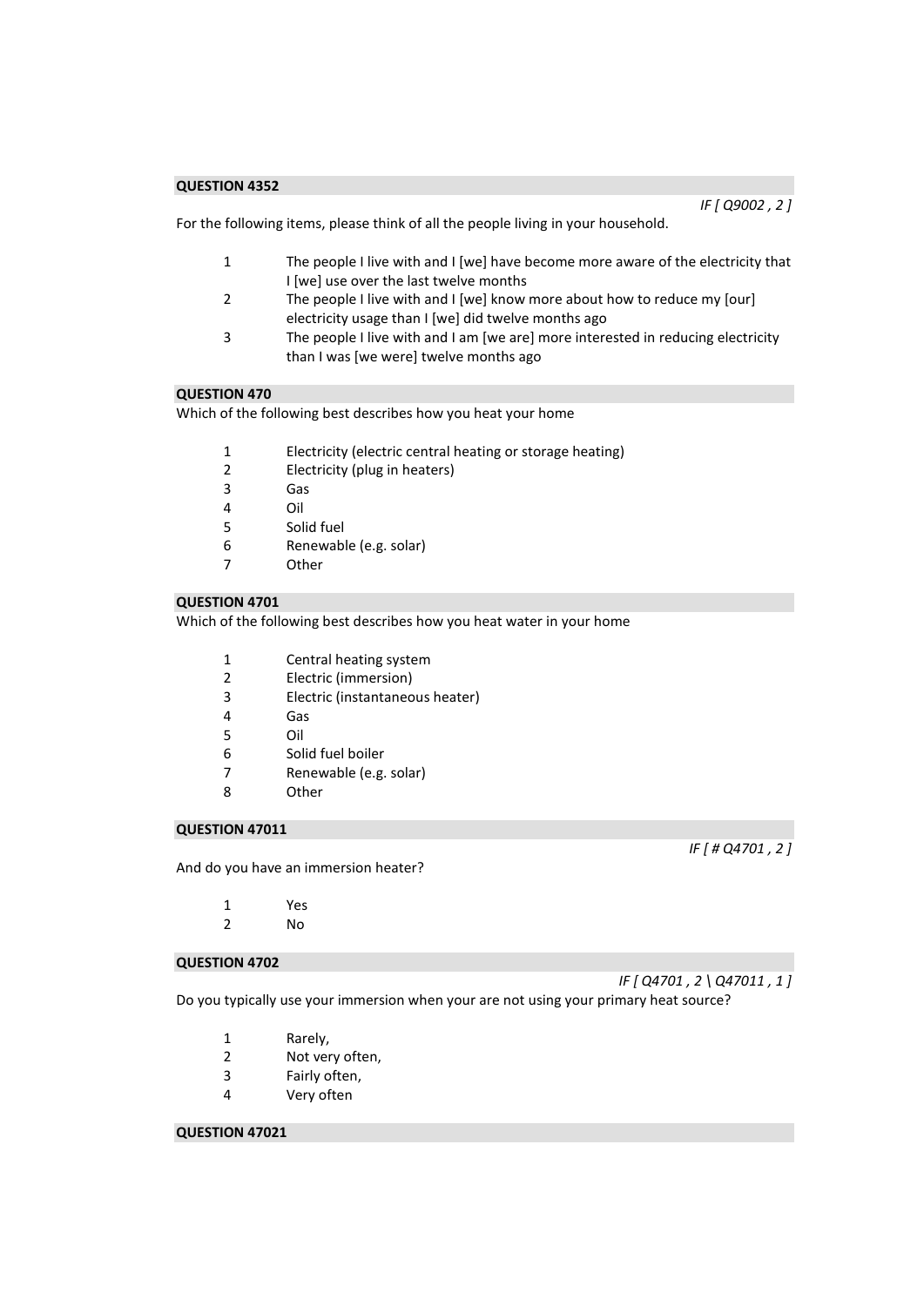*IF [ Q9002 , 2 ]* 

For the following items, please think of all the people living in your household.

- 1 The people I live with and I [we] have become more aware of the electricity that I [we] use over the last twelve months
- 2 The people I live with and I [we] know more about how to reduce my [our] electricity usage than I [we] did twelve months ago
- 3 The people I live with and I am [we are] more interested in reducing electricity than I was [we were] twelve months ago

# **QUESTION 470**

Which of the following best describes how you heat your home

- 1 Electricity (electric central heating or storage heating)<br>2 Electricity (plug in heaters)
- Electricity (plug in heaters)
- 3 Gas
- 4 Oil
- 5 Solid fuel
- 6 Renewable (e.g. solar)
- 7 Other

# **QUESTION 4701**

Which of the following best describes how you heat water in your home

- 1 Central heating system
- 2 Electric (immersion)
- 3 Electric (instantaneous heater)
- 4 Gas
- 5 Oil
- 6 Solid fuel boiler
- 7 Renewable (e.g. solar)
- 8 Other

#### **QUESTION 47011**

And do you have an immersion heater?

- 1 Yes
- 2 No

#### **QUESTION 4702**

*IF [ Q4701 , 2 \ Q47011 , 1 ]* 

*IF [ # Q4701 , 2 ]* 

Do you typically use your immersion when your are not using your primary heat source?

- 1 Rarely,
- 2 Not very often,
- 3 Fairly often,
- 4 Very often

#### **QUESTION 47021**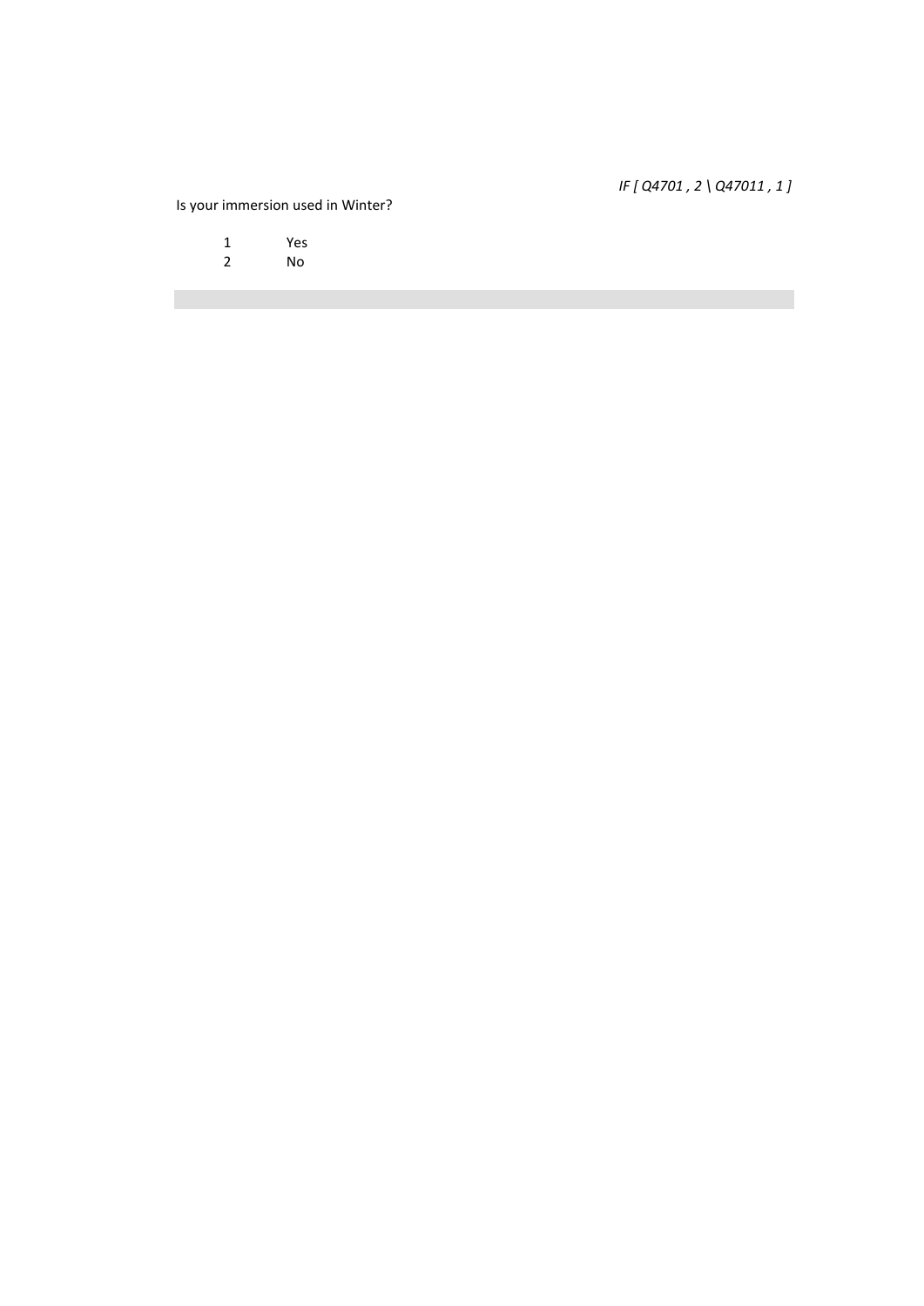# *IF [ Q4701 , 2 \ Q47011 , 1 ]*

# Is your immersion used in Winter?

1 Yes<br>2 No

2 No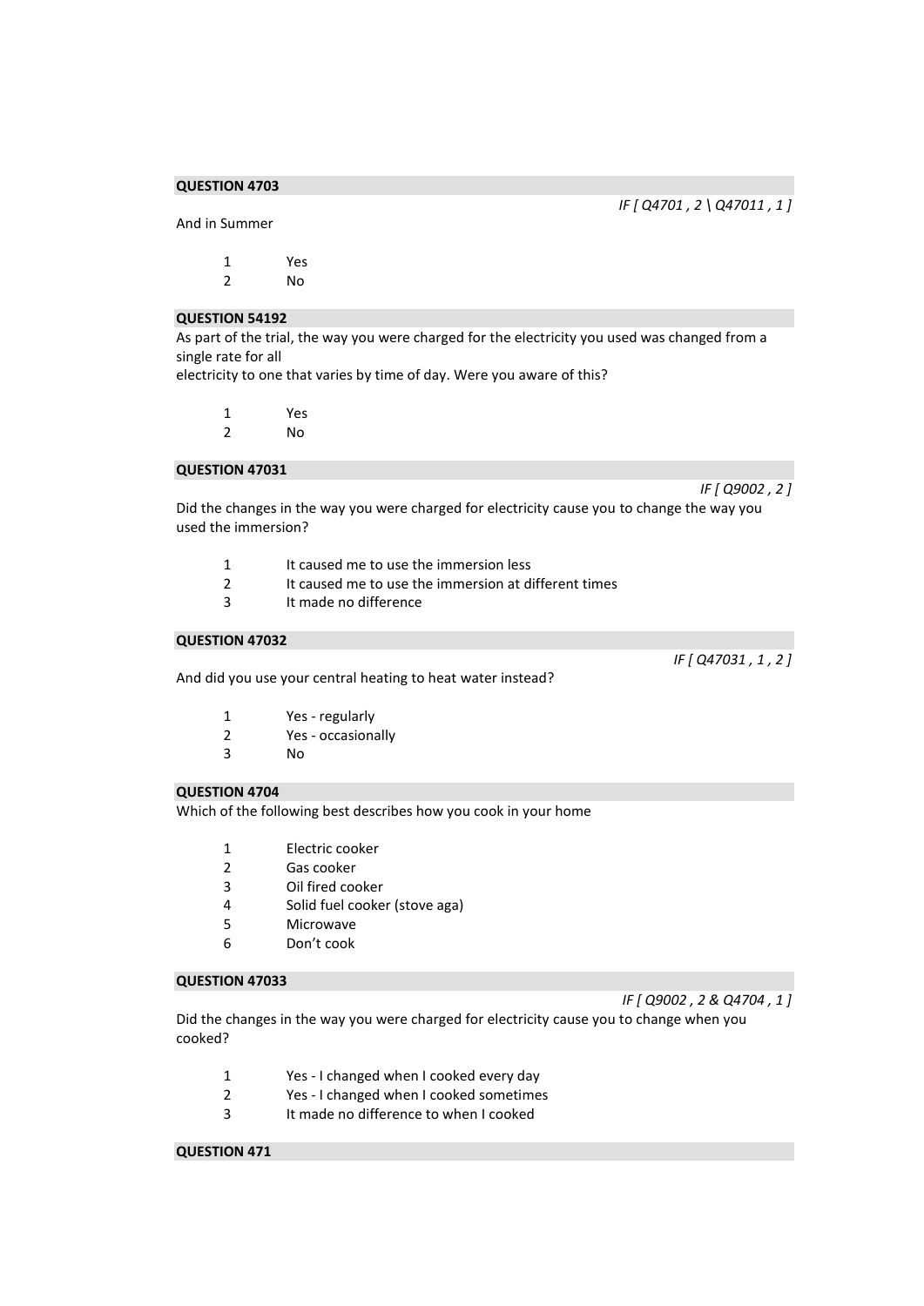And in Summer

1 Yes 2 No

#### **QUESTION 54192**

As part of the trial, the way you were charged for the electricity you used was changed from a single rate for all

electricity to one that varies by time of day. Were you aware of this?

| Yes |
|-----|
| No  |

#### **QUESTION 47031**

*IF [ Q9002 , 2 ]* 

Did the changes in the way you were charged for electricity cause you to change the way you used the immersion?

- 1 It caused me to use the immersion less
- 2 It caused me to use the immersion at different times<br>3 It made no difference
- It made no difference

#### **QUESTION 47032**

And did you use your central heating to heat water instead?

- 2 Yes occasionally
- 3 No

# **QUESTION 4704**

Which of the following best describes how you cook in your home

- 1 Electric cooker
- 2 Gas cooker
- 3 Oil fired cooker
- 4 Solid fuel cooker (stove aga)
- 5 Microwave
- 6 Don't cook

# **QUESTION 47033**

*IF [ Q9002 , 2 & Q4704 , 1 ]* 

Did the changes in the way you were charged for electricity cause you to change when you cooked?

- 1 Yes I changed when I cooked every day
- 2 Yes I changed when I cooked sometimes
- 3 It made no difference to when I cooked

# **QUESTION 471**

*IF [ Q47031 , 1 , 2 ]* 

*IF [ Q4701 , 2 \ Q47011 , 1 ]*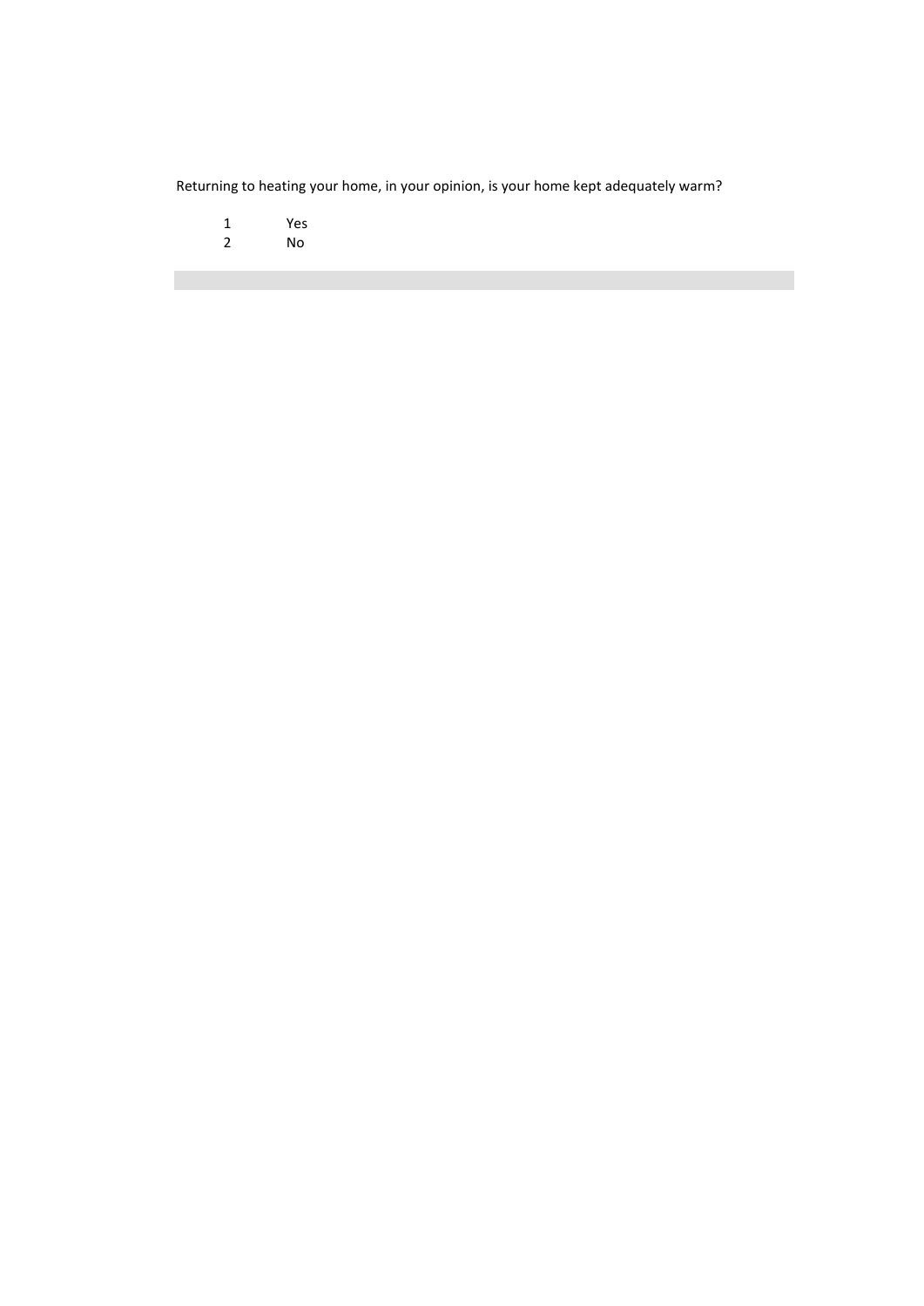Returning to heating your home, in your opinion, is your home kept adequately warm?

- 1 Yes<br>2 No
- 2 No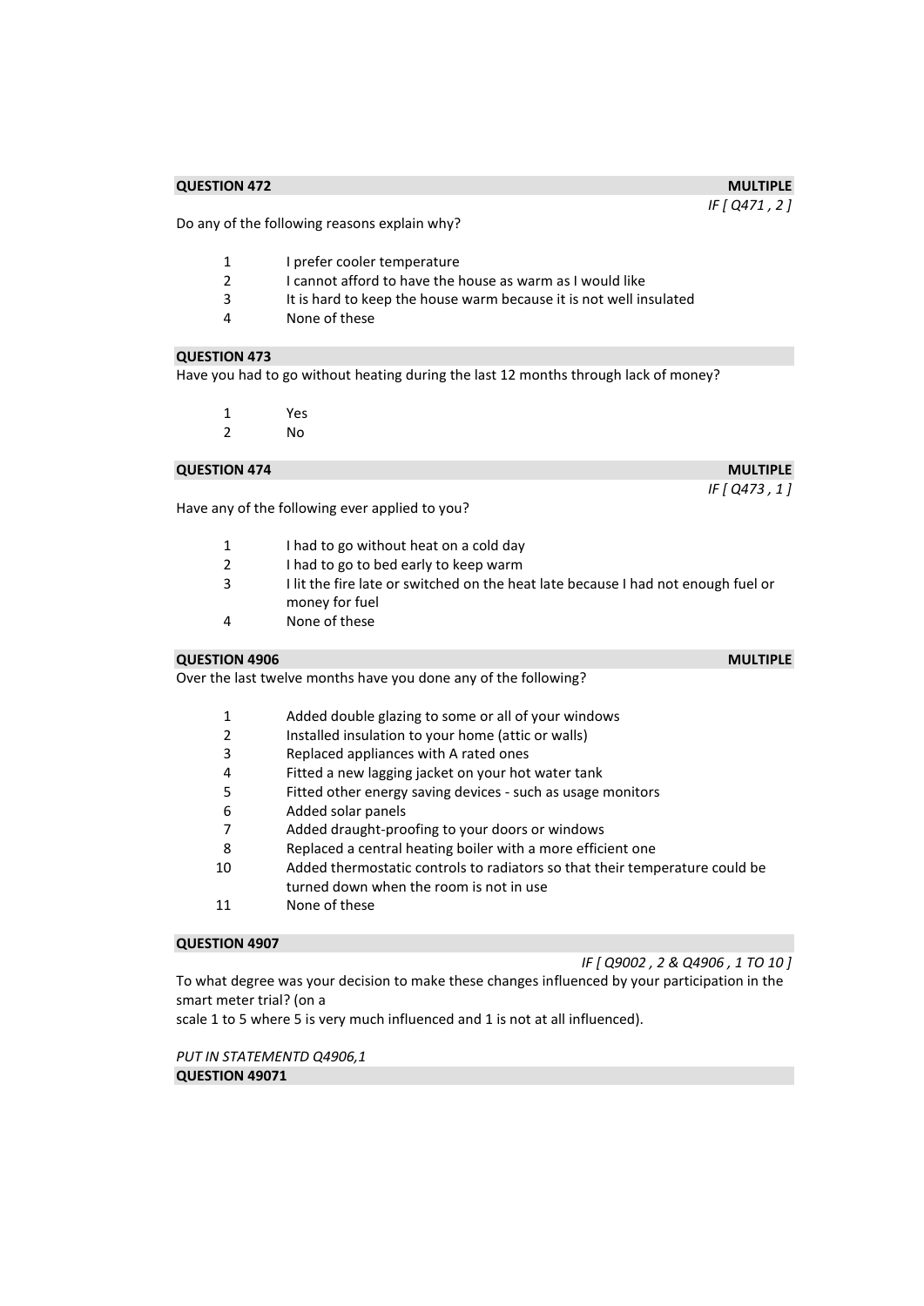#### **QUESTION 472** MULTIPLE

Do any of the following reasons explain why?

- 1 I prefer cooler temperature
- 2 I cannot afford to have the house as warm as I would like
- 3 It is hard to keep the house warm because it is not well insulated<br>4 Mone of these
- None of these

#### **QUESTION 473**

Have you had to go without heating during the last 12 months through lack of money?

- 1 Yes
- 2 No

# **QUESTION 474** MULTIPLE

Have any of the following ever applied to you?

- 1 I had to go without heat on a cold day
- 2 I had to go to bed early to keep warm
- 3 I lit the fire late or switched on the heat late because I had not enough fuel or money for fuel
- 4 None of these

#### **QUESTION 4906** MULTIPLE

Over the last twelve months have you done any of the following?

- 1 Added double glazing to some or all of your windows
- 2 Installed insulation to your home (attic or walls)
- 3 Replaced appliances with A rated ones
- 4 Fitted a new lagging jacket on your hot water tank
- 5 Fitted other energy saving devices such as usage monitors
- 6 Added solar panels
- 7 Added draught-proofing to your doors or windows
- 8 Replaced a central heating boiler with a more efficient one
- 10 Added thermostatic controls to radiators so that their temperature could be turned down when the room is not in use
- 11 None of these

#### **QUESTION 4907**

*IF [ Q9002 , 2 & Q4906 , 1 TO 10 ]*  To what degree was your decision to make these changes influenced by your participation in the

smart meter trial? (on a

scale 1 to 5 where 5 is very much influenced and 1 is not at all influenced).

*PUT IN STATEMENTD Q4906,1*  **QUESTION 49071** 

# *IF [ Q471 , 2 ]*

*IF [ Q473 , 1 ]*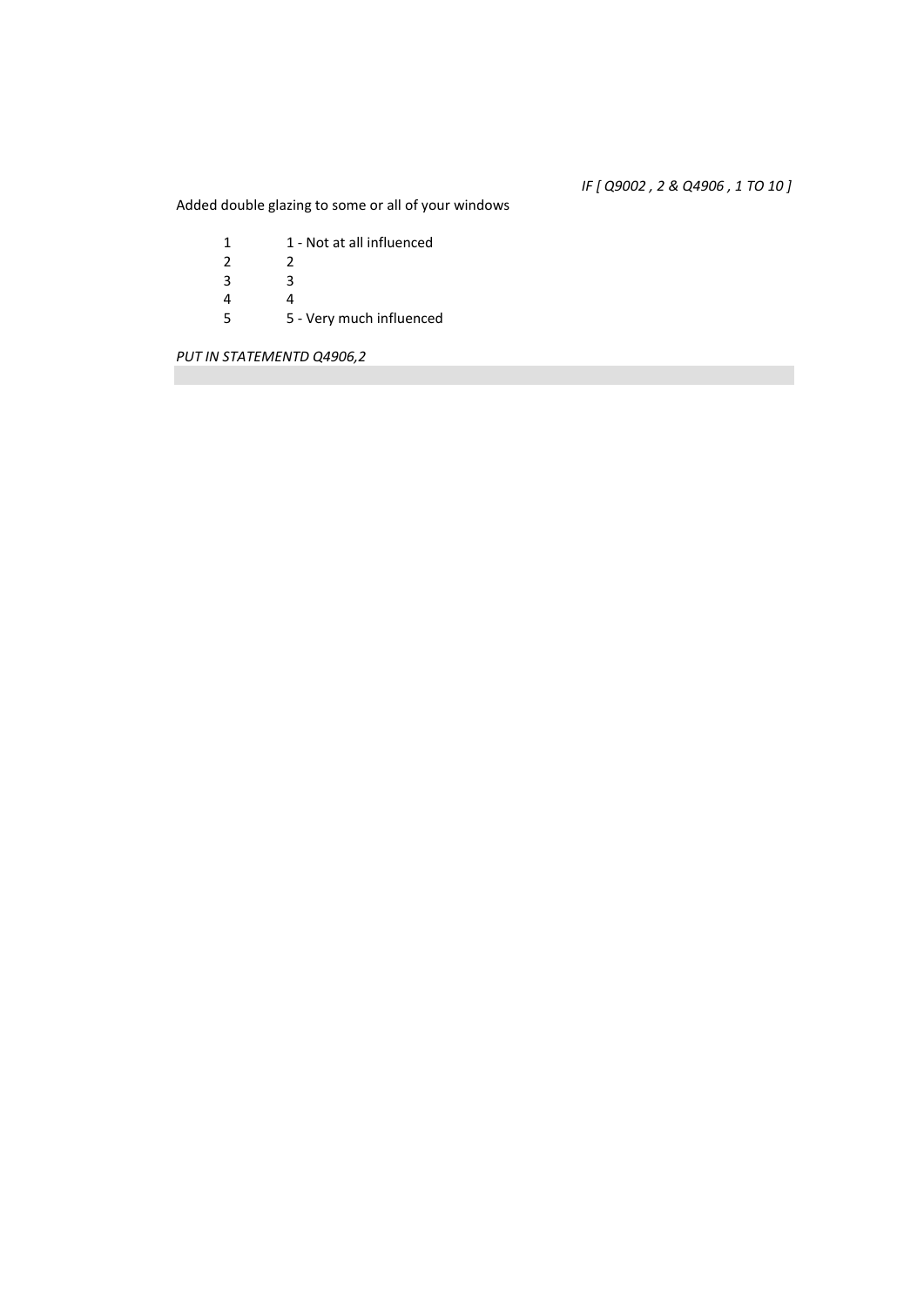*IF [ Q9002 , 2 & Q4906 , 1 TO 10 ]* 

Added double glazing to some or all of your windows

1 1 - Not at all influenced<br>2 2  $\begin{array}{ccc} 2 & \hspace{1.5cm} 2 \\ 3 & \hspace{1.5cm} 3 \end{array}$  $\begin{array}{ccc} 3 & & 3 \\ 4 & & 4 \end{array}$ 4<br>5 5 5 - Very much influenced

*PUT IN STATEMENTD Q4906,2*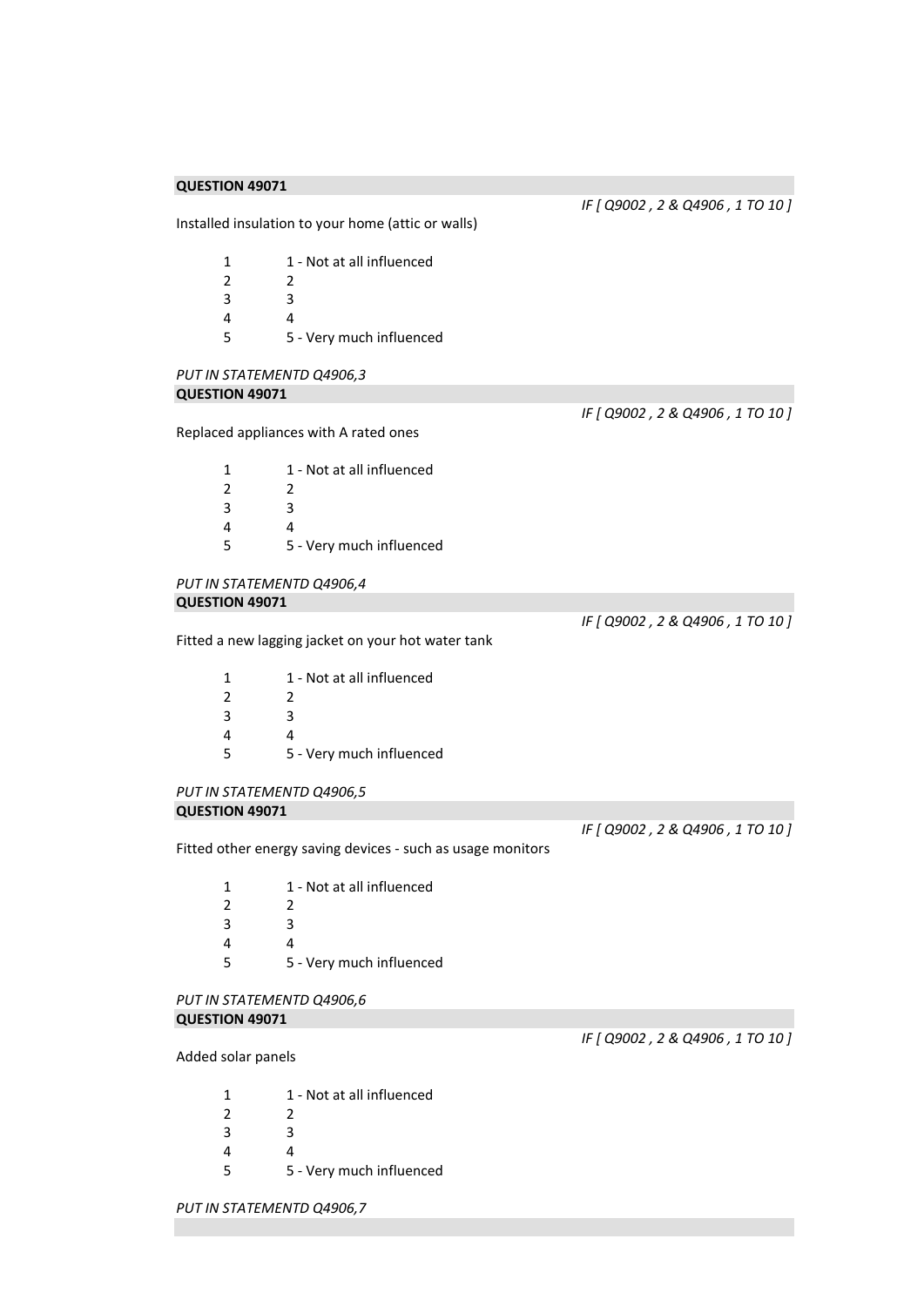*IF [ Q9002 , 2 & Q4906 , 1 TO 10 ]* 

*IF [ Q9002 , 2 & Q4906 , 1 TO 10 ]* 

Installed insulation to your home (attic or walls)

|   | 1 - Not at all influenced |
|---|---------------------------|
| 2 | 2                         |
| 3 | ર                         |
| 4 |                           |
| 5 | 5 - Very much influenced  |

#### *PUT IN STATEMENTD Q4906,3*  **QUESTION 49071**

Replaced appliances with A rated ones

| 1 | 1 - Not at all influenced |
|---|---------------------------|
| 2 | 2                         |
| 3 | ર                         |
| 4 | Δ                         |
| 5 | 5 - Very much influenced  |

#### *PUT IN STATEMENTD Q4906,4*  **QUESTION 49071**

Fitted a new lagging jacket on your hot water tank

| 1 | 1 - Not at all influenced |
|---|---------------------------|
| 2 | 2                         |
| 3 | ર                         |
| 4 |                           |
| 5 | 5 - Very much influenced  |
|   |                           |

#### *PUT IN STATEMENTD Q4906,5*  **QUESTION 49071**

*IF [ Q9002 , 2 & Q4906 , 1 TO 10 ]* 

*IF [ Q9002 , 2 & Q4906 , 1 TO 10 ]* 

*IF [ Q9002 , 2 & Q4906 , 1 TO 10 ]* 

Fitted other energy saving devices - such as usage monitors

| 1 | 1 - Not at all influenced |
|---|---------------------------|
| 2 | 2                         |
| 3 | ર                         |
| 4 |                           |
| 5 | 5 - Very much influenced  |

#### *PUT IN STATEMENTD Q4906,6*  **QUESTION 49071**

#### Added solar panels

| 1 - Not at all influenced |
|---------------------------|
|                           |

- 3 3
- 4 4
- 5 5 Very much influenced

*PUT IN STATEMENTD Q4906,7*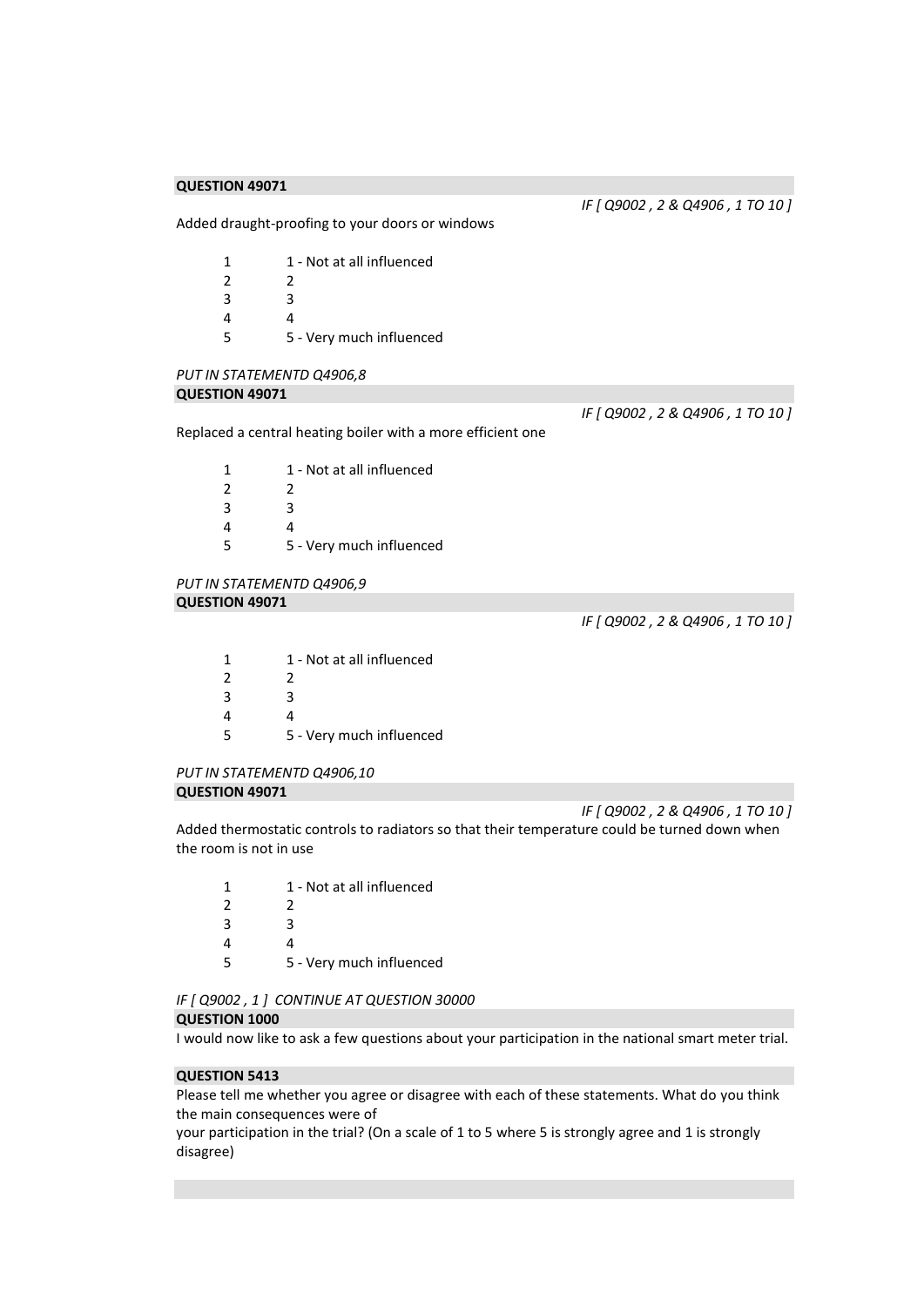*IF [ Q9002 , 2 & Q4906 , 1 TO 10 ]* 

Added draught-proofing to your doors or windows

|   | 1 - Not at all influenced |
|---|---------------------------|
| 2 | 2                         |
| 3 | ર                         |
| Δ |                           |
| 5 | 5 - Very much influenced  |

# *PUT IN STATEMENTD Q4906,8*

# **QUESTION 49071**

Replaced a central heating boiler with a more efficient one

1 1 - Not at all influenced 2 2 3 3 4 4 5 5 - Very much influenced

#### *PUT IN STATEMENTD Q4906,9*  **QUESTION 49071**

*IF [ Q9002 , 2 & Q4906 , 1 TO 10 ]* 

*IF [ Q9002 , 2 & Q4906 , 1 TO 10 ]* 

| 1 | 1 - Not at all influenced |
|---|---------------------------|
| 2 | 2                         |
| 3 | ર                         |
| Δ |                           |
| 5 | 5 - Very much influenced  |

#### *PUT IN STATEMENTD Q4906,10*  **QUESTION 49071**

*IF [ Q9002 , 2 & Q4906 , 1 TO 10 ]* 

Added thermostatic controls to radiators so that their temperature could be turned down when the room is not in use

| 1                        | 1 - Not at all influenced |
|--------------------------|---------------------------|
| $\overline{\phantom{a}}$ | 2                         |
| 3                        | ર                         |
| 4                        |                           |
| 5                        | 5 - Very much influenced  |

*IF [ Q9002 , 1 ] CONTINUE AT QUESTION 30000* 

# **QUESTION 1000**

I would now like to ask a few questions about your participation in the national smart meter trial.

#### **QUESTION 5413**

Please tell me whether you agree or disagree with each of these statements. What do you think the main consequences were of

your participation in the trial? (On a scale of 1 to 5 where 5 is strongly agree and 1 is strongly disagree)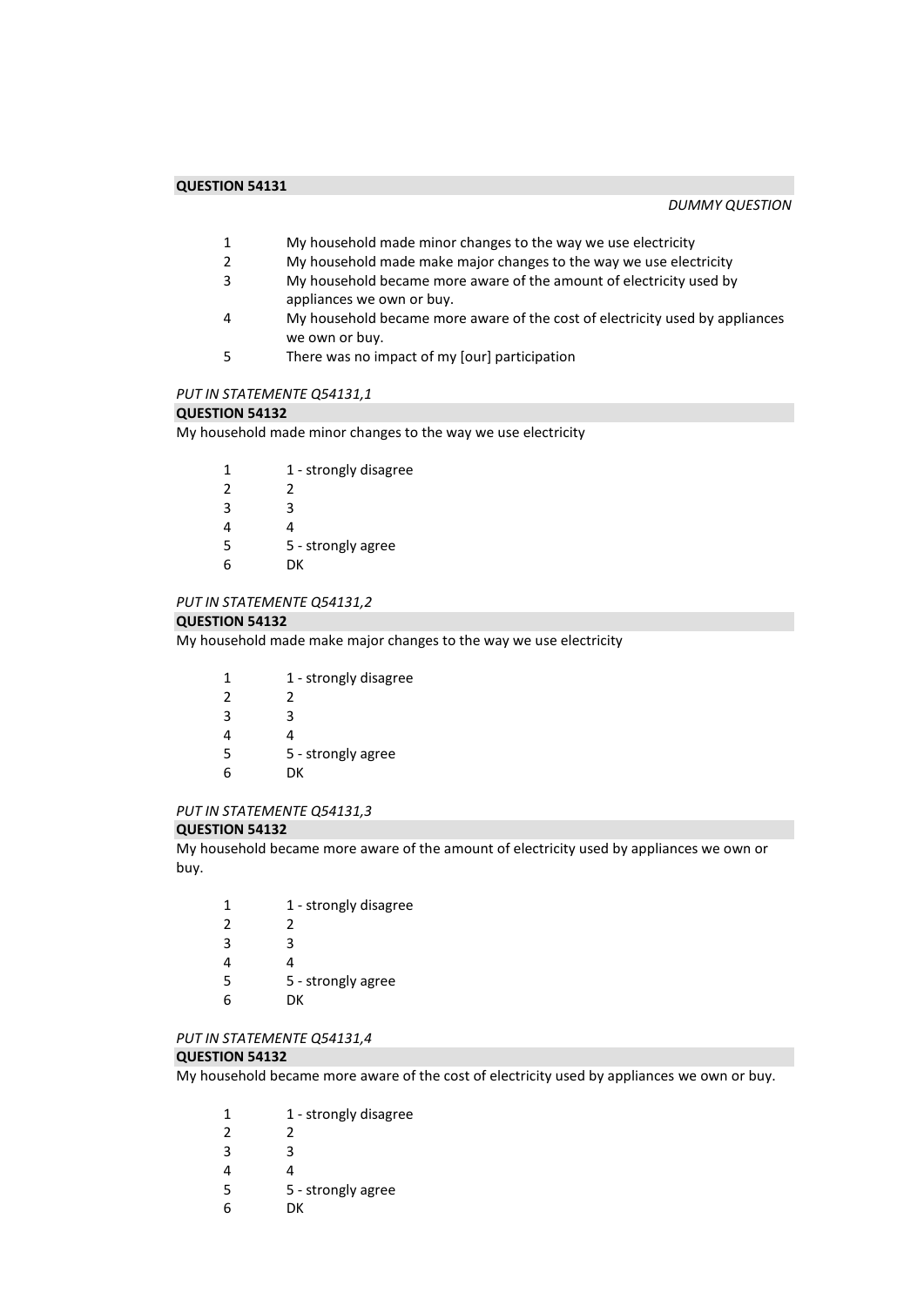#### *DUMMY QUESTION*

- 1 My household made minor changes to the way we use electricity<br>2 My household made make major changes to the way we use elec
- 2 My household made make major changes to the way we use electricity<br>3 My household became more aware of the amount of electricity used by
- My household became more aware of the amount of electricity used by appliances we own or buy.
- 4 My household became more aware of the cost of electricity used by appliances we own or buy.
- 5 There was no impact of my [our] participation

# *PUT IN STATEMENTE Q54131,1*

#### **QUESTION 54132**

My household made minor changes to the way we use electricity

| 1             | 1 - strongly disagree |
|---------------|-----------------------|
| $\mathcal{P}$ | 2                     |
| 3             | ੨                     |
| 4             | 4                     |
| 5             | 5 - strongly agree    |
| 6             | DΚ                    |

#### *PUT IN STATEMENTE Q54131,2*

#### **QUESTION 54132**

My household made make major changes to the way we use electricity

| 1             | 1 - strongly disagree |
|---------------|-----------------------|
| $\mathcal{P}$ | 2                     |
| 3             | ੨                     |
| 4             | Δ                     |
| 5             | 5 - strongly agree    |
| 6             | DК                    |
|               |                       |

# *PUT IN STATEMENTE Q54131,3*

#### **QUESTION 54132**

My household became more aware of the amount of electricity used by appliances we own or buy.

| 1 | 1 - strongly disagree |
|---|-----------------------|
| 2 | 2                     |
| 3 | ર                     |
| 4 | Δ                     |
| 5 | 5 - strongly agree    |
| h | DK                    |

### *PUT IN STATEMENTE Q54131,4*

#### **QUESTION 54132**

My household became more aware of the cost of electricity used by appliances we own or buy.

| 1 | 1 - strongly disagree |
|---|-----------------------|
| 2 | 2                     |
| 3 | ς                     |
| 4 | 4                     |
| 5 | 5 - strongly agree    |
| 6 | DК                    |
|   |                       |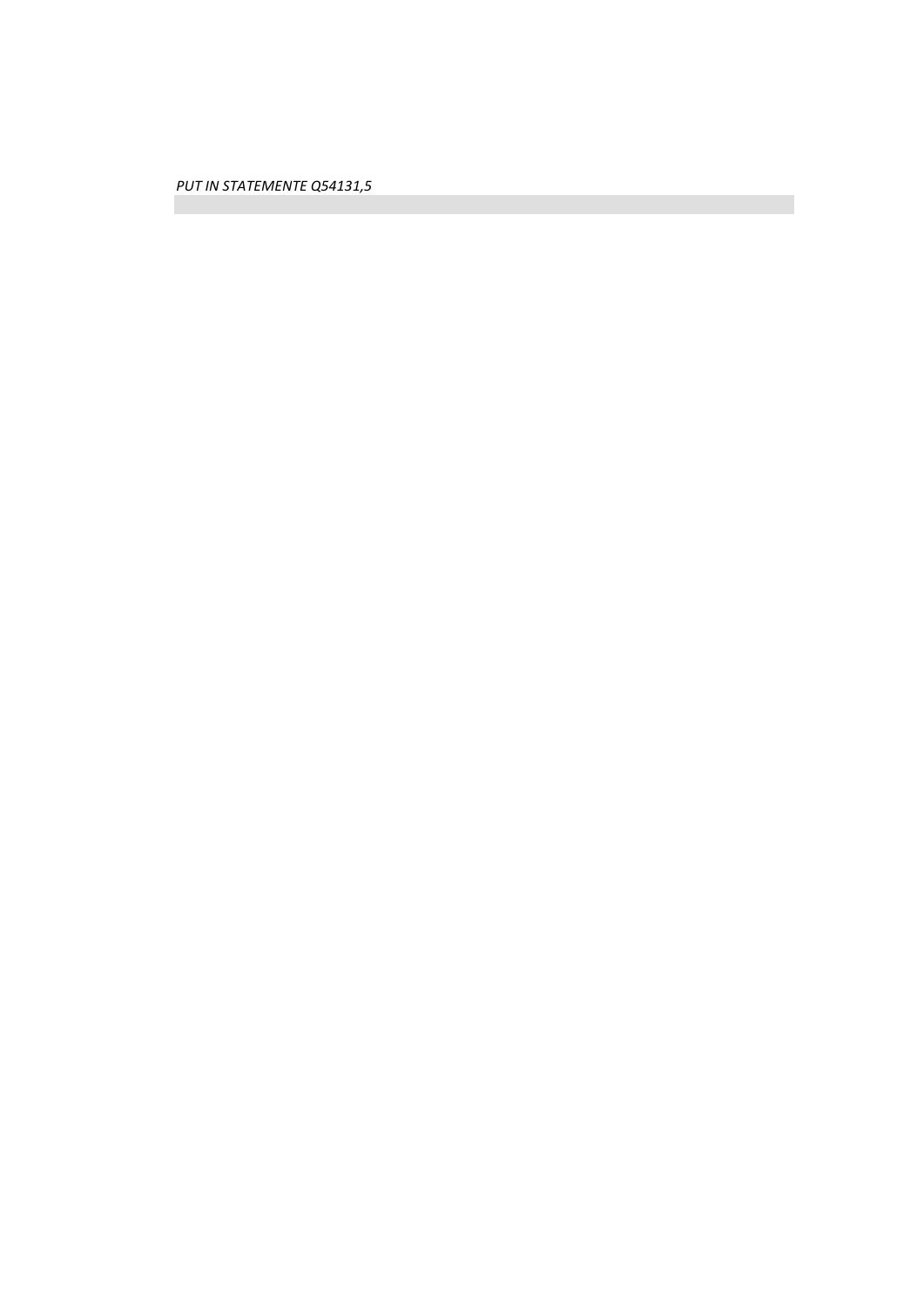*PUT IN STATEMENTE Q54131,5*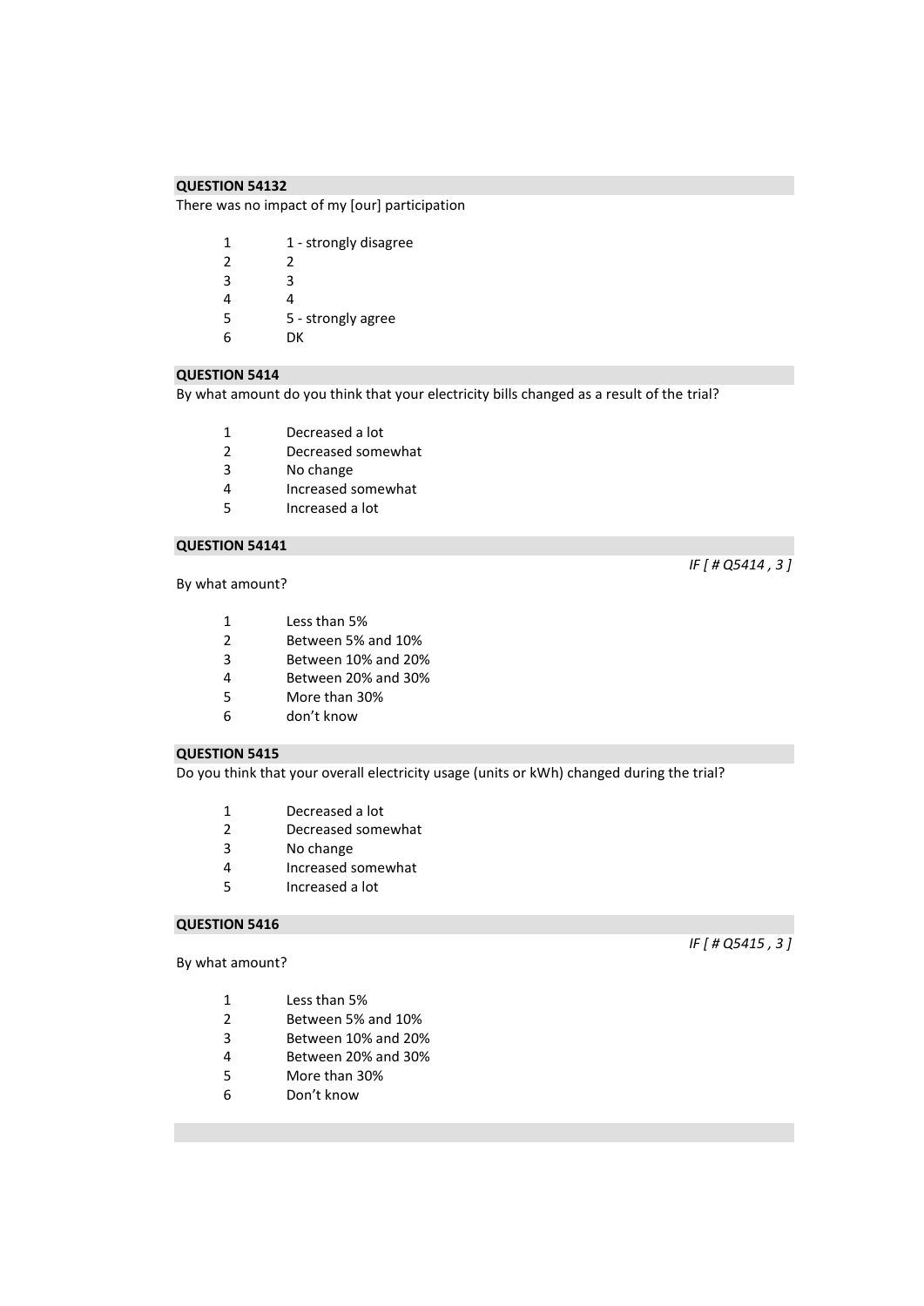There was no impact of my [our] participation

| 1 | 1 - strongly disagree |
|---|-----------------------|
| 2 | 2                     |
| 3 | З                     |
| 4 | 4                     |
| 5 | 5 - strongly agree    |
| h | DК                    |
|   |                       |

# **QUESTION 5414**

By what amount do you think that your electricity bills changed as a result of the trial?

- 1 Decreased a lot<br>2 Decreased some
- 2 Decreased somewhat<br>3 No change
- No change
- 4 Increased somewhat
- 5 Increased a lot

# **QUESTION 54141**

#### By what amount?

- 1 Less than 5%
- 2 Between 5% and 10%<br>3 Between 10% and 209
- 3 Between 10% and 20%
- 4 Between 20% and 30%
- 5 More than 30%
- 6 don't know

#### **QUESTION 5415**

Do you think that your overall electricity usage (units or kWh) changed during the trial?

- 1 Decreased a lot
- 2 Decreased somewhat
- 3 No change
- 4 Increased somewhat
- 5 Increased a lot

#### **QUESTION 5416**

By what amount?

- 1 Less than 5%
- 2 Between 5% and 10%
- 3 Between 10% and 20%
- 4 Between 20% and 30%
- 5 More than 30%
- 6 Don't know

*IF [ # Q5415 , 3 ]* 

*IF [ # Q5414 , 3 ]*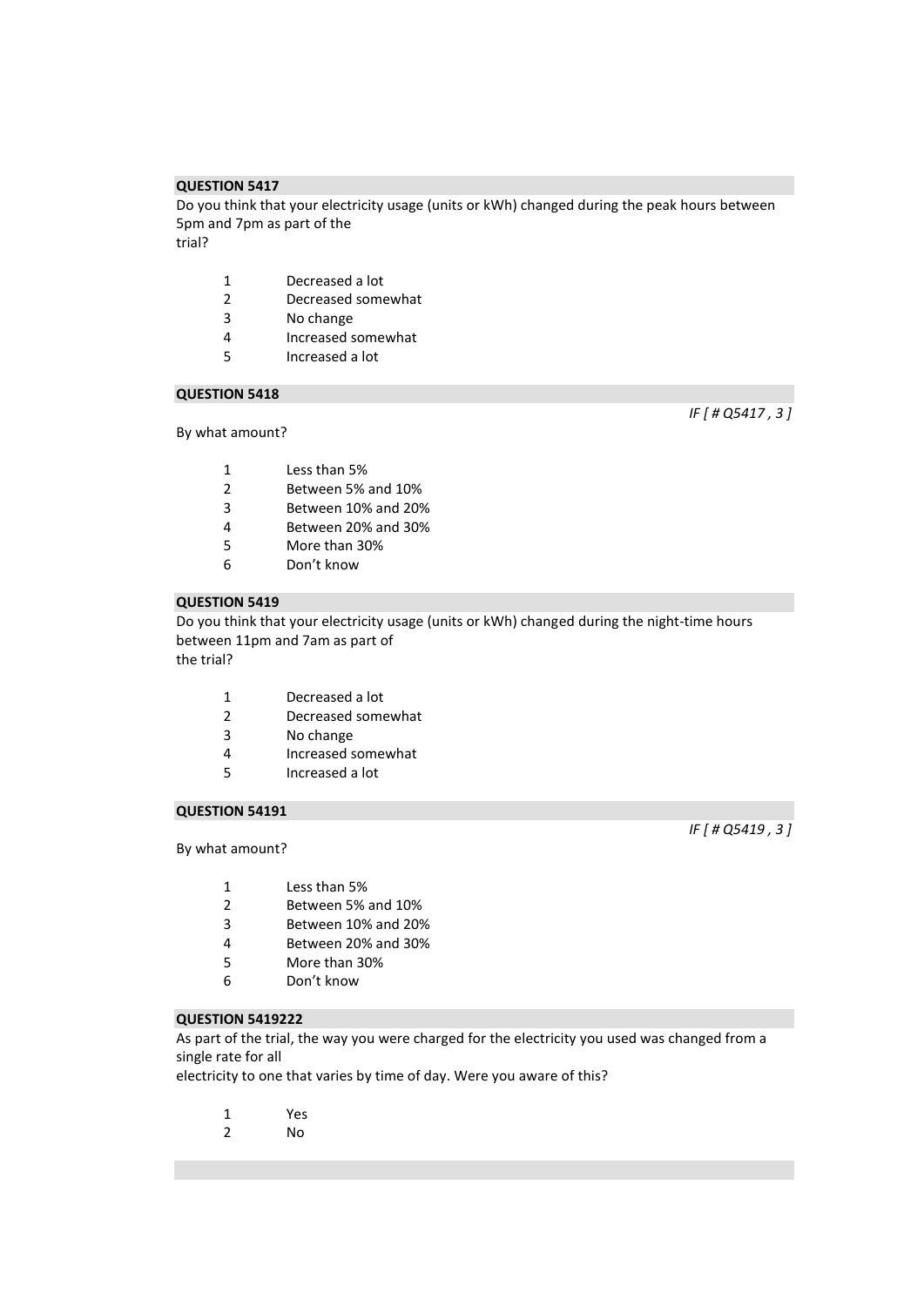Do you think that your electricity usage (units or kWh) changed during the peak hours between 5pm and 7pm as part of the trial?

- 1 Decreased a lot
- 2 Decreased somewhat<br>3 No change
- No change
- 4 Increased somewhat
- 5 Increased a lot

# **QUESTION 5418**

By what amount?

*IF [ # Q5417 , 3 ]* 

- 1 Less than 5% 2 Between 5% and 10%
- 
- 3 Between 10% and 20%
- 4 Between 20% and 30%
- 5 More than 30%
- 6 Don't know

# **QUESTION 5419**

Do you think that your electricity usage (units or kWh) changed during the night-time hours between 11pm and 7am as part of the trial?

- 1 Decreased a lot
- 2 Decreased somewhat
- 3 No change
- 4 Increased somewhat<br>5 Increased a lot
- 5 Increased a lot

# **QUESTION 54191**

#### By what amount?

- 1 Less than 5%
- 2 Between 5% and 10%
- 3 Between 10% and 20%
- 4 Between 20% and 30%
- 5 More than 30%
- 6 Don't know

# **QUESTION 5419222**

As part of the trial, the way you were charged for the electricity you used was changed from a single rate for all

electricity to one that varies by time of day. Were you aware of this?

- 1 Yes
- 2 No

*IF [ # Q5419 , 3 ]*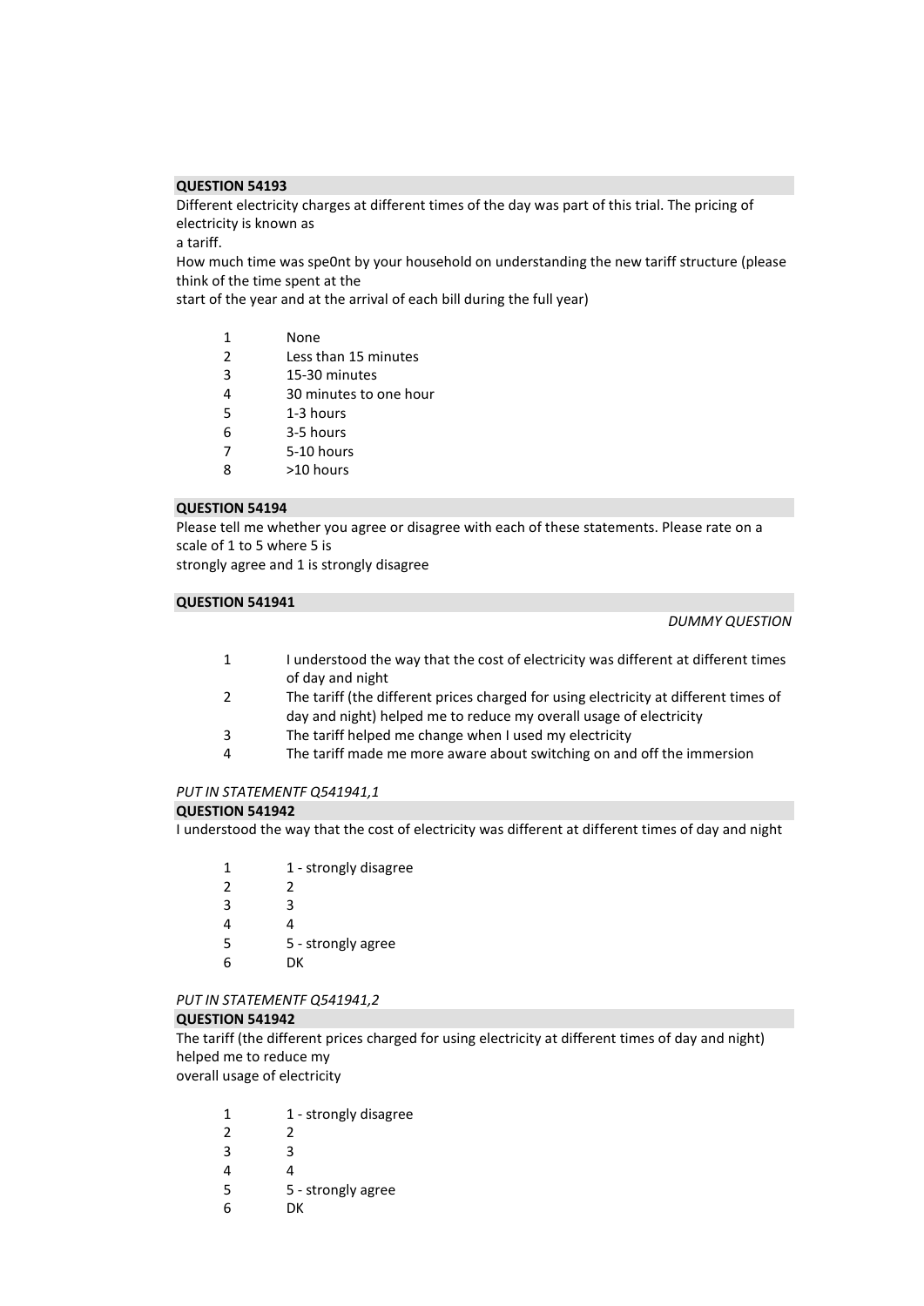Different electricity charges at different times of the day was part of this trial. The pricing of electricity is known as

a tariff.

How much time was spe0nt by your household on understanding the new tariff structure (please think of the time spent at the

start of the year and at the arrival of each bill during the full year)

- 2 Less than 15 minutes
- 3 15-30 minutes
- 4 30 minutes to one hour
- 5 1-3 hours
- 6 3-5 hours
- 7 5-10 hours
- 8 >10 hours

#### **QUESTION 54194**

Please tell me whether you agree or disagree with each of these statements. Please rate on a scale of 1 to 5 where 5 is

strongly agree and 1 is strongly disagree

# **QUESTION 541941**

#### *DUMMY QUESTION*

- 1 I understood the way that the cost of electricity was different at different times of day and night
- 2 The tariff (the different prices charged for using electricity at different times of day and night) helped me to reduce my overall usage of electricity
- 3 The tariff helped me change when I used my electricity
- 4 The tariff made me more aware about switching on and off the immersion

# *PUT IN STATEMENTF Q541941,1*

#### **QUESTION 541942**

I understood the way that the cost of electricity was different at different times of day and night

1 1 - strongly disagree 2 2 3 3 4 4 5 5 - strongly agree 6 DK

#### *PUT IN STATEMENTF Q541941,2*

#### **QUESTION 541942**

The tariff (the different prices charged for using electricity at different times of day and night) helped me to reduce my

overall usage of electricity

| 1             | 1 - strongly disagree |
|---------------|-----------------------|
| $\mathcal{P}$ | 2                     |
| 3             | R                     |
| 4             | 4                     |
| 5             | 5 - strongly agree    |
| 6             | DК                    |
|               |                       |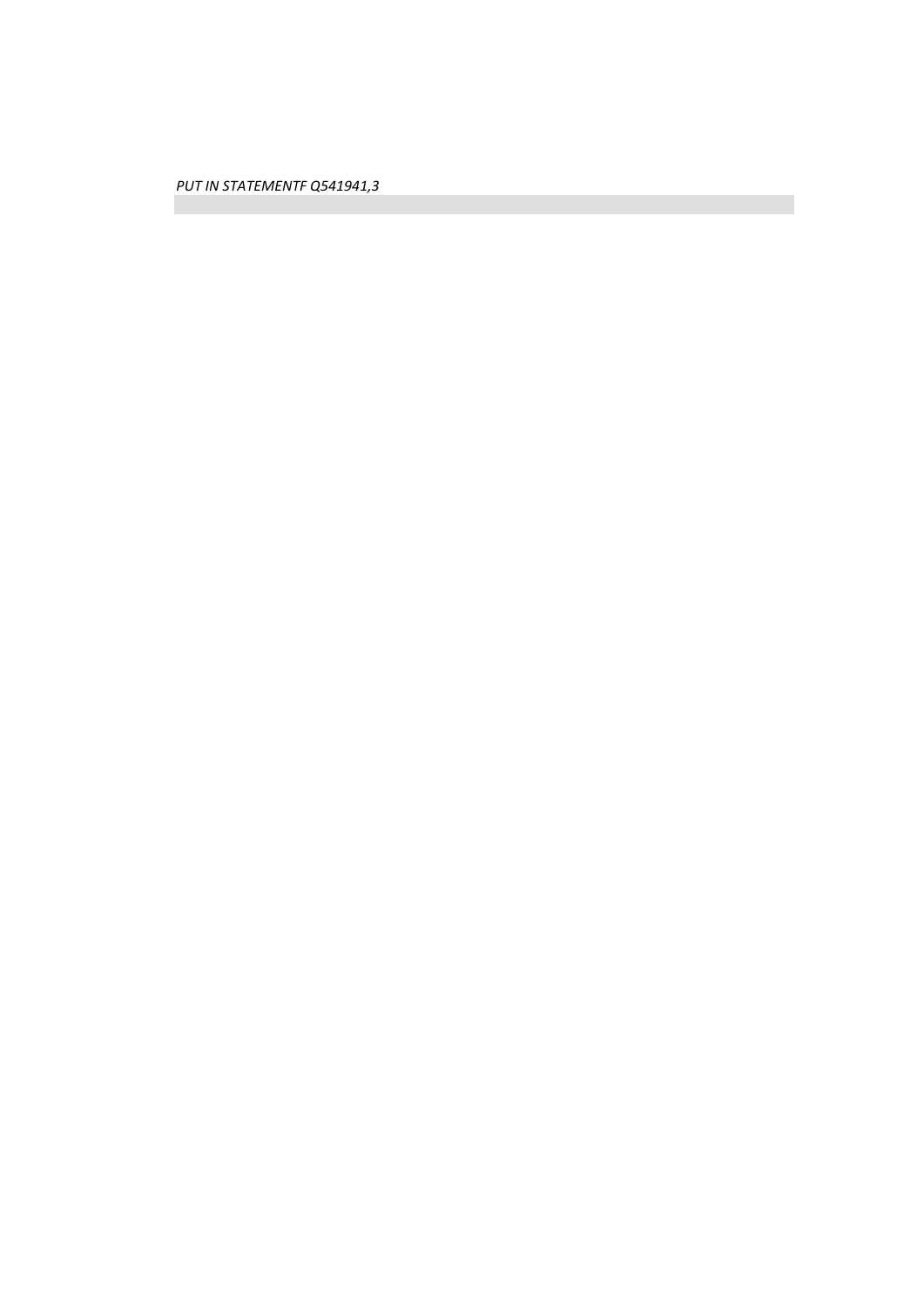*PUT IN STATEMENTF Q541941,3*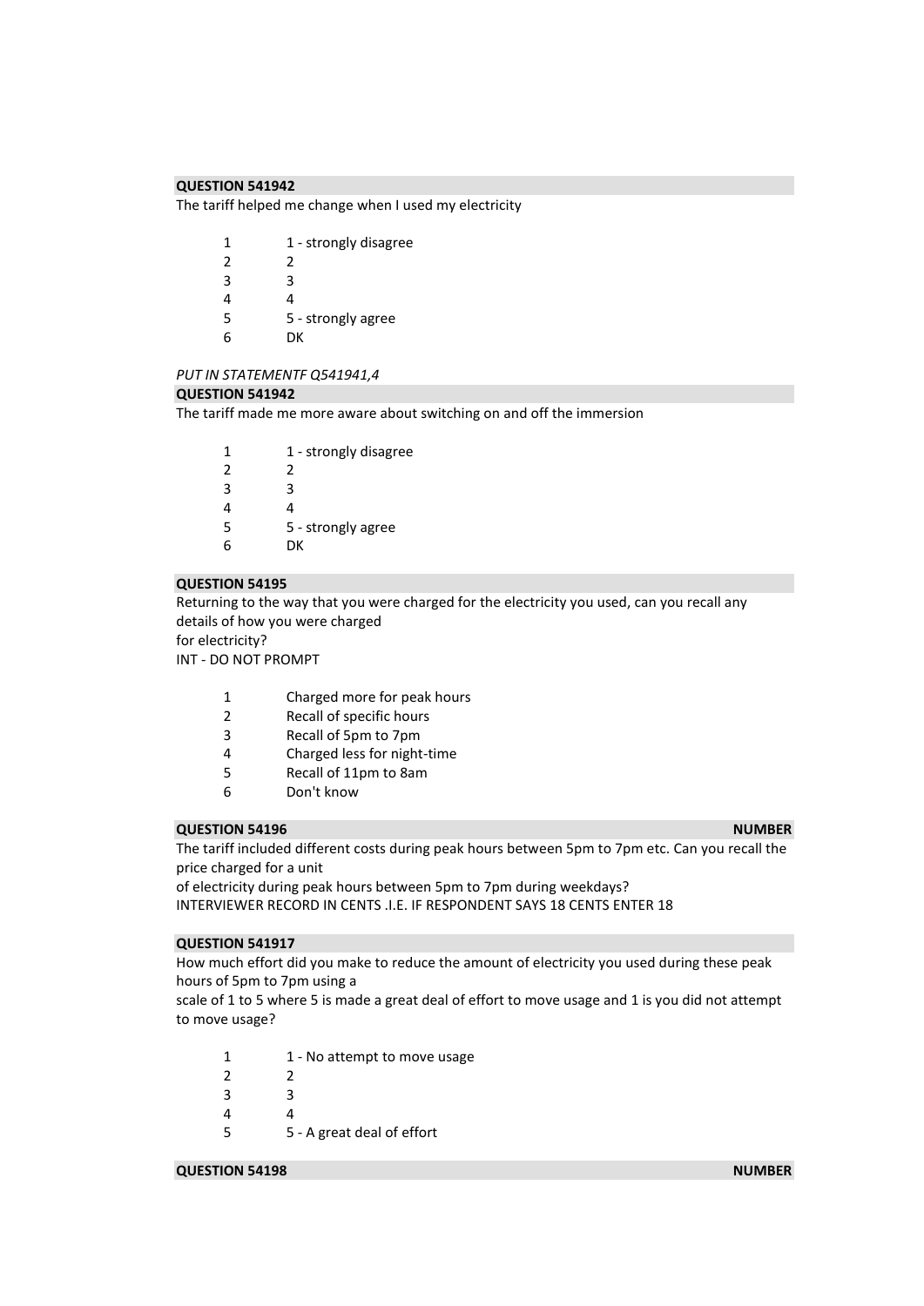The tariff helped me change when I used my electricity

| 1              | 1 - strongly disagree |
|----------------|-----------------------|
| $\mathfrak{p}$ | 2                     |
| 3              | ੨                     |
| 4              | 4                     |
| 5              | 5 - strongly agree    |
| հ              | DK                    |

# *PUT IN STATEMENTF Q541941,4*

#### **QUESTION 541942**

The tariff made me more aware about switching on and off the immersion

| 1             | 1 - strongly disagree |
|---------------|-----------------------|
| $\mathcal{P}$ | 2                     |
| 3             | ર                     |
|               | 4                     |
| 5             | 5 - strongly agree    |
| h             | DК                    |

#### **QUESTION 54195**

Returning to the way that you were charged for the electricity you used, can you recall any details of how you were charged for electricity?

INT - DO NOT PROMPT

- 1 Charged more for peak hours
- 2 Recall of specific hours
- 3 Recall of 5pm to 7pm
- 4 Charged less for night-time
- 5 Recall of 11pm to 8am
- 6 Don't know

#### **QUESTION 54196** NUMBER **NUMBER NUMBER NUMBER**

The tariff included different costs during peak hours between 5pm to 7pm etc. Can you recall the price charged for a unit

of electricity during peak hours between 5pm to 7pm during weekdays? INTERVIEWER RECORD IN CENTS .I.E. IF RESPONDENT SAYS 18 CENTS ENTER 18

#### **QUESTION 541917**

How much effort did you make to reduce the amount of electricity you used during these peak hours of 5pm to 7pm using a

scale of 1 to 5 where 5 is made a great deal of effort to move usage and 1 is you did not attempt to move usage?

- 1 1 No attempt to move usage
- 2 2
- 3 3
- 4 4

5 5 - A great deal of effort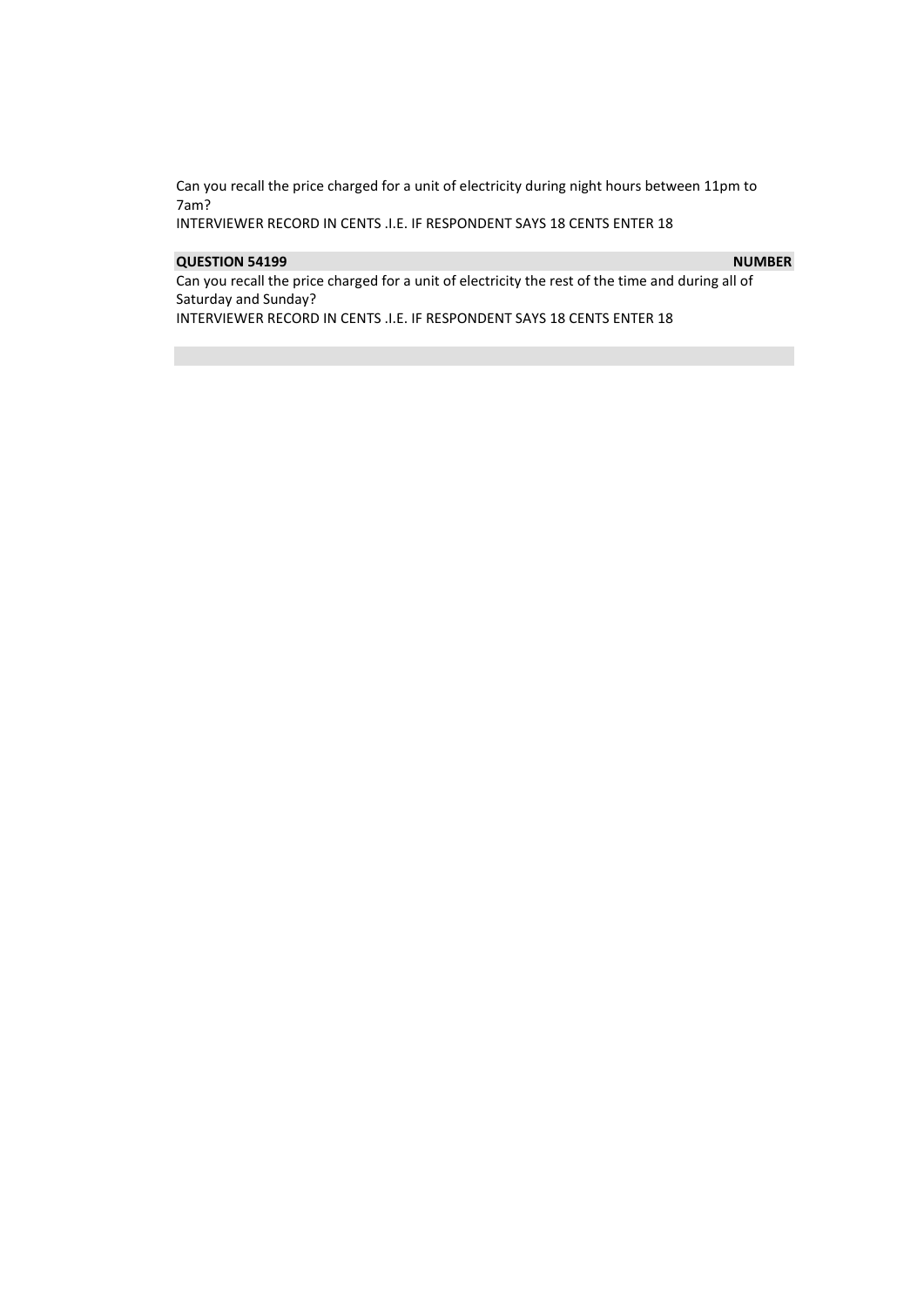Can you recall the price charged for a unit of electricity during night hours between 11pm to 7am?

INTERVIEWER RECORD IN CENTS .I.E. IF RESPONDENT SAYS 18 CENTS ENTER 18

# **QUESTION 54199** NUMBER **NUMBER**

Can you recall the price charged for a unit of electricity the rest of the time and during all of Saturday and Sunday?

INTERVIEWER RECORD IN CENTS .I.E. IF RESPONDENT SAYS 18 CENTS ENTER 18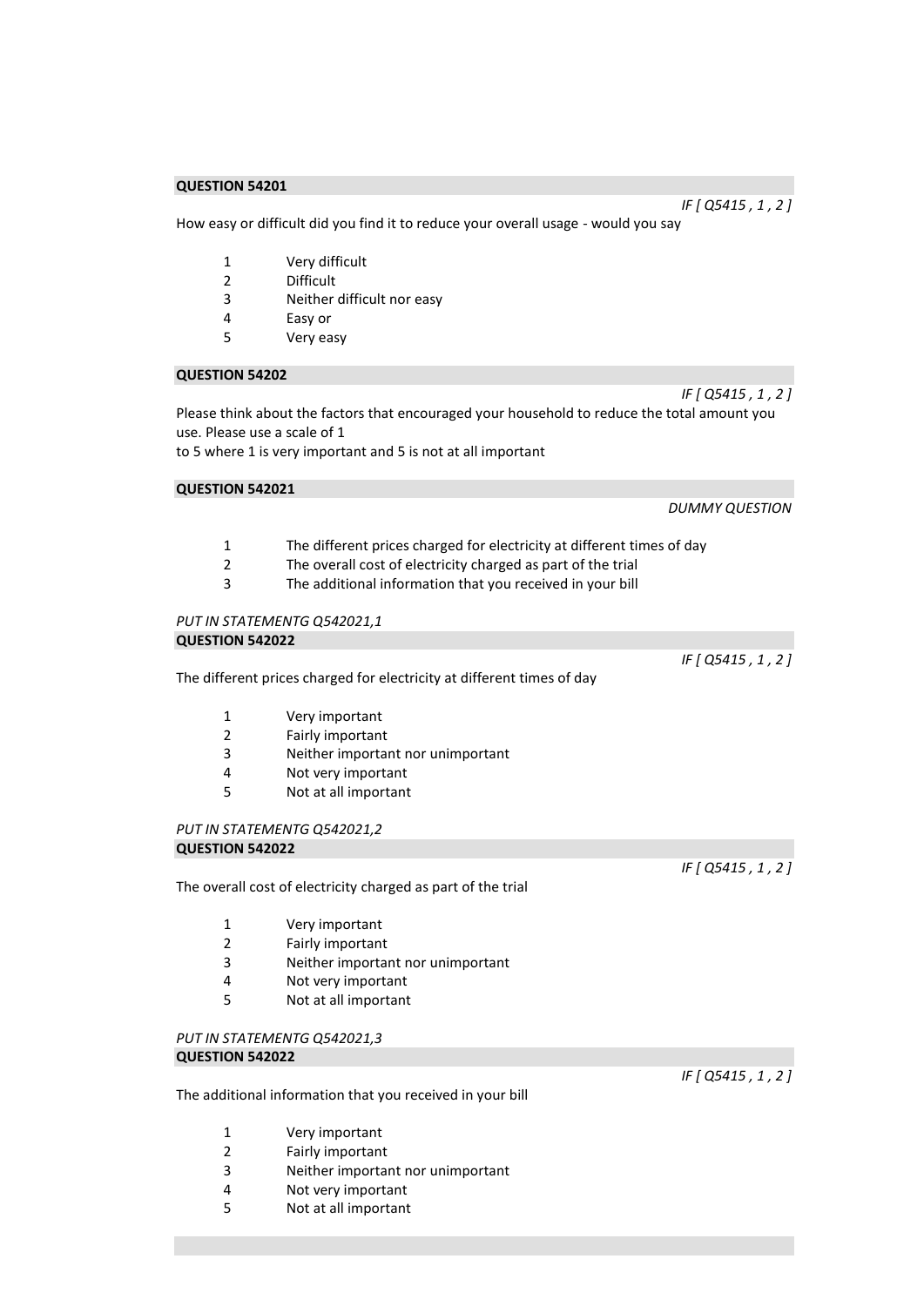How easy or difficult did you find it to reduce your overall usage - would you say

- 1 Very difficult
- 2 Difficult
- 3 Neither difficult nor easy
- 4 Easy or
- 5 Very easy

#### **QUESTION 54202**

Please think about the factors that encouraged your household to reduce the total amount you use. Please use a scale of 1 to 5 where 1 is very important and 5 is not at all important

#### **QUESTION 542021**

#### *DUMMY QUESTION*

*IF [ Q5415 , 1 , 2 ]* 

*IF [ Q5415 , 1 , 2 ]* 

- 1 The different prices charged for electricity at different times of day
- 2 The overall cost of electricity charged as part of the trial
- 3 The additional information that you received in your bill

# *PUT IN STATEMENTG Q542021,1*

#### **QUESTION 542022**

The different prices charged for electricity at different times of day

- 1 Very important
- 2 Fairly important
- 3 Neither important nor unimportant
- 4 Not very important
- 5 Not at all important

#### *PUT IN STATEMENTG Q542021,2*  **QUESTION 542022**

The overall cost of electricity charged as part of the trial

- 1 Very important
- 2 Fairly important
- 3 Neither important nor unimportant
- 4 Not very important
- 5 Not at all important

#### *PUT IN STATEMENTG Q542021,3*  **QUESTION 542022**

The additional information that you received in your bill

- 1 Very important
- 2 Fairly important
- 3 Neither important nor unimportant
- 4 Not very important
- 5 Not at all important

*IF [ Q5415 , 1 , 2 ]* 

*IF [ Q5415 , 1 , 2 ]* 

*IF [ Q5415 , 1 , 2 ]*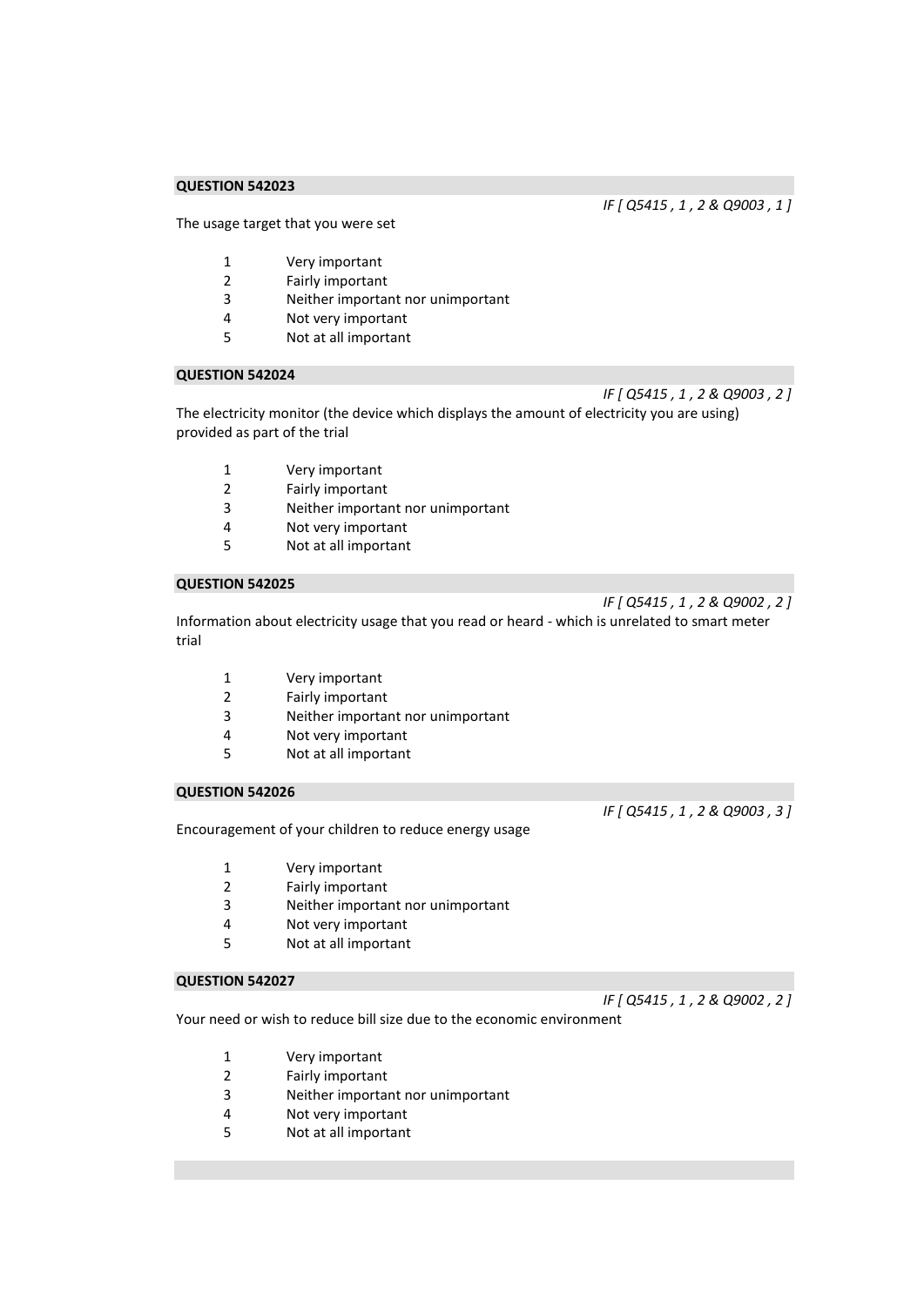The usage target that you were set

- 1 Very important
- 2 Fairly important
- 3 Neither important nor unimportant<br>4 Not very important
- Not very important
- 5 Not at all important

#### **QUESTION 542024**

*IF [ Q5415 , 1 , 2 & Q9003 , 2 ]*  The electricity monitor (the device which displays the amount of electricity you are using) provided as part of the trial

- 1 Very important
- 2 Fairly important
- 3 Neither important nor unimportant
- 4 Not very important
- 5 Not at all important

#### **QUESTION 542025**

*IF [ Q5415 , 1 , 2 & Q9002 , 2 ]* 

Information about electricity usage that you read or heard - which is unrelated to smart meter trial

- 1 Very important
- 2 Fairly important
- 3 Neither important nor unimportant
- 4 Not very important
- 5 Not at all important

#### **QUESTION 542026**

Encouragement of your children to reduce energy usage

1 Very important

- 2 Fairly important
- 3 Neither important nor unimportant
- 4 Not very important
- 5 Not at all important

# **QUESTION 542027**

Your need or wish to reduce bill size due to the economic environment

- 1 Very important
- 2 Fairly important
- 3 Neither important nor unimportant
- 4 Not very important
- 5 Not at all important

*IF [ Q5415 , 1 , 2 & Q9003 , 1 ]* 

*IF [ Q5415 , 1 , 2 & Q9003 , 3 ]* 

# *IF [ Q5415 , 1 , 2 & Q9002 , 2 ]*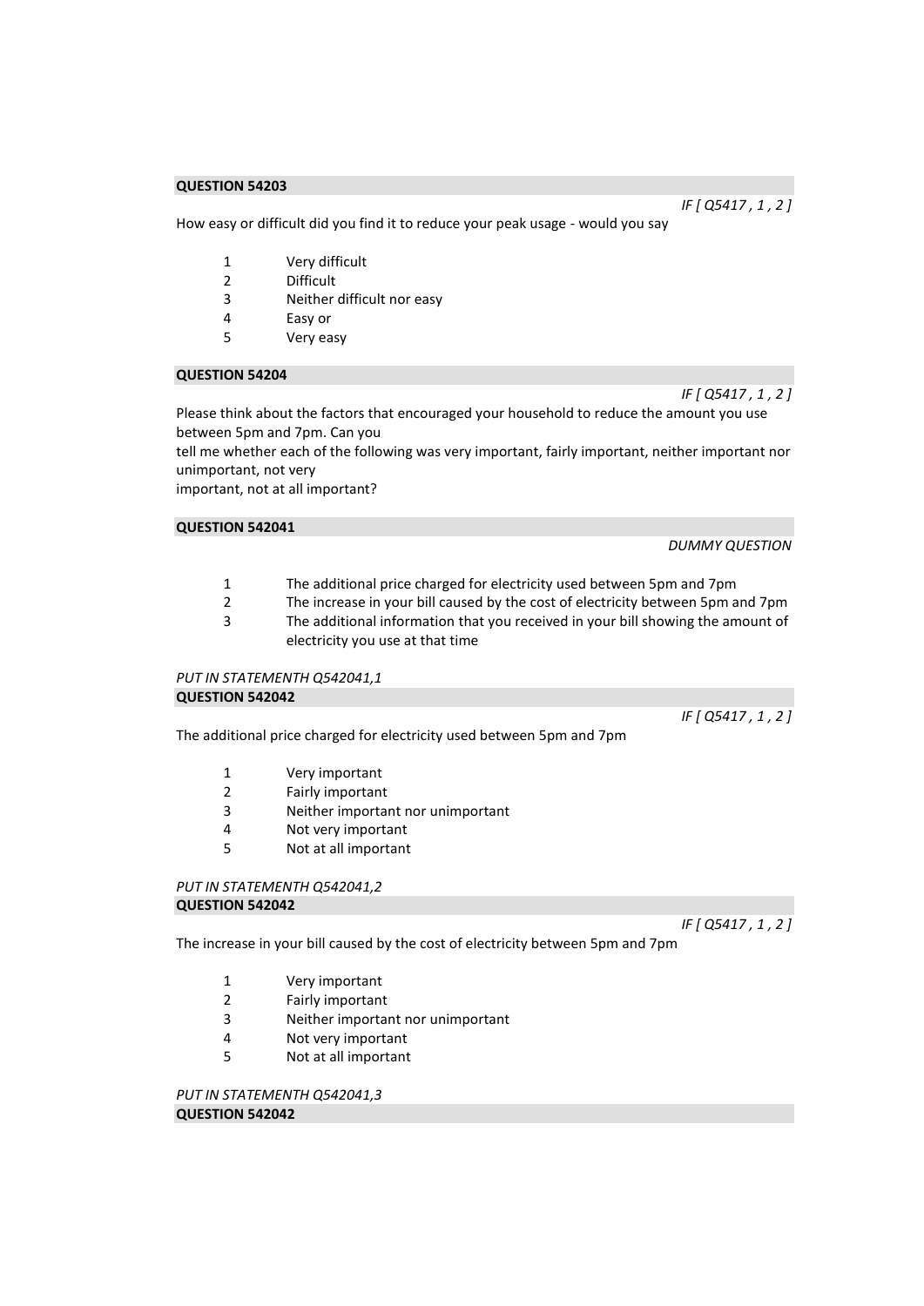How easy or difficult did you find it to reduce your peak usage - would you say

- 1 Very difficult
- 2 Difficult
- 3 Neither difficult nor easy
- 4 Easy or
- 5 Very easy

#### **QUESTION 54204**

Please think about the factors that encouraged your household to reduce the amount you use between 5pm and 7pm. Can you

tell me whether each of the following was very important, fairly important, neither important nor unimportant, not very

important, not at all important?

# **QUESTION 542041**

*DUMMY QUESTION* 

*IF [ Q5417 , 1 , 2 ]* 

- 1 The additional price charged for electricity used between 5pm and 7pm<br>2 The increase in your bill caused by the cost of electricity between 5pm a
- The increase in your bill caused by the cost of electricity between 5pm and 7pm
- 3 The additional information that you received in your bill showing the amount of electricity you use at that time

# *PUT IN STATEMENTH Q542041,1*

**QUESTION 542042** 

The additional price charged for electricity used between 5pm and 7pm

- 1 Very important
- 2 Fairly important
- 3 Neither important nor unimportant
- 4 Not very important
- 5 Not at all important

#### *PUT IN STATEMENTH Q542041,2*  **QUESTION 542042**

*IF [ Q5417 , 1 , 2 ]* 

The increase in your bill caused by the cost of electricity between 5pm and 7pm

- 1 Very important
- 2 Fairly important
- 3 Neither important nor unimportant
- 4 Not very important
- 5 Not at all important

*PUT IN STATEMENTH Q542041,3*  **QUESTION 542042** 

*IF [ Q5417 , 1 , 2 ]* 

*IF [ Q5417 , 1 , 2 ]*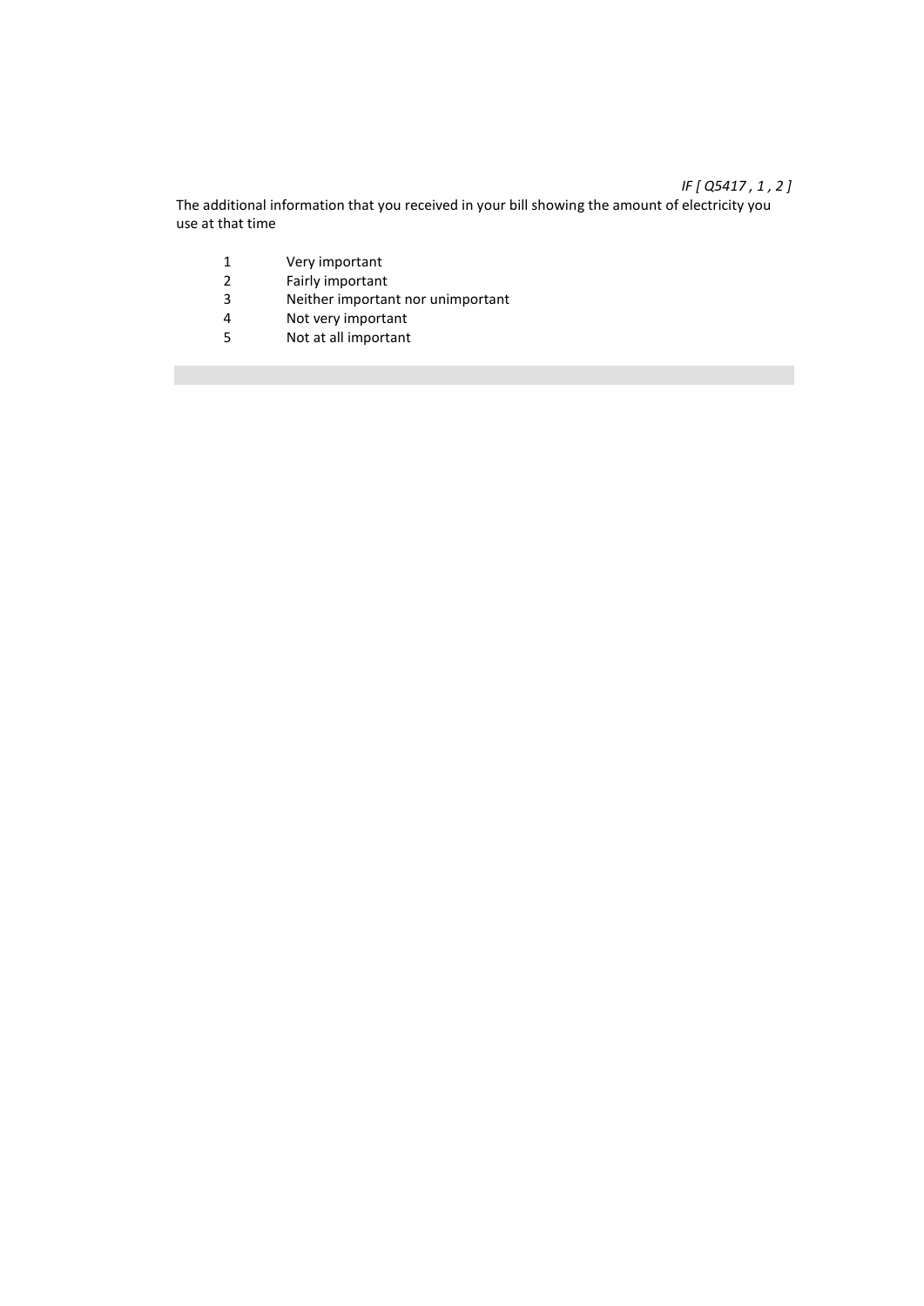# *IF [ Q5417 , 1 , 2 ]*

The additional information that you received in your bill showing the amount of electricity you use at that time

- 1 Very important<br>2 Fairly important
- 2 Fairly important<br>3 Neither importal
- 3 Neither important nor unimportant<br>4 Not verv important
- 4 Not very important<br>5 Not at all important
- Not at all important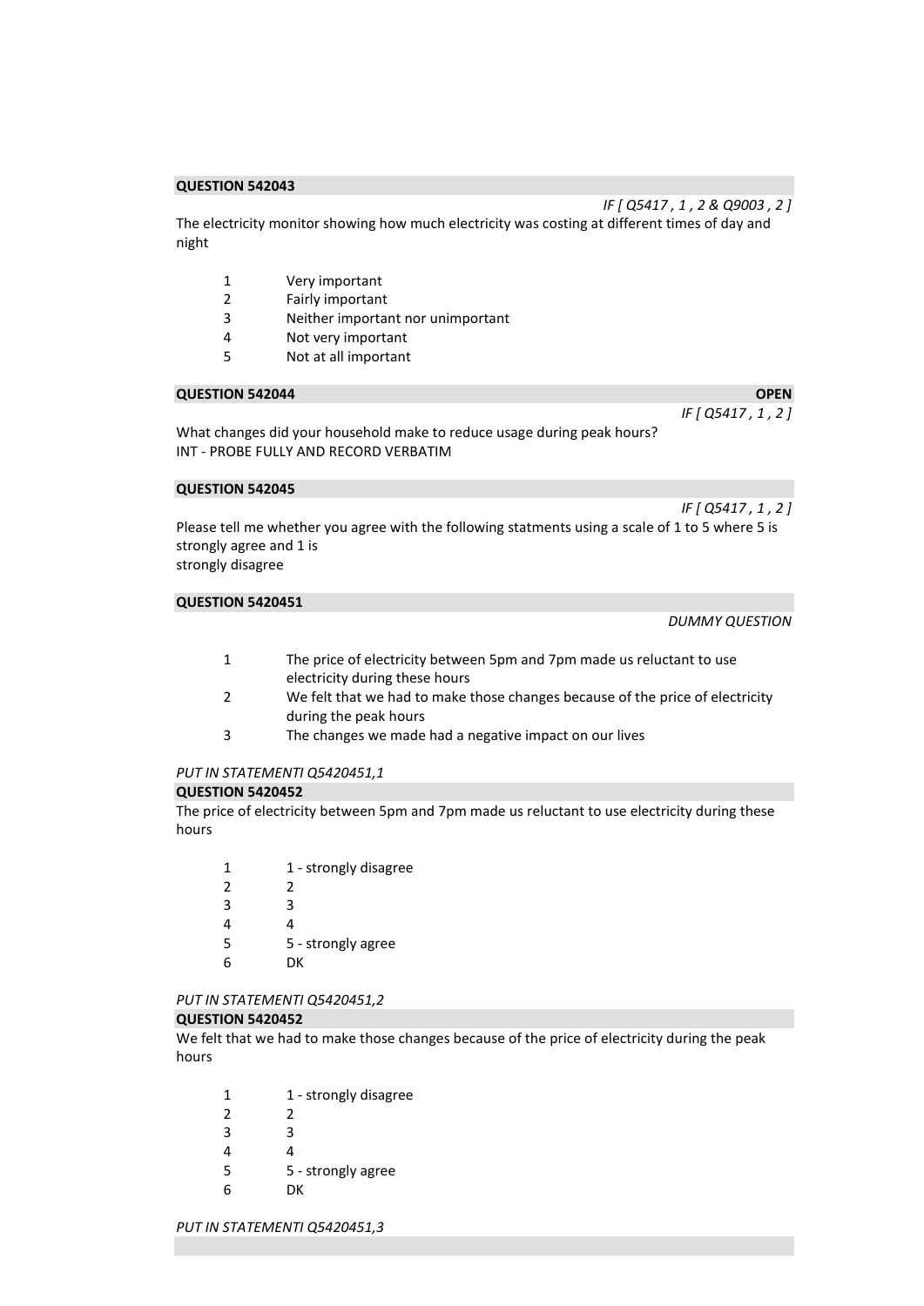The electricity monitor showing how much electricity was costing at different times of day and night

- 1 Very important
- 2 Fairly important<br>3 Neither importal
- Neither important nor unimportant
- 4 Not very important
- 5 Not at all important

#### **QUESTION 542044 OPEN OPEN**

*IF [ Q5417 , 1 , 2 ]* 

*IF [ Q5417 , 1 , 2 & Q9003 , 2 ]* 

What changes did your household make to reduce usage during peak hours? INT - PROBE FULLY AND RECORD VERBATIM

#### **QUESTION 542045**

*IF [ Q5417 , 1 , 2 ]*  Please tell me whether you agree with the following statments using a scale of 1 to 5 where 5 is strongly agree and 1 is strongly disagree

# **QUESTION 5420451**

*DUMMY QUESTION* 

- 1 The price of electricity between 5pm and 7pm made us reluctant to use electricity during these hours
- 2 We felt that we had to make those changes because of the price of electricity during the peak hours
- 3 The changes we made had a negative impact on our lives

#### *PUT IN STATEMENTI Q5420451,1*

#### **QUESTION 5420452**

The price of electricity between 5pm and 7pm made us reluctant to use electricity during these hours

| 1              | 1 - strongly disagree |
|----------------|-----------------------|
| $\mathfrak{p}$ | 2                     |
| κ              | ₹                     |
| Δ              |                       |
| 5              | 5 - strongly agree    |
| հ              | DК                    |

#### *PUT IN STATEMENTI Q5420451,2*

#### **QUESTION 5420452**

We felt that we had to make those changes because of the price of electricity during the peak hours

| 1 | 1 - strongly disagree |
|---|-----------------------|
| 2 | 2                     |
| κ | ς                     |
| 4 | Δ                     |
| 5 | 5 - strongly agree    |
| h | nк                    |

*PUT IN STATEMENTI Q5420451,3*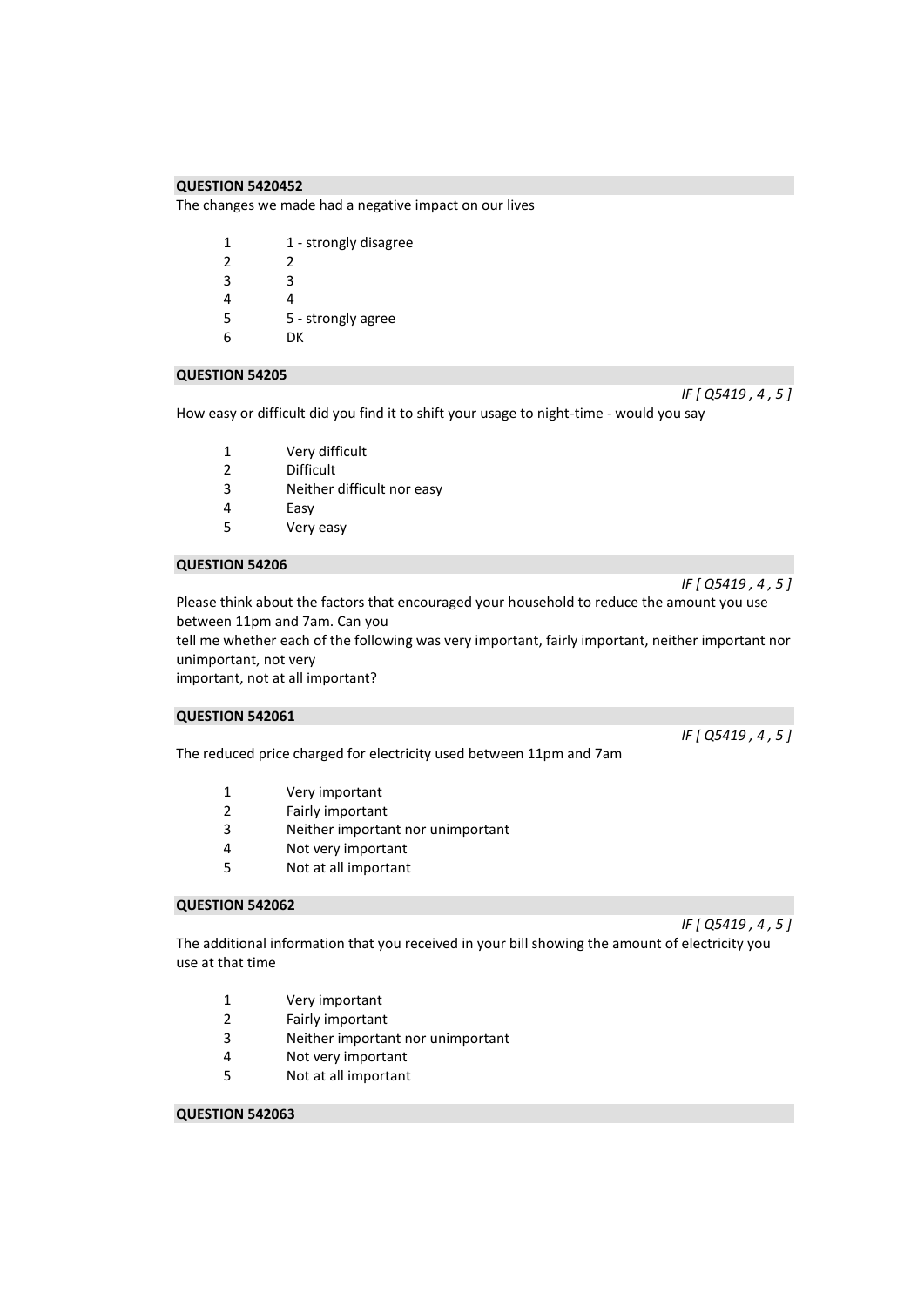The changes we made had a negative impact on our lives

| 1              | 1 - strongly disagree |
|----------------|-----------------------|
| $\mathfrak{p}$ | 2                     |
| 3              | ੨                     |
| 4              | 4                     |
| 5              | 5 - strongly agree    |
| հ              | DК                    |
|                |                       |

#### **QUESTION 54205**

How easy or difficult did you find it to shift your usage to night-time - would you say

- 1 Very difficult<br>2 Difficult
- **Difficult**
- 3 Neither difficult nor easy
- 4 Easy
- 5 Very easy

#### **QUESTION 54206**

Please think about the factors that encouraged your household to reduce the amount you use between 11pm and 7am. Can you

tell me whether each of the following was very important, fairly important, neither important nor unimportant, not very

important, not at all important?

#### **QUESTION 542061**

The reduced price charged for electricity used between 11pm and 7am

- 1 Very important
- 2 Fairly important
- 3 Neither important nor unimportant
- 4 Not very important
- 5 Not at all important

### **QUESTION 542062**

*IF [ Q5419 , 4 , 5 ]* 

The additional information that you received in your bill showing the amount of electricity you use at that time

- 1 Very important
- 2 Fairly important
- 3 Neither important nor unimportant
- 4 Not very important
- 5 Not at all important

#### **QUESTION 542063**

*IF [ Q5419 , 4 , 5 ]* 

*IF [ Q5419 , 4 , 5 ]* 

*IF [ Q5419 , 4 , 5 ]*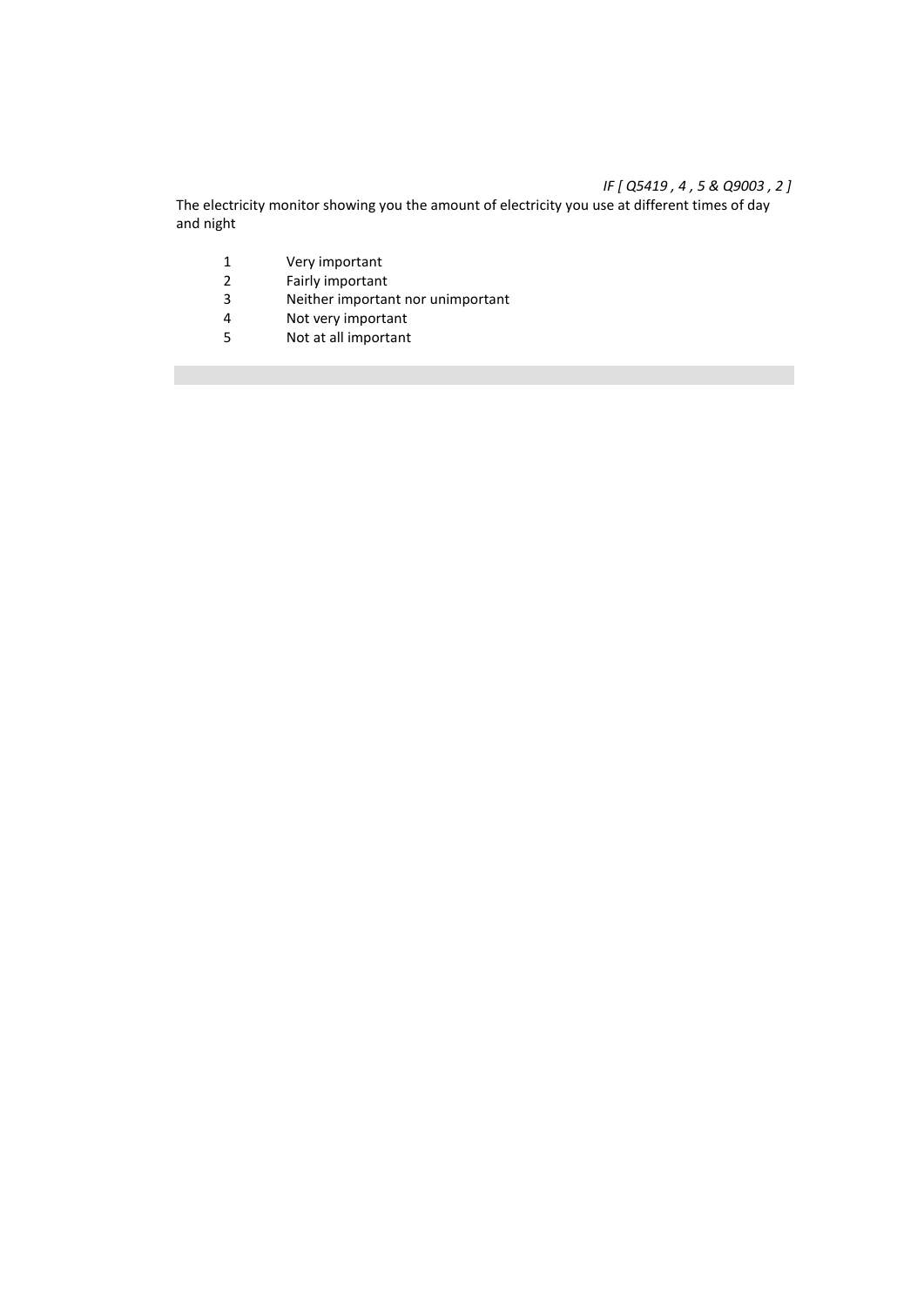# *IF [ Q5419 , 4 , 5 & Q9003 , 2 ]*

The electricity monitor showing you the amount of electricity you use at different times of day and night

- 1 Very important<br>2 Fairly important
- 2 Fairly important<br>3 Neither importal
- 3 Neither important nor unimportant<br>4 Not verv important
- 4 Not very important<br>5 Not at all important
- Not at all important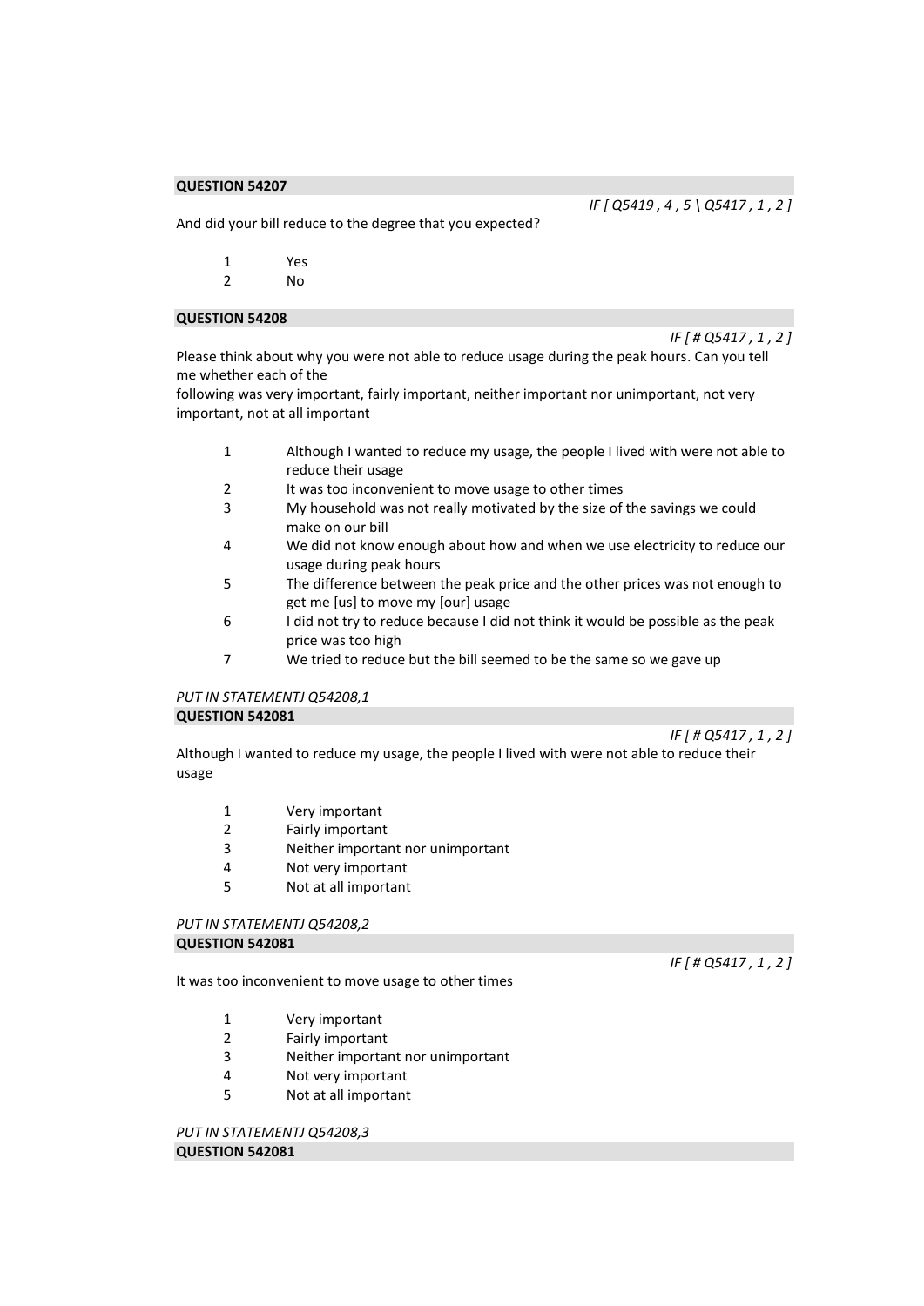*IF [ Q5419 , 4 , 5 \ Q5417 , 1 , 2 ]* 

*IF [ # Q5417 , 1 , 2 ]* 

And did your bill reduce to the degree that you expected?

| 1 | Yes |
|---|-----|
| 2 | No  |

#### **QUESTION 54208**

Please think about why you were not able to reduce usage during the peak hours. Can you tell me whether each of the

following was very important, fairly important, neither important nor unimportant, not very important, not at all important

- 1 Although I wanted to reduce my usage, the people I lived with were not able to reduce their usage
- 2 It was too inconvenient to move usage to other times
- 3 My household was not really motivated by the size of the savings we could make on our bill
- 4 We did not know enough about how and when we use electricity to reduce our usage during peak hours
- 5 The difference between the peak price and the other prices was not enough to get me [us] to move my [our] usage
- 6 I did not try to reduce because I did not think it would be possible as the peak price was too high
- 7 We tried to reduce but the bill seemed to be the same so we gave up

# *PUT IN STATEMENTJ Q54208,1*  **QUESTION 542081**

*IF [ # Q5417 , 1 , 2 ]* 

Although I wanted to reduce my usage, the people I lived with were not able to reduce their usage

- 1 Very important
- 2 Fairly important
- 3 Neither important nor unimportant
- 4 Not very important
- 5 Not at all important

#### *PUT IN STATEMENTJ Q54208,2*  **QUESTION 542081**

It was too inconvenient to move usage to other times

- 1 Very important
- 2 Fairly important
- 3 Neither important nor unimportant
- 4 Not very important
- 5 Not at all important

*PUT IN STATEMENTJ Q54208,3*  **QUESTION 542081** 

*IF [ # Q5417 , 1 , 2 ]*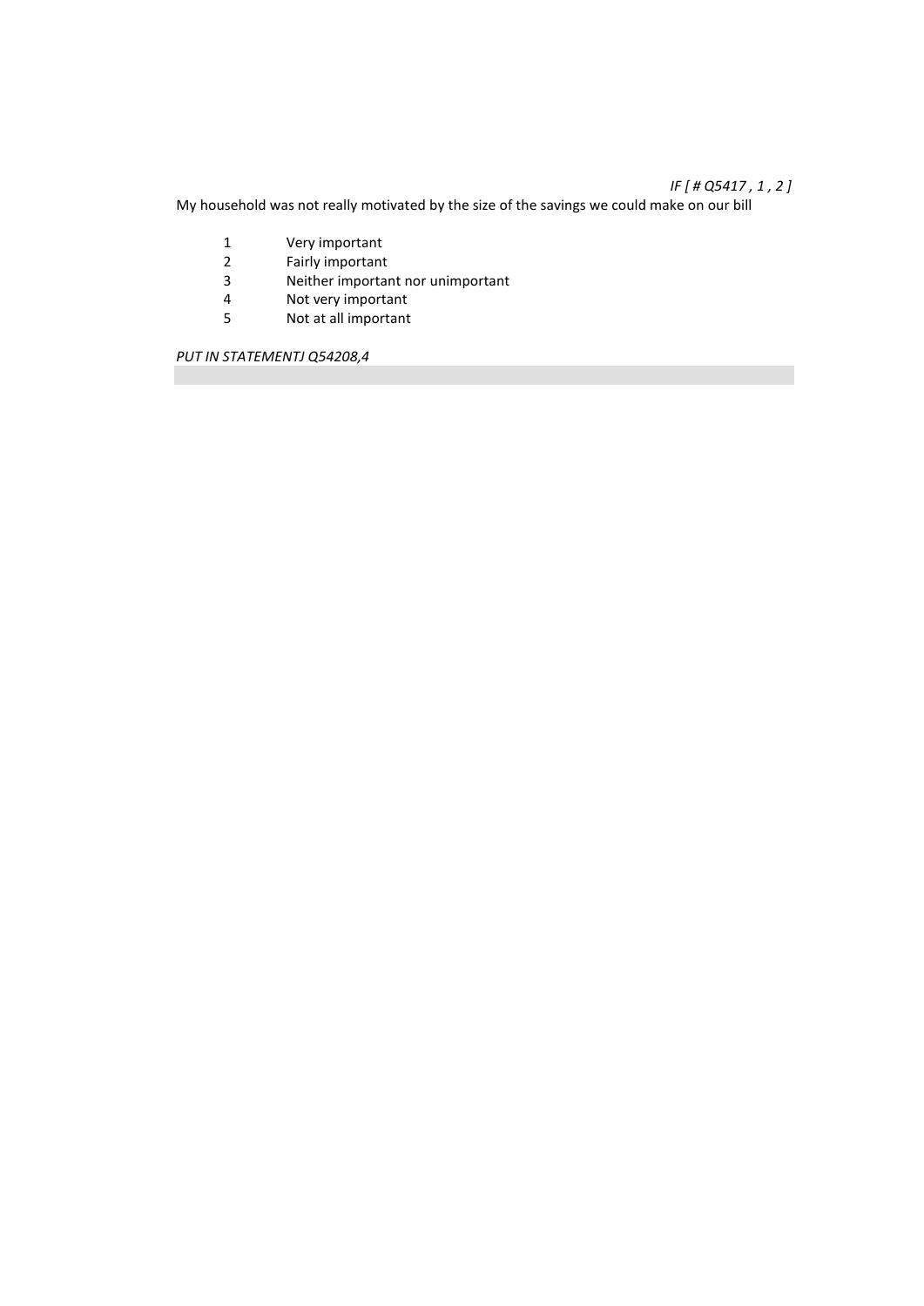# *IF [ # Q5417 , 1 , 2 ]*

My household was not really motivated by the size of the savings we could make on our bill

- 1 Very important<br>2 Fairly important
- 2 Fairly important<br>3 Neither importar
- 3 Neither important nor unimportant<br>4 Not very important
- 4 Not very important<br>5 Not at all important
- Not at all important

*PUT IN STATEMENTJ Q54208,4*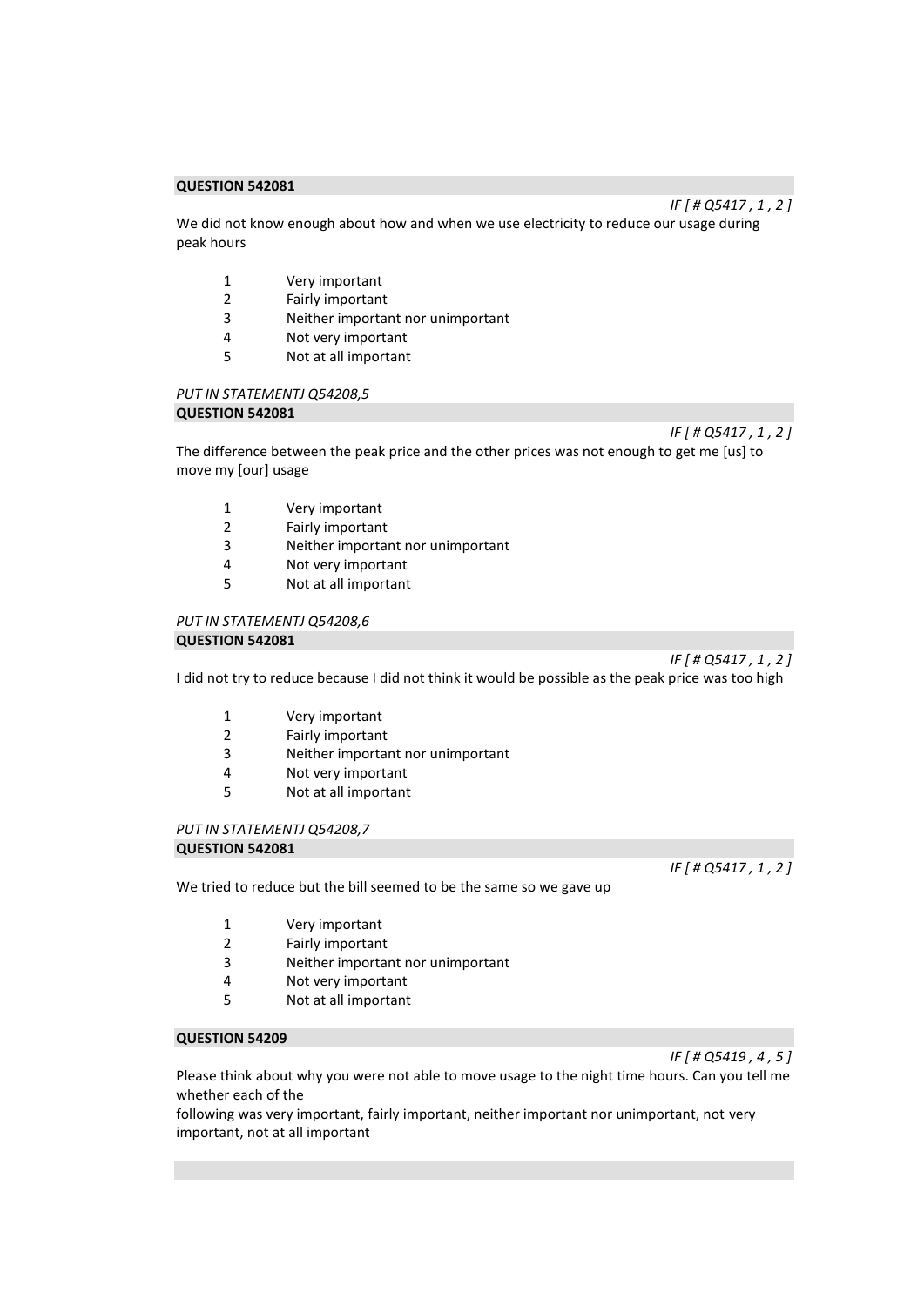We did not know enough about how and when we use electricity to reduce our usage during peak hours

- 1 Very important
- 2 Fairly important<br>3 Neither importal
- Neither important nor unimportant
- 4 Not very important
- 5 Not at all important

# *PUT IN STATEMENTJ Q54208,5*

# **QUESTION 542081**

*IF [ # Q5417 , 1 , 2 ]* 

*IF [ # Q5417 , 1 , 2 ]* 

The difference between the peak price and the other prices was not enough to get me [us] to move my [our] usage

- 1 Very important
- 2 Fairly important
- 3 Neither important nor unimportant
- 4 Not very important
- 5 Not at all important

# *PUT IN STATEMENTJ Q54208,6*

# **QUESTION 542081**

*IF [ # Q5417 , 1 , 2 ]* 

I did not try to reduce because I did not think it would be possible as the peak price was too high

- 1 Very important
- 2 Fairly important
- 3 Neither important nor unimportant
- 4 Not very important
- 5 Not at all important

# *PUT IN STATEMENTJ Q54208,7*

#### **QUESTION 542081**

We tried to reduce but the bill seemed to be the same so we gave up

- 1 Very important
- 2 Fairly important
- 3 Neither important nor unimportant
- 4 Not very important
- 5 Not at all important

### **QUESTION 54209**

Please think about why you were not able to move usage to the night time hours. Can you tell me whether each of the

following was very important, fairly important, neither important nor unimportant, not very important, not at all important

# *IF [ # Q5419 , 4 , 5 ]*

*IF [ # Q5417 , 1 , 2 ]*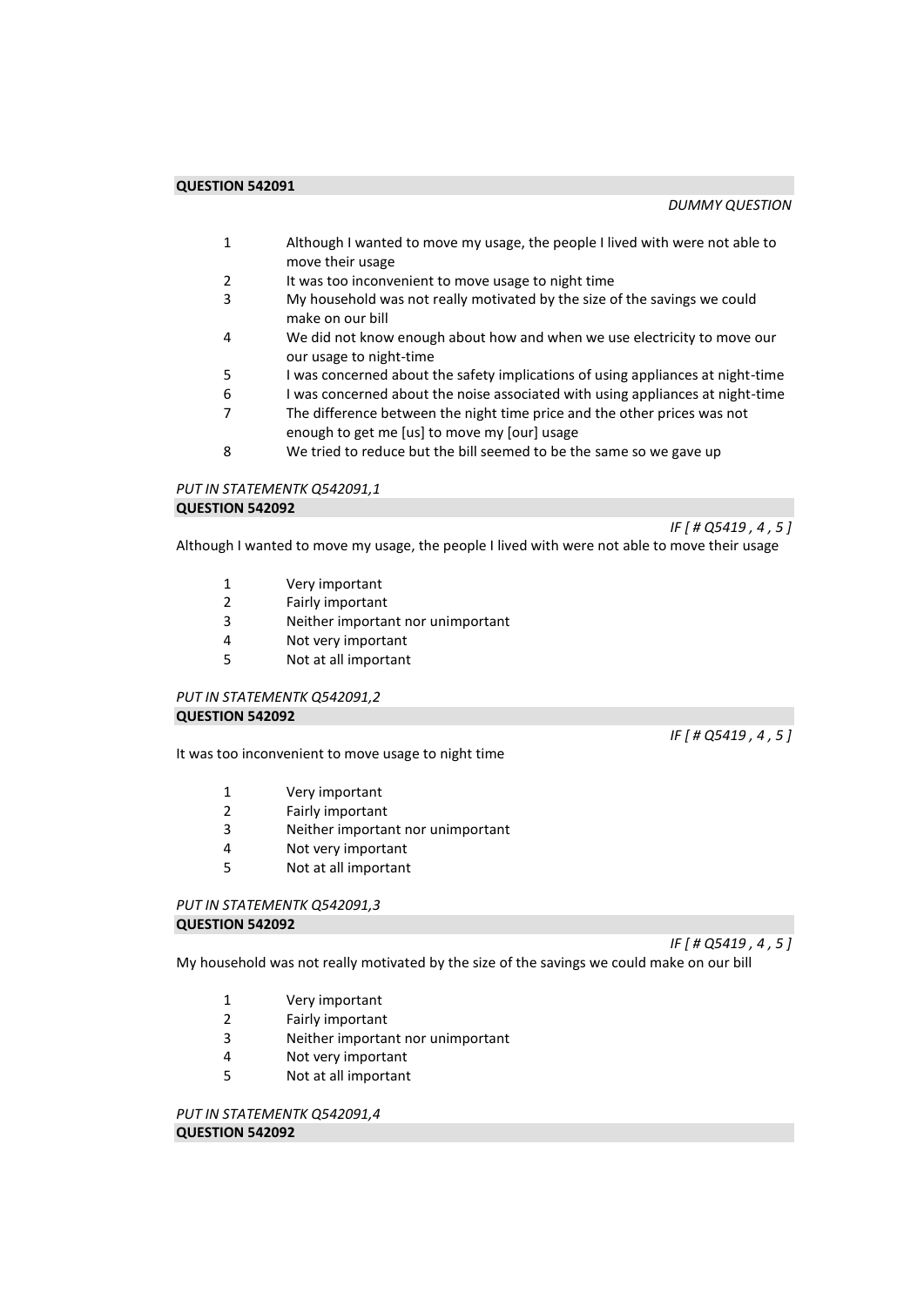- 1 Although I wanted to move my usage, the people I lived with were not able to move their usage
- 2 It was too inconvenient to move usage to night time
- 3 My household was not really motivated by the size of the savings we could make on our bill
- 4 We did not know enough about how and when we use electricity to move our our usage to night-time
- 5 I was concerned about the safety implications of using appliances at night-time
- 6 I was concerned about the noise associated with using appliances at night-time
- 7 The difference between the night time price and the other prices was not enough to get me [us] to move my [our] usage
- 8 We tried to reduce but the bill seemed to be the same so we gave up

#### *PUT IN STATEMENTK Q542091,1*  **QUESTION 542092**

*IF [ # Q5419 , 4 , 5 ]* 

*IF [ # Q5419 , 4 , 5 ]* 

Although I wanted to move my usage, the people I lived with were not able to move their usage

- 1 Very important<br>2 Fairly important
- Fairly important
- 3 Neither important nor unimportant
- 4 Not very important<br>5 Not at all important
- 5 Not at all important

# *PUT IN STATEMENTK Q542091,2*  **QUESTION 542092**

It was too inconvenient to move usage to night time

- 1 Very important
- 2 Fairly important
- 3 Neither important nor unimportant
- 4 Not very important
- 5 Not at all important

#### *PUT IN STATEMENTK Q542091,3*  **QUESTION 542092**

*IF [ # Q5419 , 4 , 5 ]* 

My household was not really motivated by the size of the savings we could make on our bill

- 1 Very important
- 2 Fairly important
- 3 Neither important nor unimportant
- 4 Not very important
- 5 Not at all important

*PUT IN STATEMENTK Q542091,4*  **QUESTION 542092**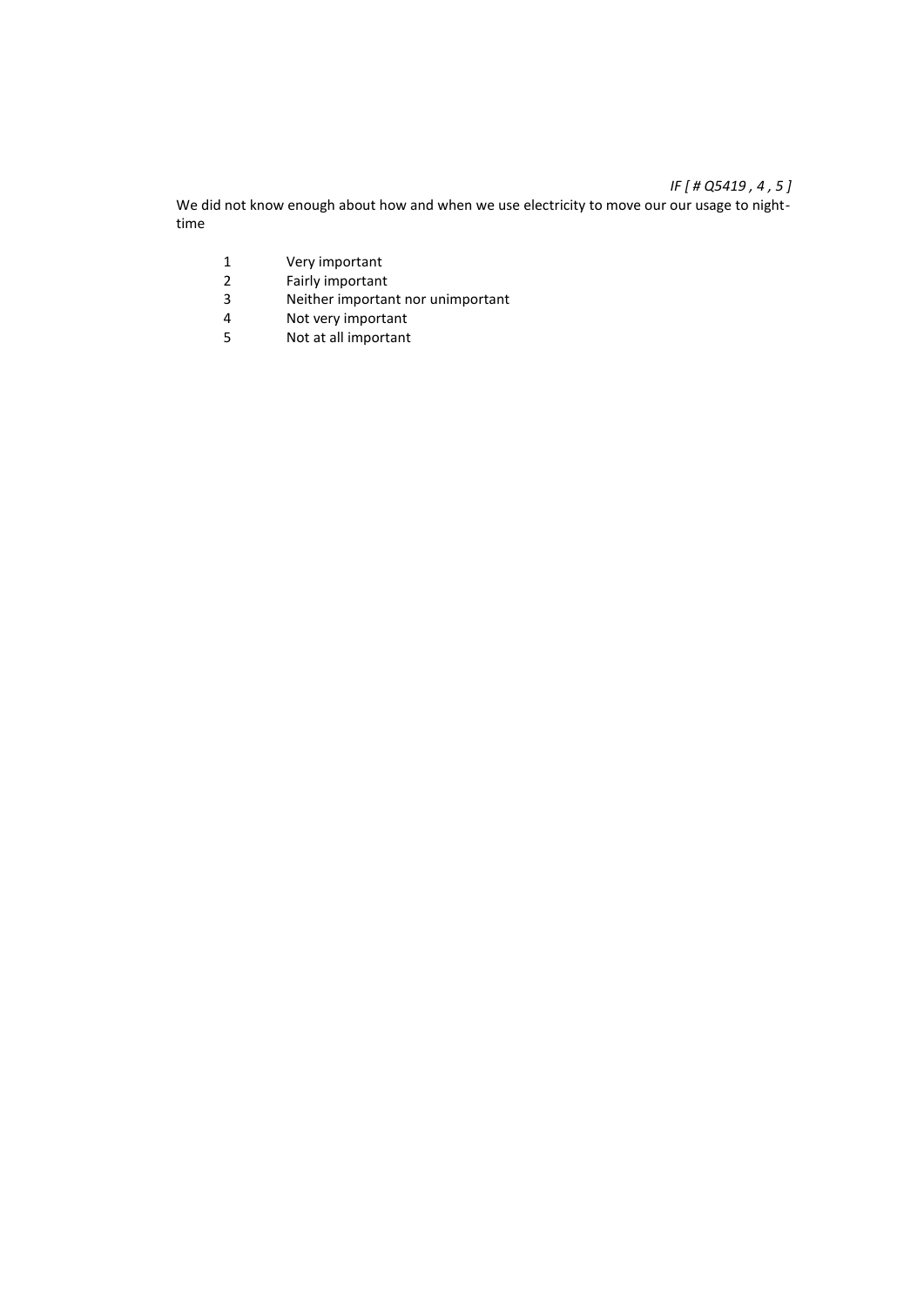# *IF [ # Q5419 , 4 , 5 ]*

We did not know enough about how and when we use electricity to move our our usage to nighttime

- 1 Very important<br>2 Fairly important
- 2 Fairly important<br>3 Neither importal
- 3 Neither important nor unimportant<br>4 Not verv important
- 4 Not very important<br>5 Not at all important
- Not at all important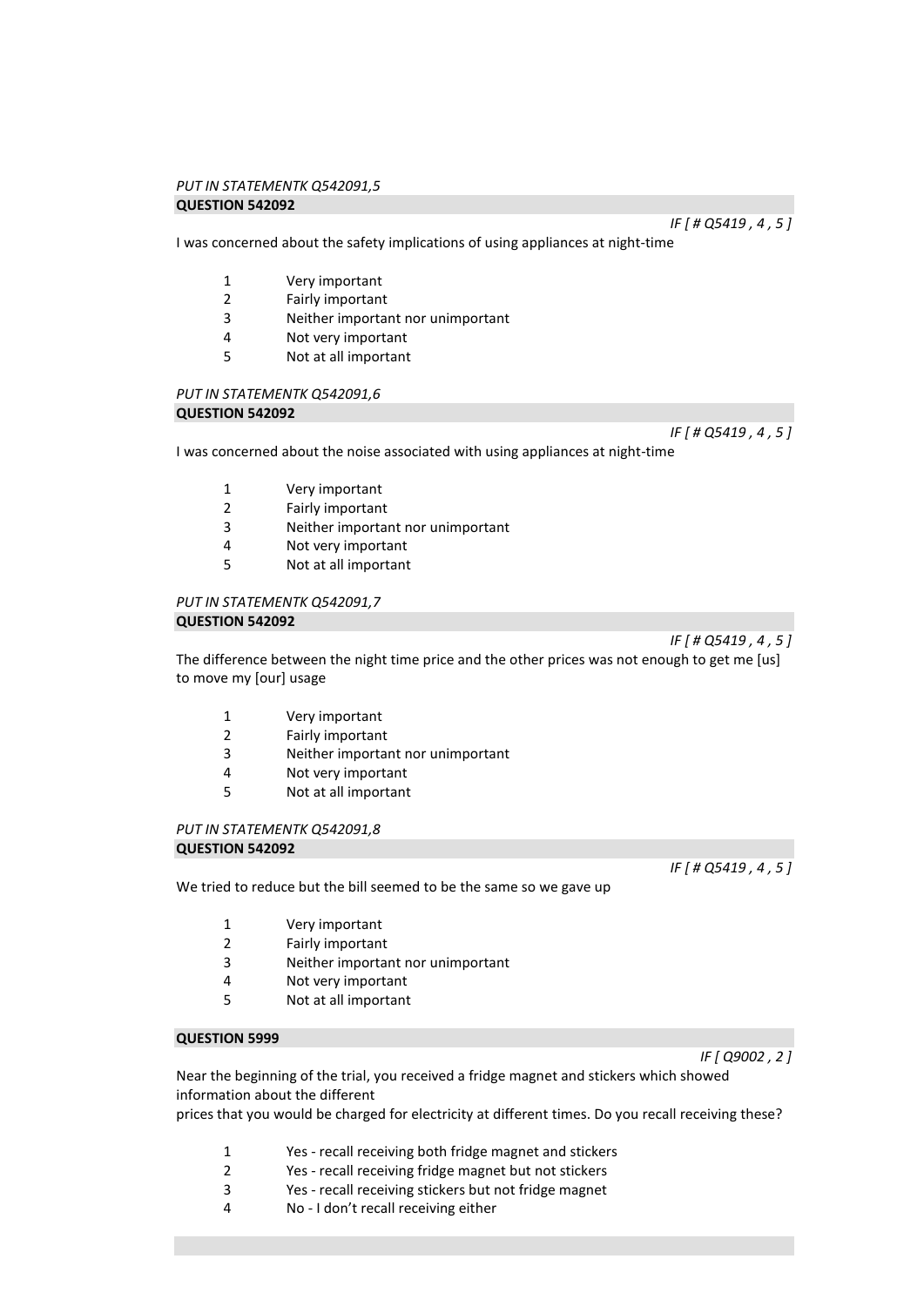# *PUT IN STATEMENTK Q542091,5*

# **QUESTION 542092**

I was concerned about the safety implications of using appliances at night-time

- 1 Very important
- 2 Fairly important<br>3 Neither importal
- Neither important nor unimportant
- 4 Not very important
- 5 Not at all important

# *PUT IN STATEMENTK Q542091,6*

# **QUESTION 542092**

*IF [ # Q5419 , 4 , 5 ]* 

I was concerned about the noise associated with using appliances at night-time

- 1 Very important
- 2 Fairly important
- 3 Neither important nor unimportant
- 4 Not very important
- 5 Not at all important

#### *PUT IN STATEMENTK Q542091,7*  **QUESTION 542092**

The difference between the night time price and the other prices was not enough to get me [us] to move my [our] usage

- 1 Very important
- 2 Fairly important
- 3 Neither important nor unimportant
- 4 Not very important
- 5 Not at all important

#### *PUT IN STATEMENTK Q542091,8*  **QUESTION 542092**

We tried to reduce but the bill seemed to be the same so we gave up

- 1 Very important
- 2 Fairly important
- 3 Neither important nor unimportant
- 4 Not very important
- 5 Not at all important

### **QUESTION 5999**

Near the beginning of the trial, you received a fridge magnet and stickers which showed information about the different

prices that you would be charged for electricity at different times. Do you recall receiving these?

- 1 Yes recall receiving both fridge magnet and stickers
- 2 Yes recall receiving fridge magnet but not stickers
- 3 Yes recall receiving stickers but not fridge magnet
- 4 No I don't recall receiving either

*IF [ Q9002 , 2 ]* 

*IF [ # Q5419 , 4 , 5 ]* 

*IF [ # Q5419 , 4 , 5 ]* 

*IF [ # Q5419 , 4 , 5 ]*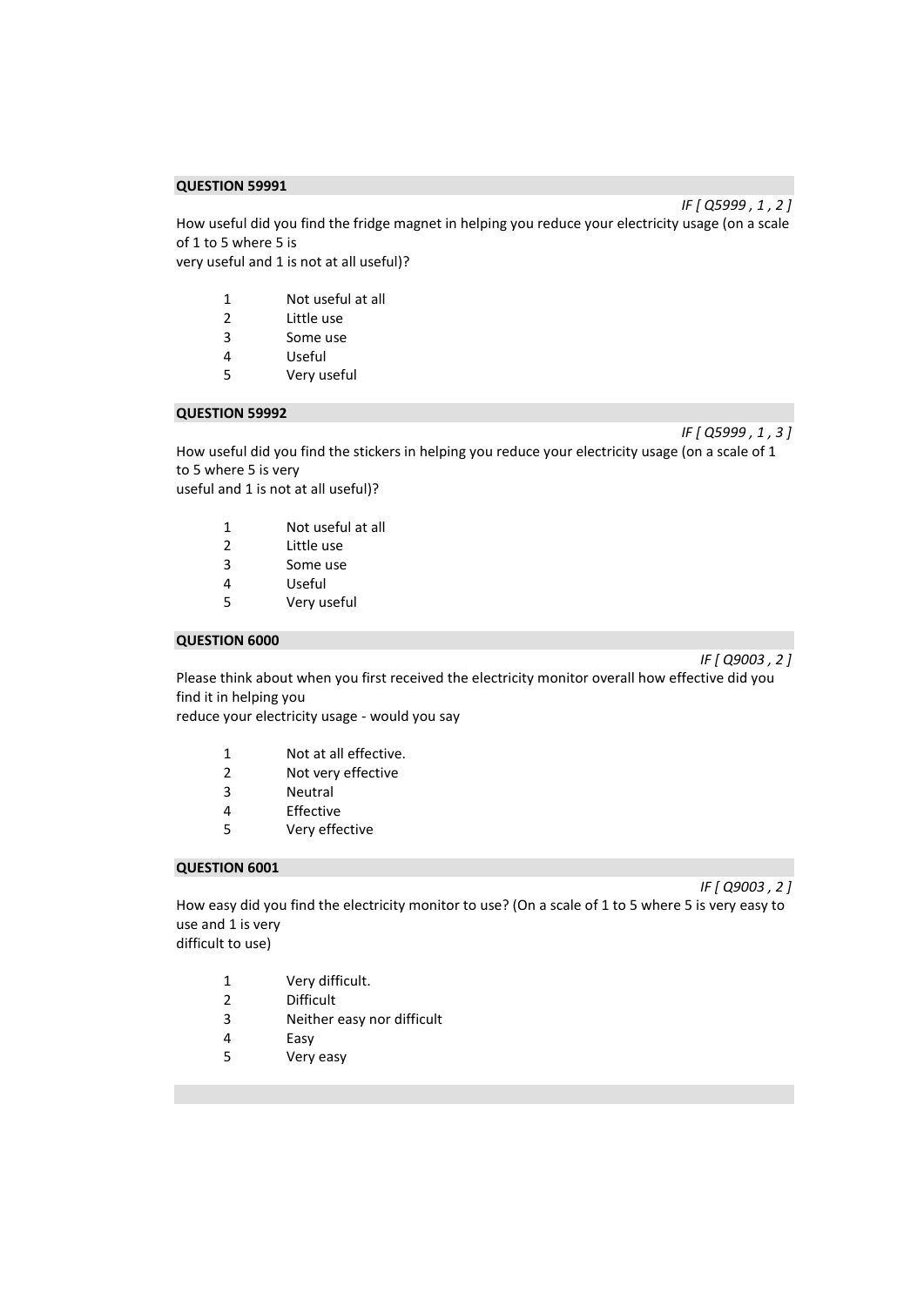How useful did you find the fridge magnet in helping you reduce your electricity usage (on a scale of 1 to 5 where 5 is very useful and 1 is not at all useful)?

- 1 Not useful at all<br>2 Little use Little use
- 3 Some use
- 4 Useful
- 5 Very useful

#### **QUESTION 59992**

*IF [ Q5999 , 1 , 3 ]* 

How useful did you find the stickers in helping you reduce your electricity usage (on a scale of 1 to 5 where 5 is very useful and 1 is not at all useful)?

- 1 Not useful at all
- 2 Little use
- 3 Some use
- 4 Useful<br>5 Verv us
- Very useful

#### **QUESTION 6000**

*IF [ Q9003 , 2 ]* 

Please think about when you first received the electricity monitor overall how effective did you find it in helping you

reduce your electricity usage - would you say

- 1 Not at all effective.
- 2 Not very effective
- 3 Neutral
- 4 Effective
- 5 Very effective

#### **QUESTION 6001**

*IF [ Q9003 , 2 ]* 

How easy did you find the electricity monitor to use? (On a scale of 1 to 5 where 5 is very easy to use and 1 is very difficult to use)

- 1 Very difficult.
- 2 Difficult
- 3 Neither easy nor difficult
- 4 Easy
- 5 Very easy

*IF [ Q5999 , 1 , 2 ]*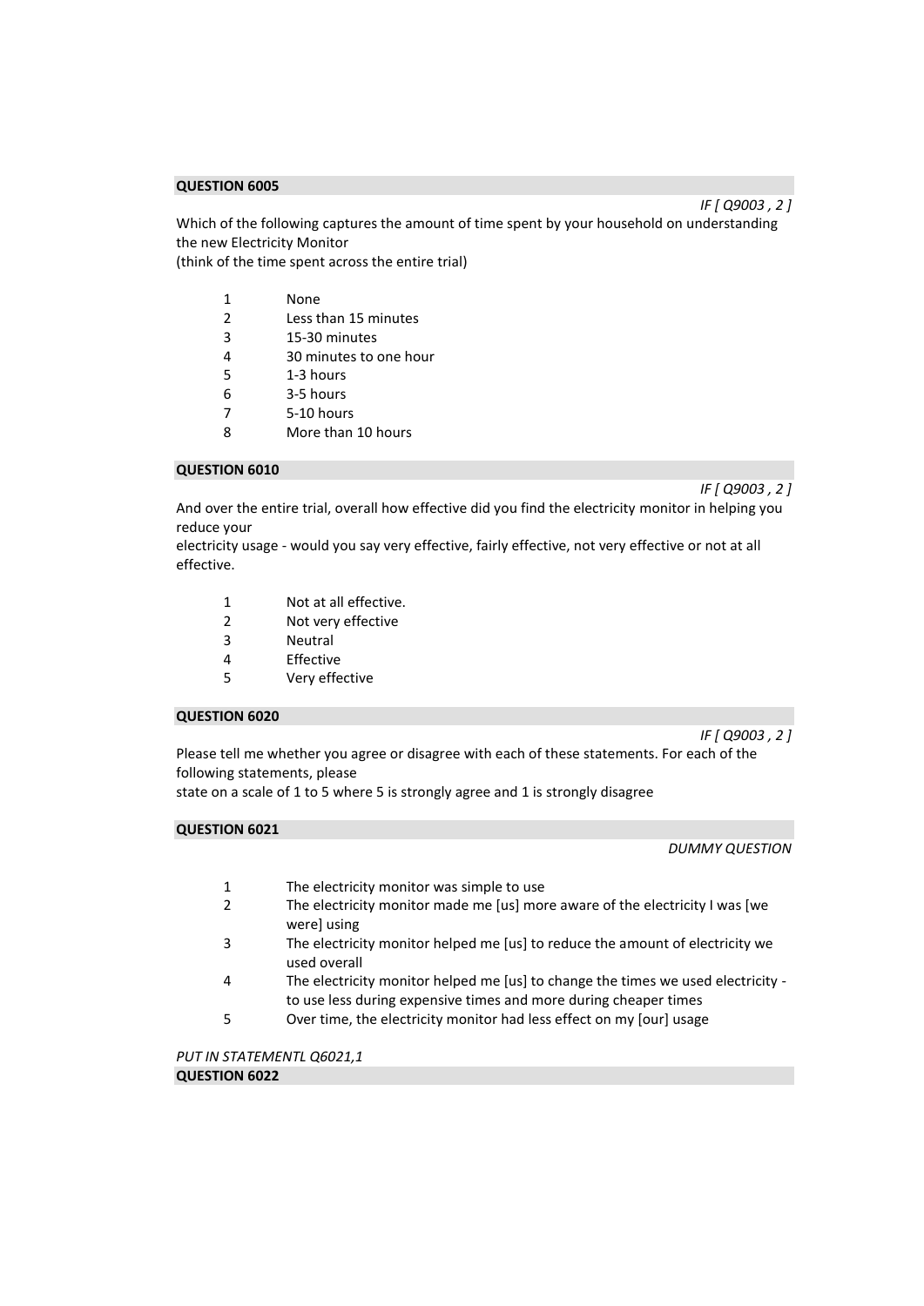Which of the following captures the amount of time spent by your household on understanding the new Electricity Monitor

(think of the time spent across the entire trial)

- 1 None<br>2 Less t
- 2 Less than 15 minutes
- 3 15-30 minutes
- 4 30 minutes to one hour
- 5 1-3 hours
- 6 3-5 hours
- 7 5-10 hours
- 8 More than 10 hours

# **QUESTION 6010**

*IF [ Q9003 , 2 ]* 

*IF [ Q9003 , 2 ]* 

And over the entire trial, overall how effective did you find the electricity monitor in helping you reduce your

electricity usage - would you say very effective, fairly effective, not very effective or not at all effective.

- 1 Not at all effective.
- 2 Not very effective
- 3 Neutral
- 4 Effective
- 5 Very effective

#### **QUESTION 6020**

*IF [ Q9003 , 2 ]* 

Please tell me whether you agree or disagree with each of these statements. For each of the following statements, please

state on a scale of 1 to 5 where 5 is strongly agree and 1 is strongly disagree

#### **QUESTION 6021**

#### *DUMMY QUESTION*

- 1 The electricity monitor was simple to use
- 2 The electricity monitor made me [us] more aware of the electricity I was [we were] using
- 3 The electricity monitor helped me [us] to reduce the amount of electricity we used overall
- 4 The electricity monitor helped me [us] to change the times we used electricity to use less during expensive times and more during cheaper times
- 5 Over time, the electricity monitor had less effect on my [our] usage

*PUT IN STATEMENTL Q6021,1*  **QUESTION 6022**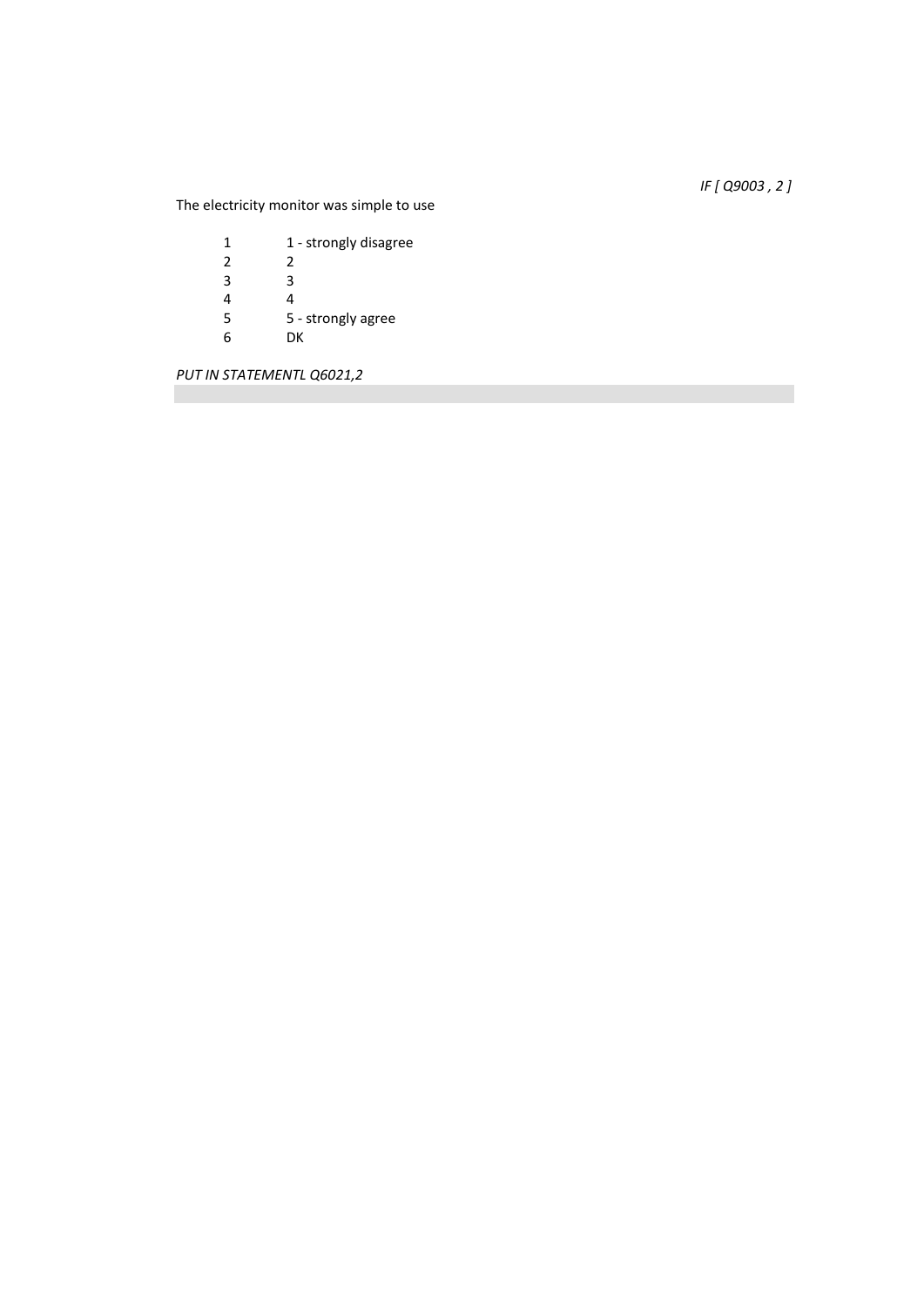*IF [ Q9003 , 2 ]* 

The electricity monitor was simple to use

| 1 | 1 - strongly disagree |
|---|-----------------------|
| 2 | 2                     |
| 3 | ੨                     |
| 4 | 4                     |
| 5 | 5 - strongly agree    |
| 6 | DК                    |
|   |                       |

*PUT IN STATEMENTL Q6021,2*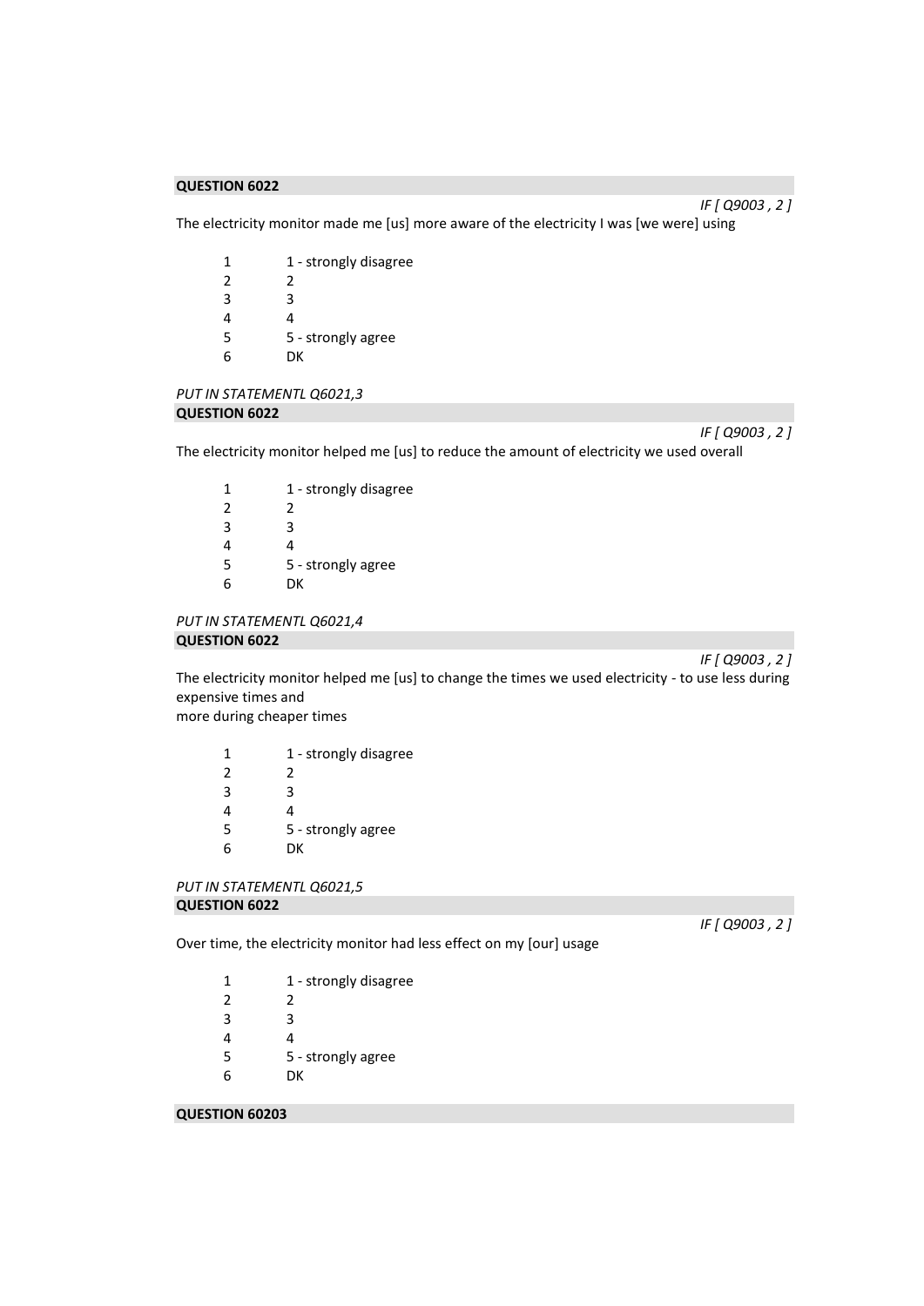*IF [ Q9003 , 2 ]* 

The electricity monitor made me [us] more aware of the electricity I was [we were] using

| 1 - strongly disagree |
|-----------------------|
| 2                     |
| ੨                     |
| 4                     |
| 5 - strongly agree    |
| DК                    |
|                       |

# *PUT IN STATEMENTL Q6021,3*  **QUESTION 6022**

*IF [ Q9003 , 2 ]* 

The electricity monitor helped me [us] to reduce the amount of electricity we used overall

| 1             | 1 - strongly disagree |
|---------------|-----------------------|
| $\mathcal{P}$ | 2                     |
| 3             | ੨                     |
| 4             | 4                     |
| 5             | 5 - strongly agree    |
| հ             | DК                    |

*PUT IN STATEMENTL Q6021,4*  **QUESTION 6022** 

*IF [ Q9003 , 2 ]* 

The electricity monitor helped me [us] to change the times we used electricity - to use less during expensive times and

more during cheaper times

| 1 | 1 - strongly disagree |
|---|-----------------------|
| 2 | 2                     |
| 3 | 3                     |
| 4 | 4                     |
| 5 | 5 - strongly agree    |
| 6 | DК                    |
|   |                       |

```
PUT IN STATEMENTL Q6021,5 
QUESTION 6022
```
*IF [ Q9003 , 2 ]* 

Over time, the electricity monitor had less effect on my [our] usage

| 1             | 1 - strongly disagree |
|---------------|-----------------------|
| $\mathcal{P}$ | 2                     |
| 3             | R                     |
| 4             | 4                     |
| 5             | 5 - strongly agree    |
| 6             | DК                    |
|               |                       |

# **QUESTION 60203**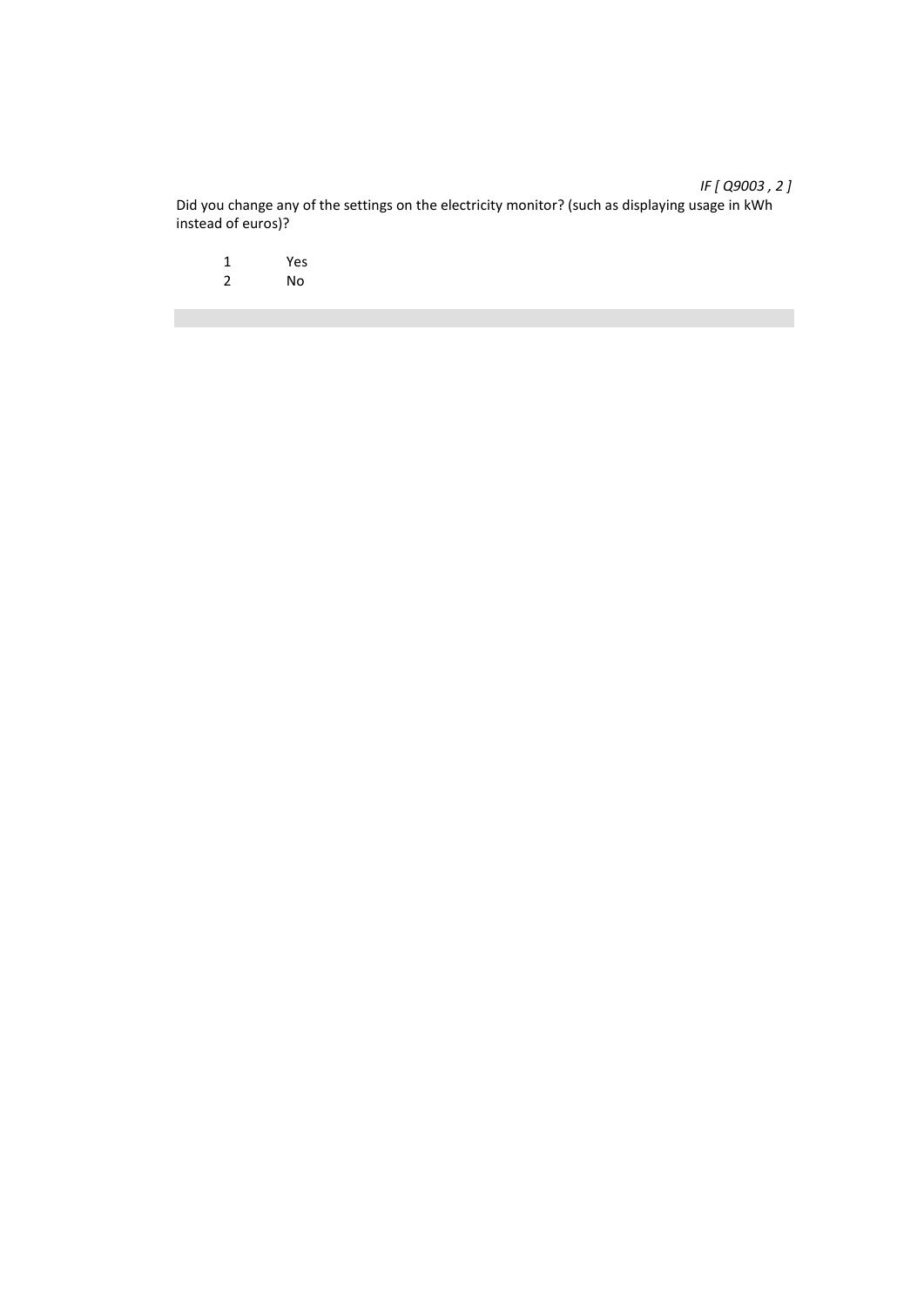Did you change any of the settings on the electricity monitor? (such as displaying usage in kWh instead of euros)?

1 Yes<br>2 No 2 No

# *IF [ Q9003 , 2 ]*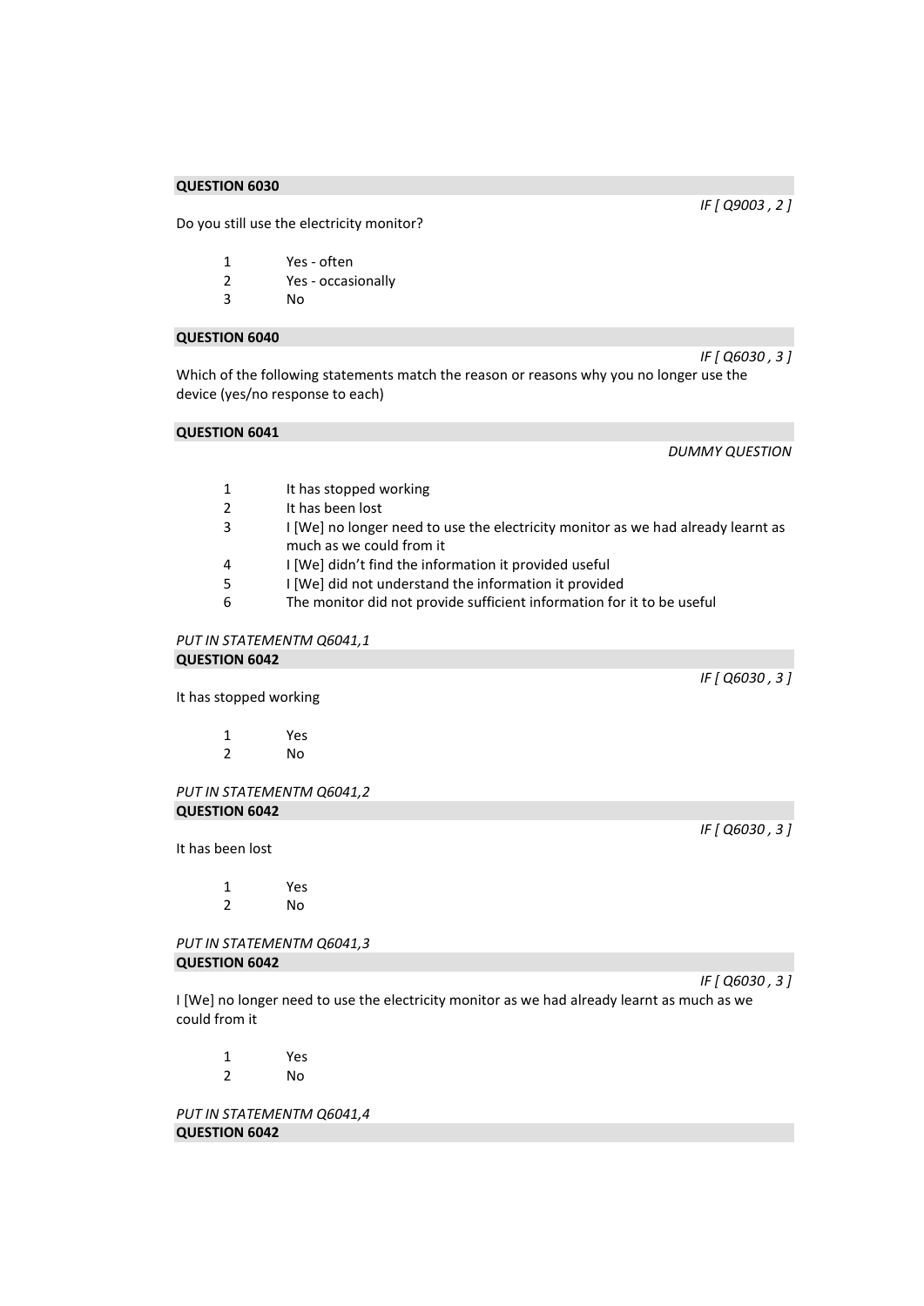Do you still use the electricity monitor?

- 1 Yes often
- 2 Yes occasionally
- 3 No

# **QUESTION 6040**

*IF [ Q6030 , 3 ]*  Which of the following statements match the reason or reasons why you no longer use the device (yes/no response to each)

#### **QUESTION 6041**

*DUMMY QUESTION* 

- 1 It has stopped working
- 2 It has been lost
- 3 I [We] no longer need to use the electricity monitor as we had already learnt as much as we could from it
- 4 I [We] didn't find the information it provided useful
- 5 I [We] did not understand the information it provided
- The monitor did not provide sufficient information for it to be useful

#### *PUT IN STATEMENTM Q6041,1*  **QUESTION 6042**

It has stopped working

| 1 | Yes |
|---|-----|
| 2 | No  |

*PUT IN STATEMENTM Q6041,2*  **QUESTION 6042** 

It has been lost

1 Yes 2 No

*PUT IN STATEMENTM Q6041,3*  **QUESTION 6042** 

I [We] no longer need to use the electricity monitor as we had already learnt as much as we could from it

1 Yes 2 No

*PUT IN STATEMENTM Q6041,4*  **QUESTION 6042** 

*IF [ Q6030 , 3 ]* 

*IF [ Q6030 , 3 ]* 

*IF [ Q6030 , 3 ]* 

*IF [ Q9003 , 2 ]*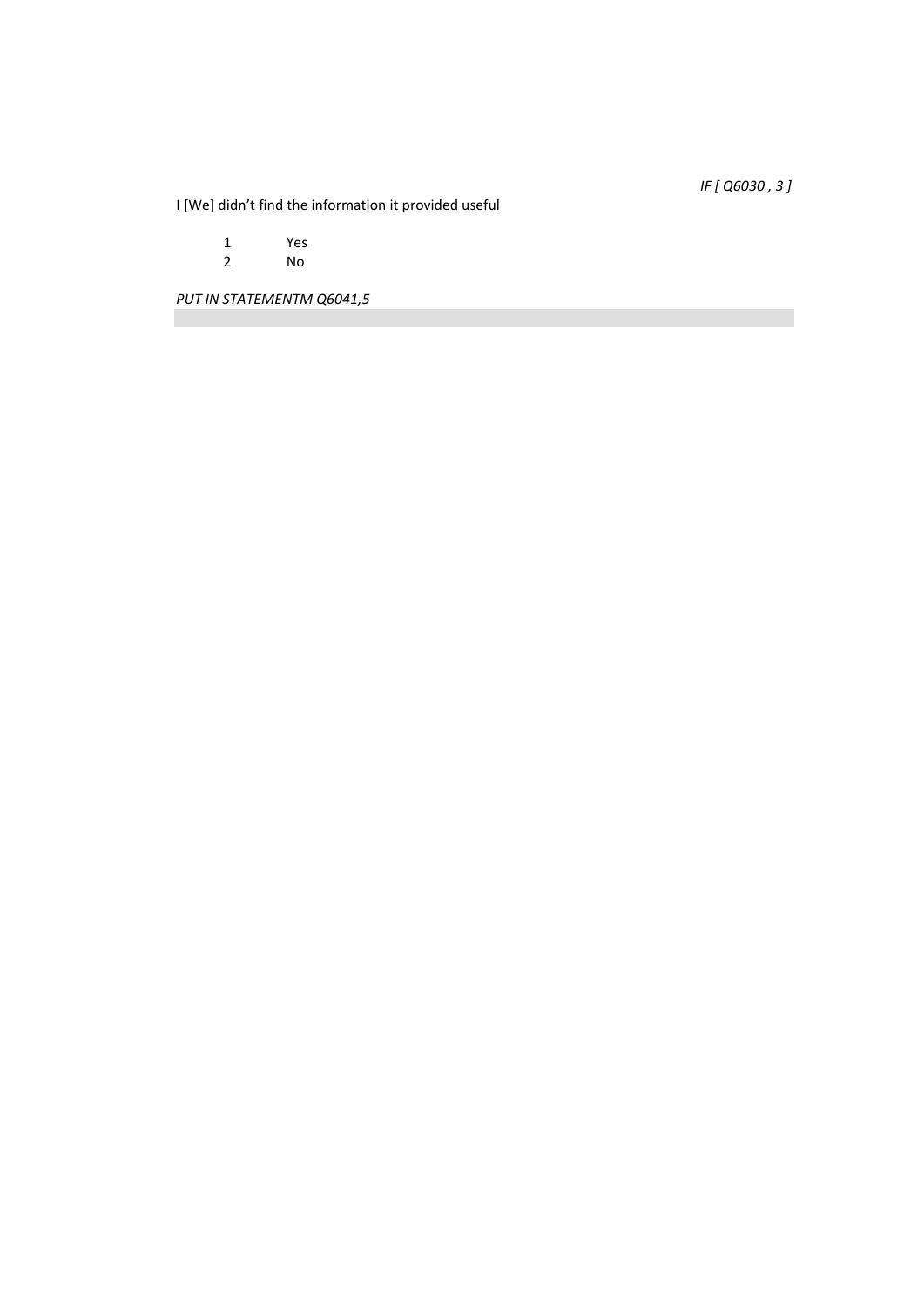*IF [ Q6030 , 3 ]* 

I [We] didn't find the information it provided useful

1 Yes<br>2 No 2 No

*PUT IN STATEMENTM Q6041,5*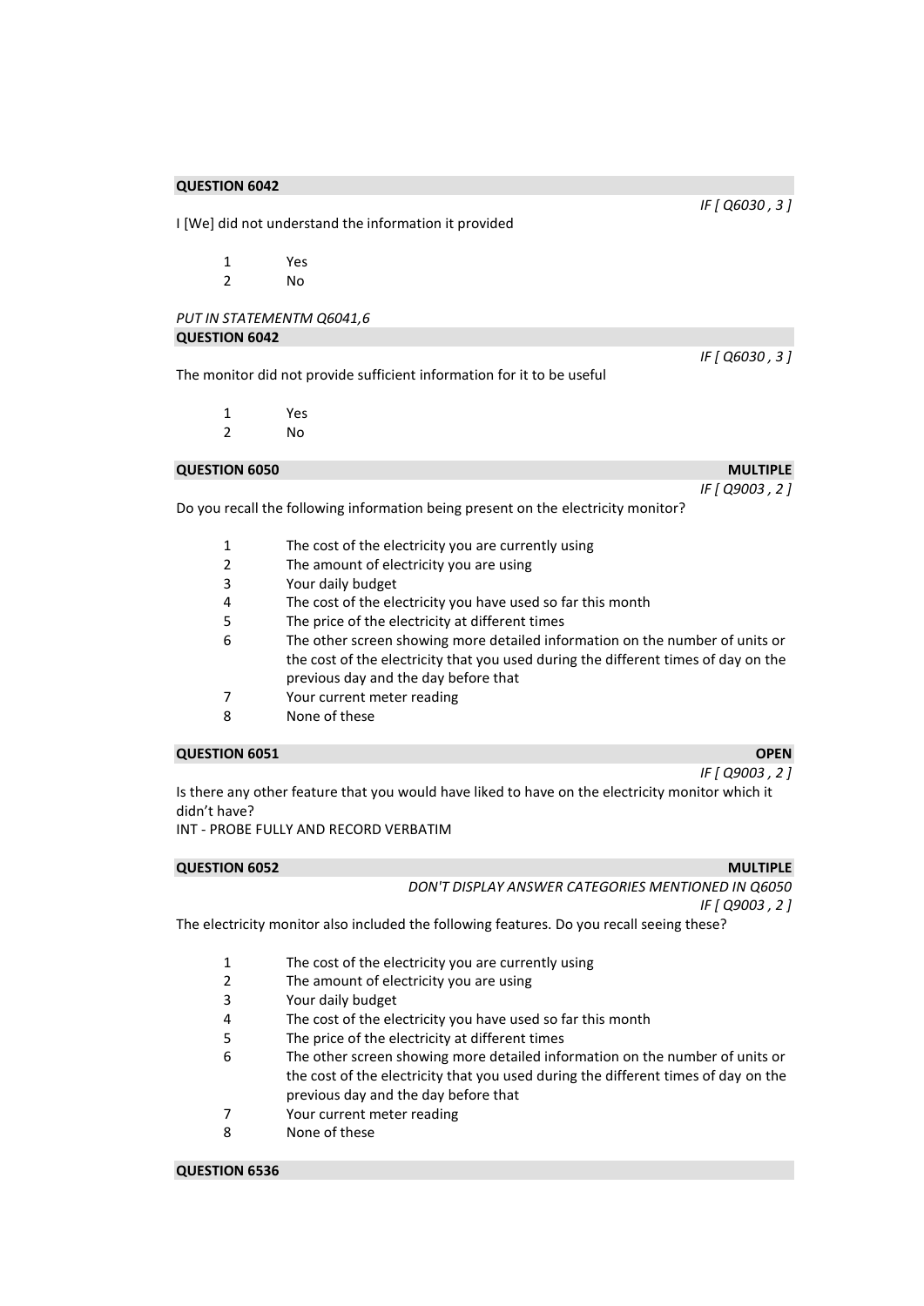| <b>QUESTION 6042</b>      |                                                                                    |                 |
|---------------------------|------------------------------------------------------------------------------------|-----------------|
|                           |                                                                                    | IF [ Q6030, 3 ] |
|                           | I [We] did not understand the information it provided                              |                 |
|                           |                                                                                    |                 |
| $\mathbf{1}$              | Yes                                                                                |                 |
| $\overline{2}$            | N <sub>0</sub>                                                                     |                 |
| PUT IN STATEMENTM Q6041,6 |                                                                                    |                 |
| <b>QUESTION 6042</b>      |                                                                                    |                 |
|                           |                                                                                    | IF [ Q6030, 3 ] |
|                           | The monitor did not provide sufficient information for it to be useful             |                 |
|                           |                                                                                    |                 |
| $\mathbf{1}$              | Yes                                                                                |                 |
| $\overline{2}$            | <b>No</b>                                                                          |                 |
| <b>QUESTION 6050</b>      |                                                                                    | <b>MULTIPLE</b> |
|                           |                                                                                    | IF [ Q9003, 2 ] |
|                           | Do you recall the following information being present on the electricity monitor?  |                 |
| $\mathbf{1}$              | The cost of the electricity you are currently using                                |                 |
| $\overline{2}$            | The amount of electricity you are using                                            |                 |
| 3                         | Your daily budget                                                                  |                 |
| 4                         | The cost of the electricity you have used so far this month                        |                 |
| 5                         | The price of the electricity at different times                                    |                 |
| 6                         | The other screen showing more detailed information on the number of units or       |                 |
|                           | the cost of the electricity that you used during the different times of day on the |                 |
|                           | previous day and the day before that                                               |                 |
| 7                         | Your current meter reading                                                         |                 |
| 8                         | None of these                                                                      |                 |

#### **QUESTION 6051 OPEN**

*IF [ Q9003 , 2 ]*  Is there any other feature that you would have liked to have on the electricity monitor which it didn't have?

INT - PROBE FULLY AND RECORD VERBATIM

| <b>QUESTION 6052</b> | <b>MULTIPLE</b>                                    |
|----------------------|----------------------------------------------------|
|                      | DON'T DISPLAY ANSWER CATEGORIES MENTIONED IN Q6050 |
|                      | IF [ Q9003 , 2 ]                                   |

The electricity monitor also included the following features. Do you recall seeing these?

- 1 The cost of the electricity you are currently using
- 2 The amount of electricity you are using
- 3 Your daily budget
- 4 The cost of the electricity you have used so far this month
- 5 The price of the electricity at different times
- 6 The other screen showing more detailed information on the number of units or the cost of the electricity that you used during the different times of day on the previous day and the day before that
- 7 Your current meter reading
- 8 None of these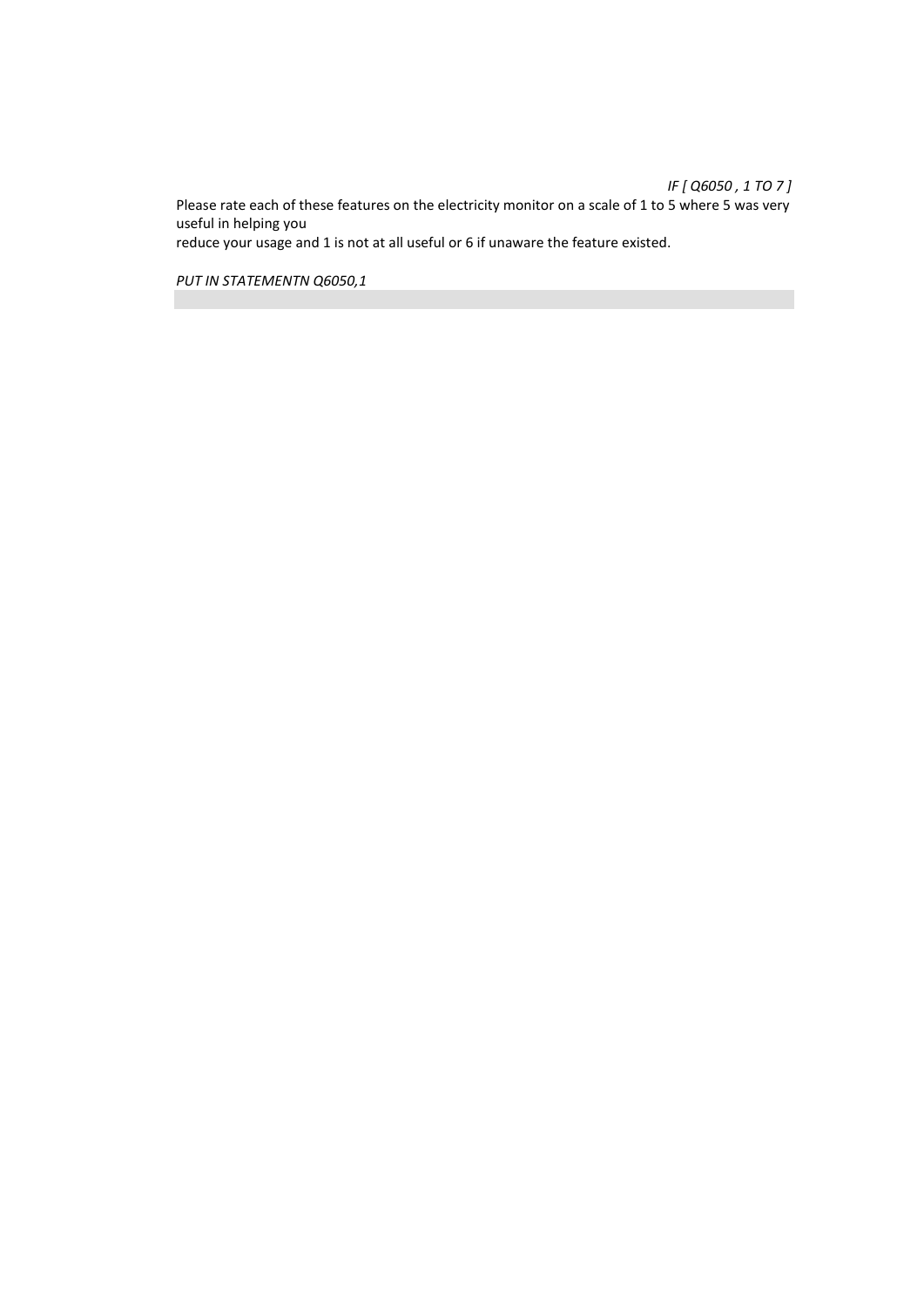*IF [ Q6050 , 1 TO 7 ]*  Please rate each of these features on the electricity monitor on a scale of 1 to 5 where 5 was very useful in helping you reduce your usage and 1 is not at all useful or 6 if unaware the feature existed.

*PUT IN STATEMENTN Q6050,1*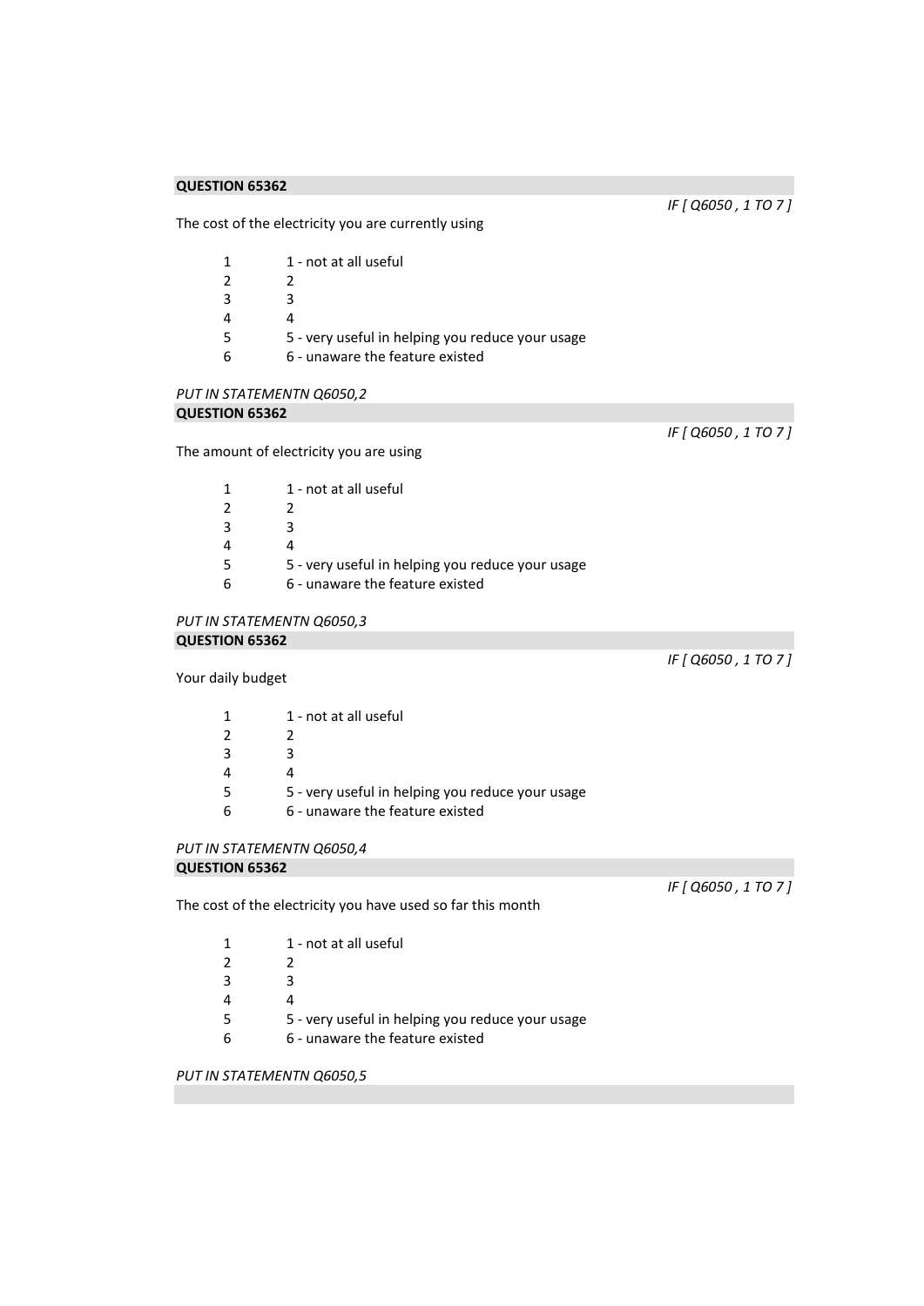*IF [ Q6050 , 1 TO 7 ]* 

*IF [ Q6050 , 1 TO 7 ]* 

The cost of the electricity you are currently using

| 1  | 1 - not at all useful                            |
|----|--------------------------------------------------|
| 2  |                                                  |
| 3  | R.                                               |
| 4  |                                                  |
| .5 | 5 - very useful in helping you reduce your usage |
| 6  | 6 - unaware the feature existed                  |
|    |                                                  |

# *PUT IN STATEMENTN Q6050,2*  **QUESTION 65362**

The amount of electricity you are using

| 1  | 1 - not at all useful                            |
|----|--------------------------------------------------|
| 2  |                                                  |
| 3  | ર                                                |
| 4  |                                                  |
| .5 | 5 - very useful in helping you reduce your usage |
| 6  | 6 - unaware the feature existed                  |

# *PUT IN STATEMENTN Q6050,3*

# **QUESTION 65362**

*IF [ Q6050 , 1 TO 7 ]* 

Your daily budget

| 1 | 1 - not at all useful                            |
|---|--------------------------------------------------|
| 2 |                                                  |
| 3 |                                                  |
| 4 |                                                  |
| 5 | 5 - very useful in helping you reduce your usage |
| 6 | 6 - unaware the feature existed                  |
|   |                                                  |

# *PUT IN STATEMENTN Q6050,4*

# **QUESTION 65362**

The cost of the electricity you have used so far this month

*IF [ Q6050 , 1 TO 7 ]* 

|   | 1 - not at all useful                            |
|---|--------------------------------------------------|
|   |                                                  |
| ર |                                                  |
|   |                                                  |
|   | 5 - very useful in helping you reduce your usage |
|   | 6 - unaware the feature existed                  |

*PUT IN STATEMENTN Q6050,5*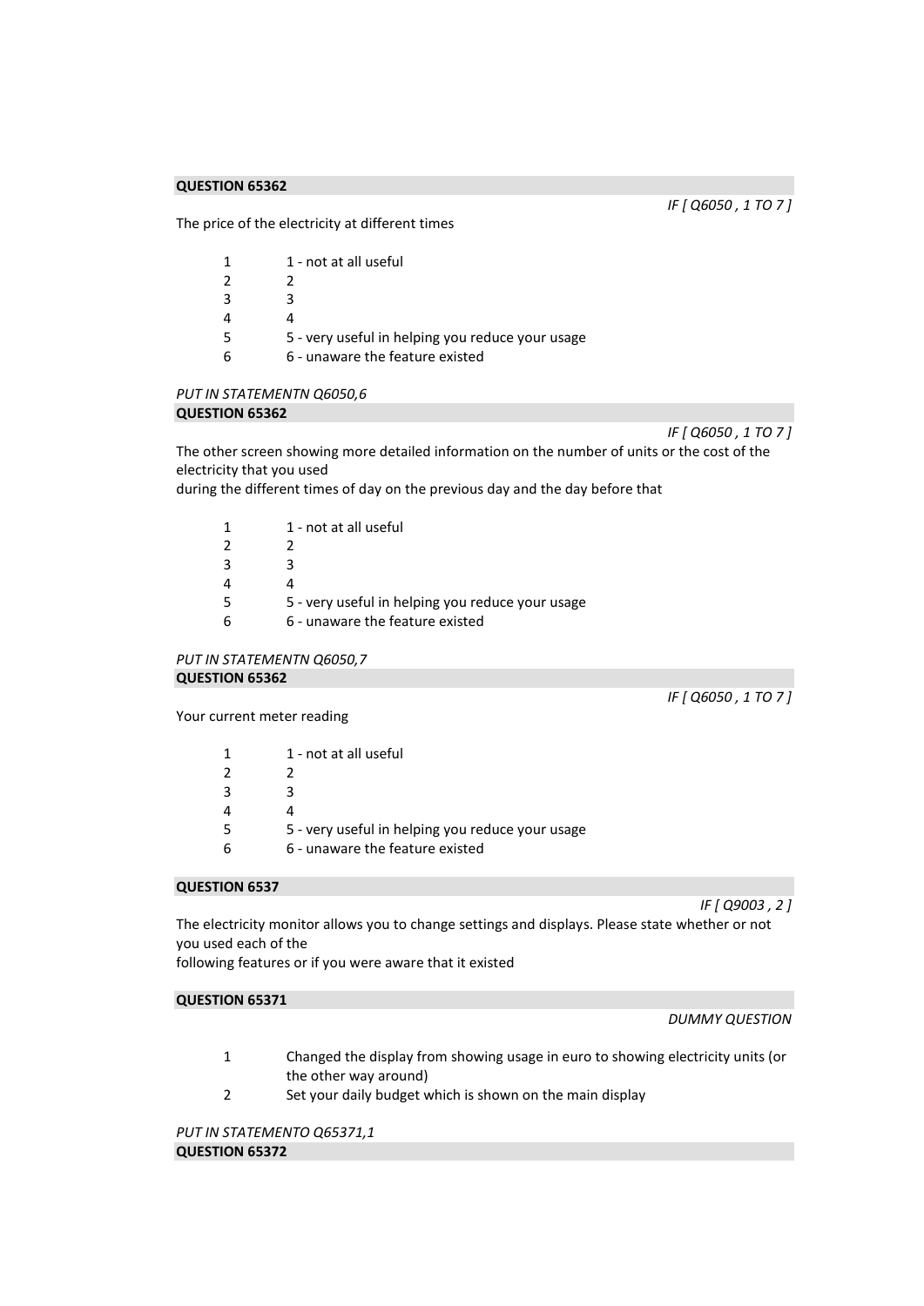*IF [ Q6050 , 1 TO 7 ]* 

The price of the electricity at different times

| 1 - not at all useful                            |
|--------------------------------------------------|
|                                                  |
| R                                                |
|                                                  |
| 5 - very useful in helping you reduce your usage |
| 6 - unaware the feature existed                  |
|                                                  |

#### *PUT IN STATEMENTN Q6050,6*  **QUESTION 65362**

*IF [ Q6050 , 1 TO 7 ]* 

The other screen showing more detailed information on the number of units or the cost of the electricity that you used

during the different times of day on the previous day and the day before that

| 1 - not at all useful                            |
|--------------------------------------------------|
|                                                  |
| ₹                                                |
|                                                  |
| 5 - very useful in helping you reduce your usage |
| 6 - unaware the feature existed                  |
|                                                  |

*PUT IN STATEMENTN Q6050,7*  **QUESTION 65362** 

*IF [ Q6050 , 1 TO 7 ]* 

Your current meter reading

| 1 - not at all useful                            |
|--------------------------------------------------|
|                                                  |
| ₹                                                |
|                                                  |
| 5 - very useful in helping you reduce your usage |
| 6 - unaware the feature existed                  |

#### **QUESTION 6537**

*IF [ Q9003 , 2 ]* 

The electricity monitor allows you to change settings and displays. Please state whether or not you used each of the

following features or if you were aware that it existed

#### **QUESTION 65371**

#### *DUMMY QUESTION*

- 1 Changed the display from showing usage in euro to showing electricity units (or the other way around)
- 2 Set your daily budget which is shown on the main display

*PUT IN STATEMENTO Q65371,1*  **QUESTION 65372**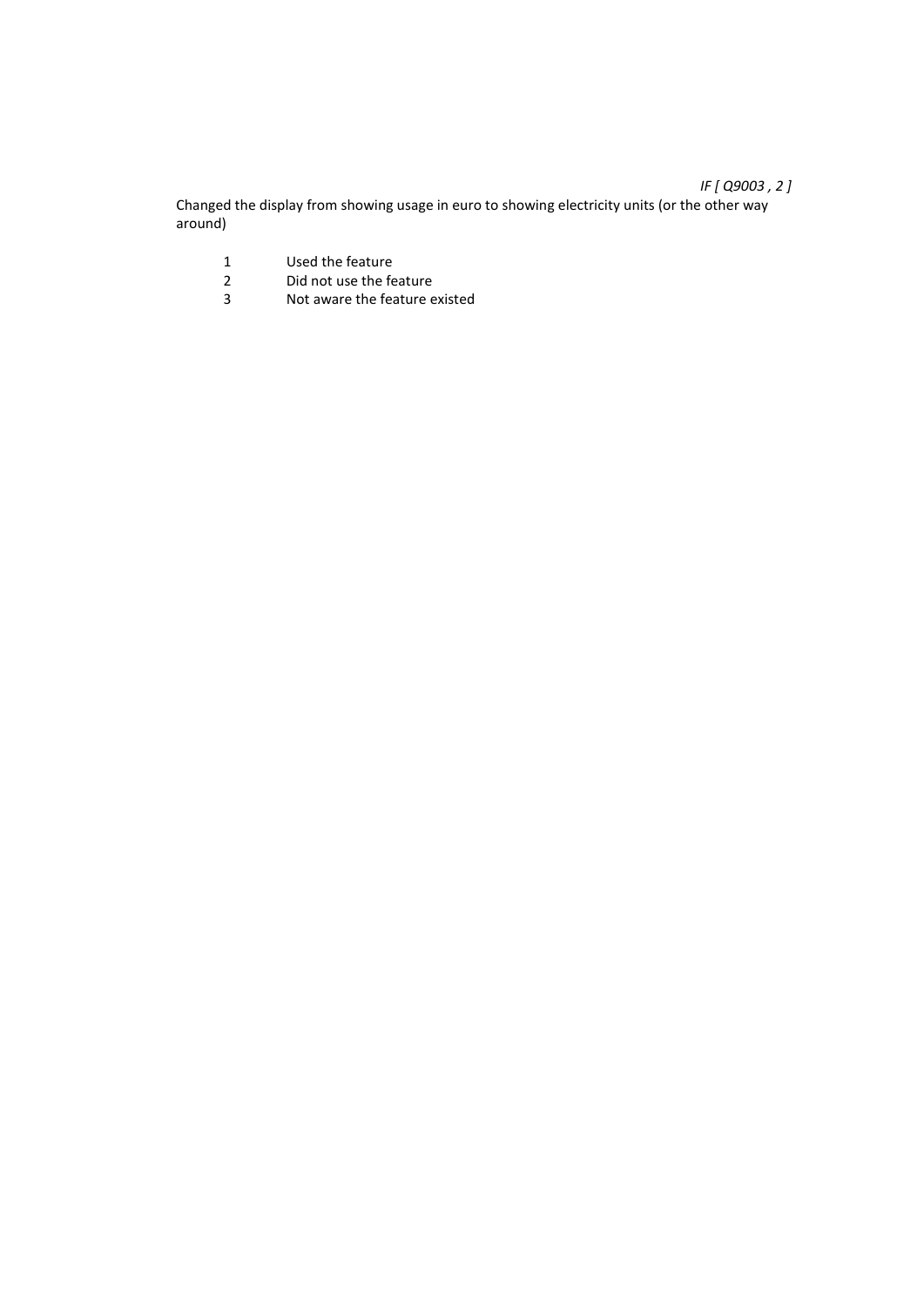# *IF [ Q9003 , 2 ]*

Changed the display from showing usage in euro to showing electricity units (or the other way around)

- 1 Used the feature<br>2 Did not use the fe
- 2 Did not use the feature<br>3 Not aware the feature e
- Not aware the feature existed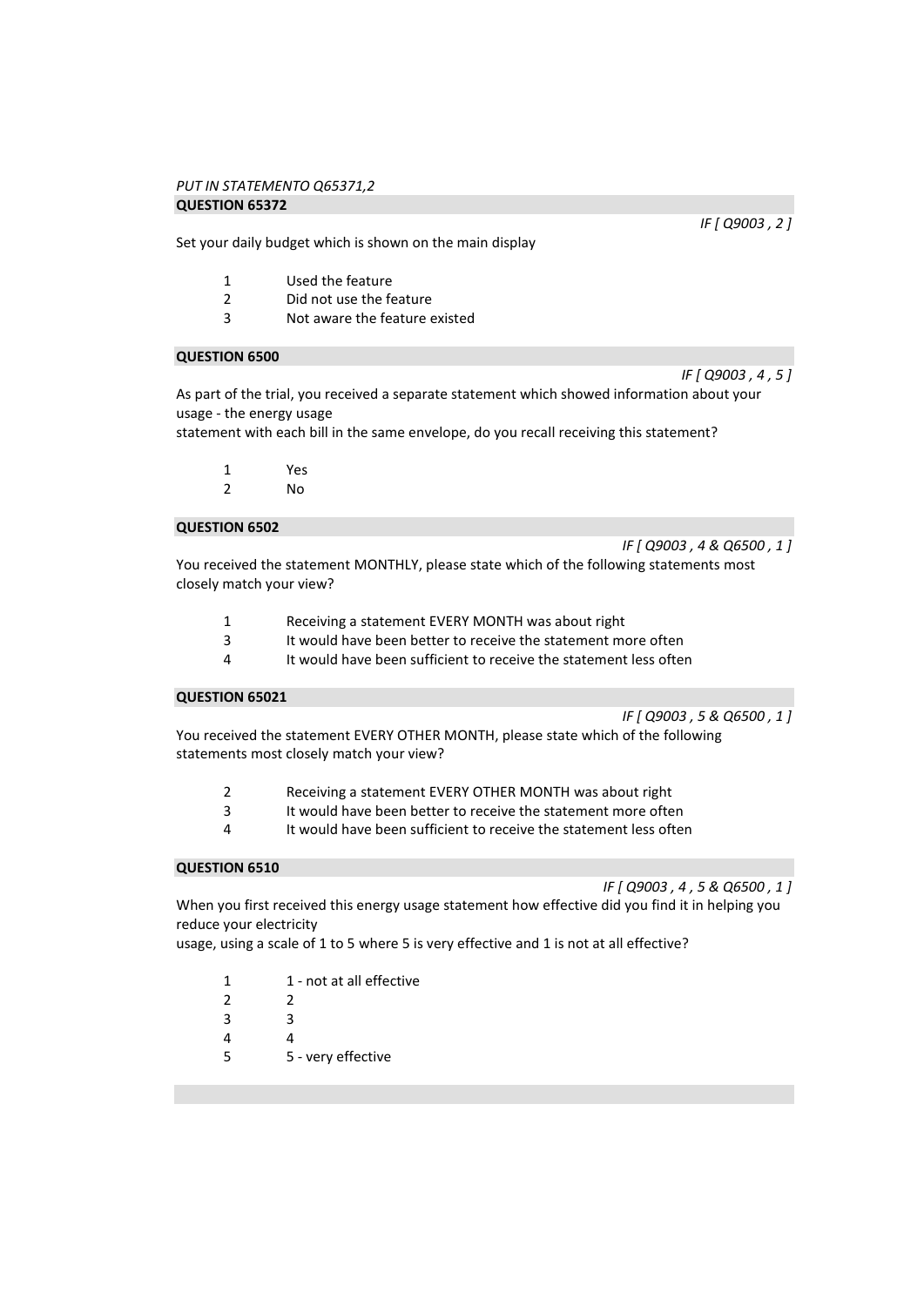#### *PUT IN STATEMENTO Q65371,2*  **QUESTION 65372**

Set your daily budget which is shown on the main display

- 1 Used the feature
- 2 Did not use the feature<br>3 Not aware the feature e
- Not aware the feature existed

#### **QUESTION 6500**

As part of the trial, you received a separate statement which showed information about your usage - the energy usage

statement with each bill in the same envelope, do you recall receiving this statement?

- 1 Yes
- 2 No

# **QUESTION 6502**

*IF [ Q9003 , 4 & Q6500 , 1 ]* 

You received the statement MONTHLY, please state which of the following statements most closely match your view?

- 1 Receiving a statement EVERY MONTH was about right
- 3 It would have been better to receive the statement more often<br>4 It would have been sufficient to receive the statement less ofter
- It would have been sufficient to receive the statement less often

# **QUESTION 65021**

*IF [ Q9003 , 5 & Q6500 , 1 ]* 

You received the statement EVERY OTHER MONTH, please state which of the following statements most closely match your view?

- 2 Receiving a statement EVERY OTHER MONTH was about right
- 3 It would have been better to receive the statement more often
- 4 It would have been sufficient to receive the statement less often

#### **QUESTION 6510**

*IF [ Q9003 , 4 , 5 & Q6500 , 1 ]* 

When you first received this energy usage statement how effective did you find it in helping you reduce your electricity

usage, using a scale of 1 to 5 where 5 is very effective and 1 is not at all effective?

- 1 1 not at all effective
- 2 2
- 3 3
- 4 4
- 5 5 very effective

*IF [ Q9003 , 2 ]* 

*IF [ Q9003 , 4 , 5 ]*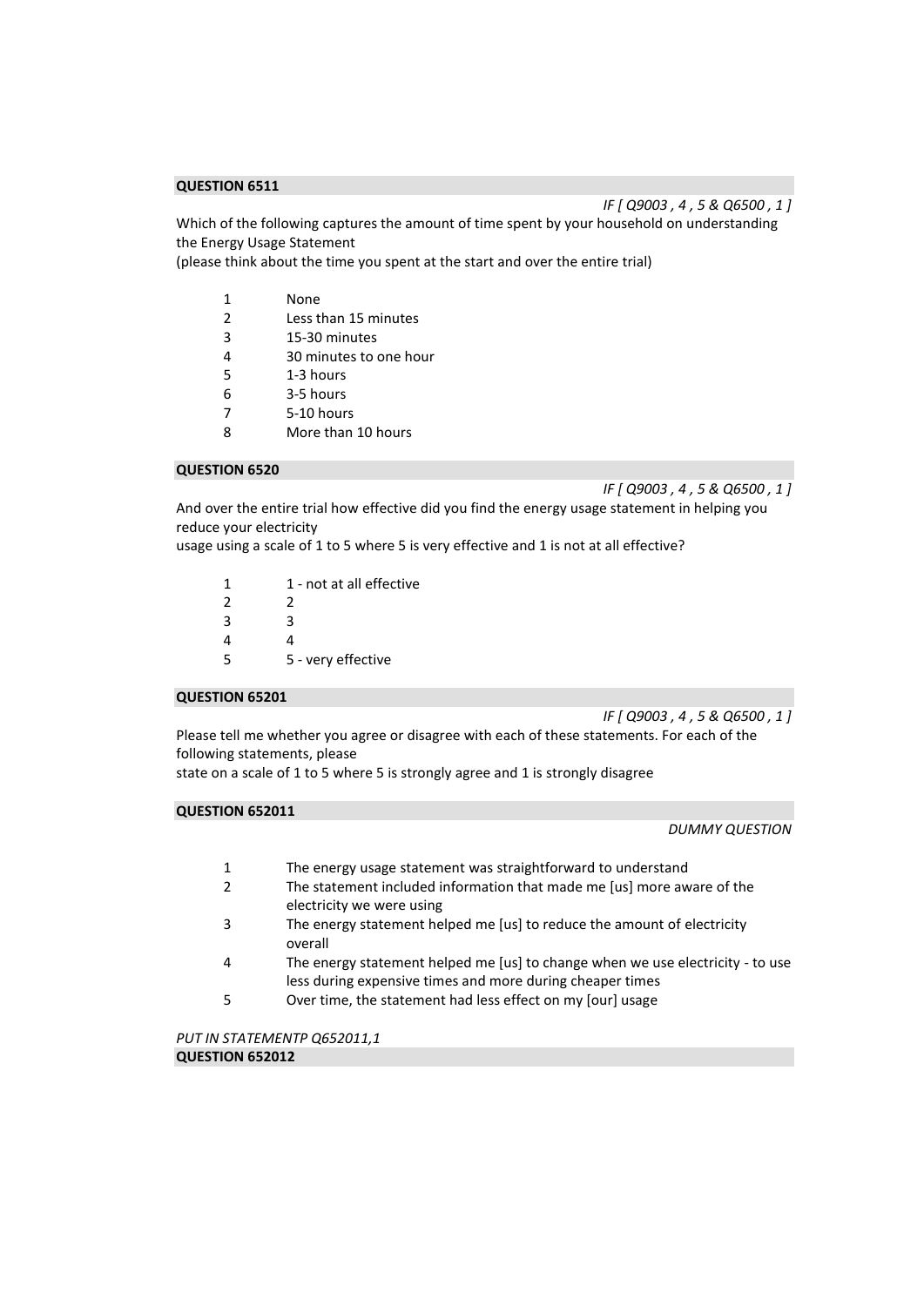*IF [ Q9003 , 4 , 5 & Q6500 , 1 ]* 

Which of the following captures the amount of time spent by your household on understanding the Energy Usage Statement

(please think about the time you spent at the start and over the entire trial)

- 1 None<br>2 Less t
- 2 Less than 15 minutes
- 3 15-30 minutes
- 4 30 minutes to one hour
- 5 1-3 hours
- 6 3-5 hours
- 7 5-10 hours
- 8 More than 10 hours

# **QUESTION 6520**

*IF [ Q9003 , 4 , 5 & Q6500 , 1 ]* 

And over the entire trial how effective did you find the energy usage statement in helping you reduce your electricity

usage using a scale of 1 to 5 where 5 is very effective and 1 is not at all effective?

| 1             | 1 - not at all effective |
|---------------|--------------------------|
| $\mathcal{P}$ | 2                        |
| κ             | ર                        |
| Δ             | Δ                        |
| 5             | 5 - very effective       |

# **QUESTION 65201**

*IF [ Q9003 , 4 , 5 & Q6500 , 1 ]* 

Please tell me whether you agree or disagree with each of these statements. For each of the following statements, please

state on a scale of 1 to 5 where 5 is strongly agree and 1 is strongly disagree

#### **QUESTION 652011**

*DUMMY QUESTION* 

- 1 The energy usage statement was straightforward to understand
- 2 The statement included information that made me [us] more aware of the electricity we were using
- 3 The energy statement helped me [us] to reduce the amount of electricity overall
- 4 The energy statement helped me [us] to change when we use electricity to use less during expensive times and more during cheaper times
- 5 Over time, the statement had less effect on my [our] usage

*PUT IN STATEMENTP Q652011,1*  **QUESTION 652012**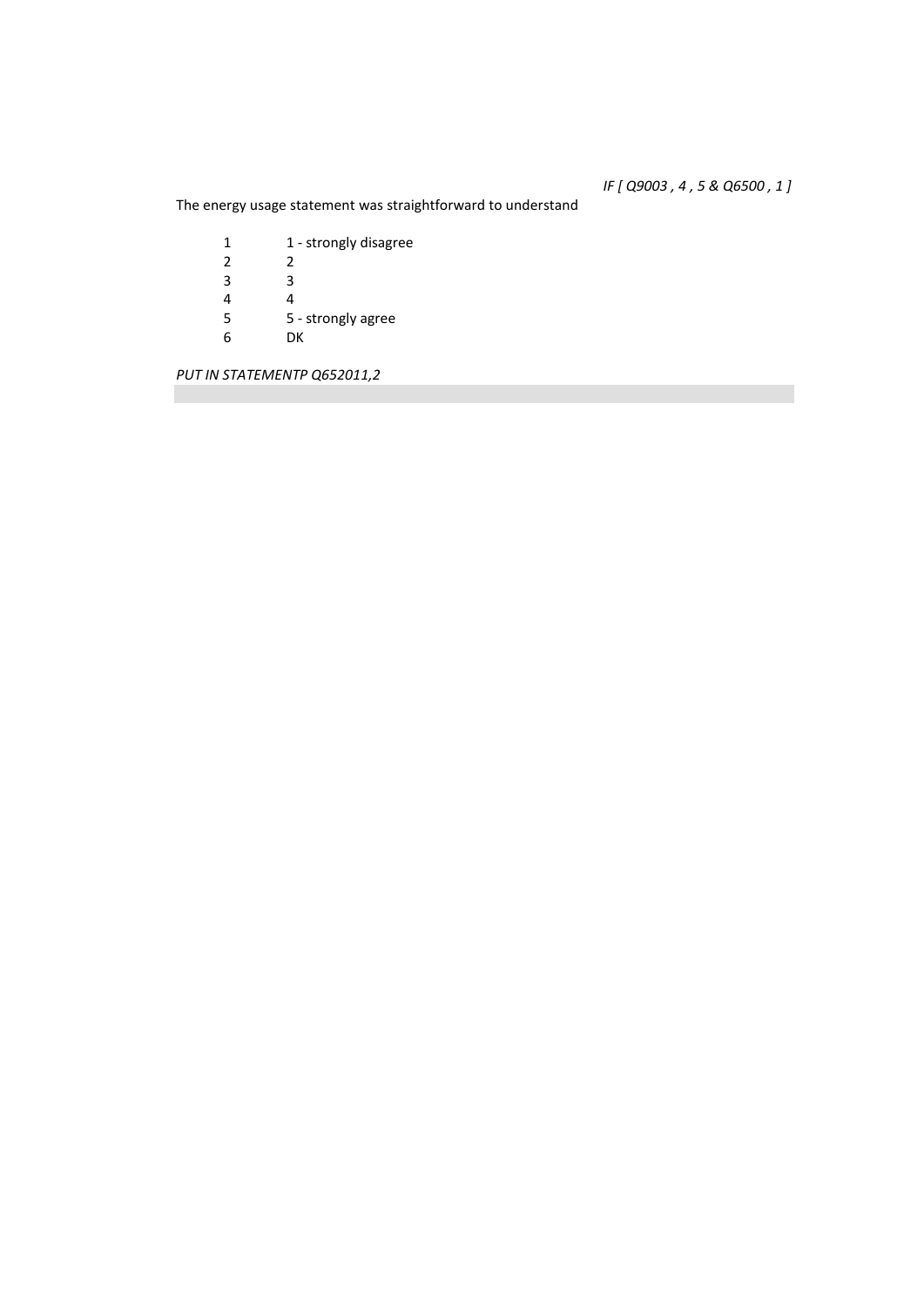# *IF [ Q9003 , 4 , 5 & Q6500 , 1 ]*

The energy usage statement was straightforward to understand

| 1 | 1 - strongly disagree |
|---|-----------------------|
| 2 | 2                     |
| 3 | ੨                     |
| 4 | 4                     |
| 5 | 5 - strongly agree    |
| 6 | DК                    |
|   |                       |

*PUT IN STATEMENTP Q652011,2*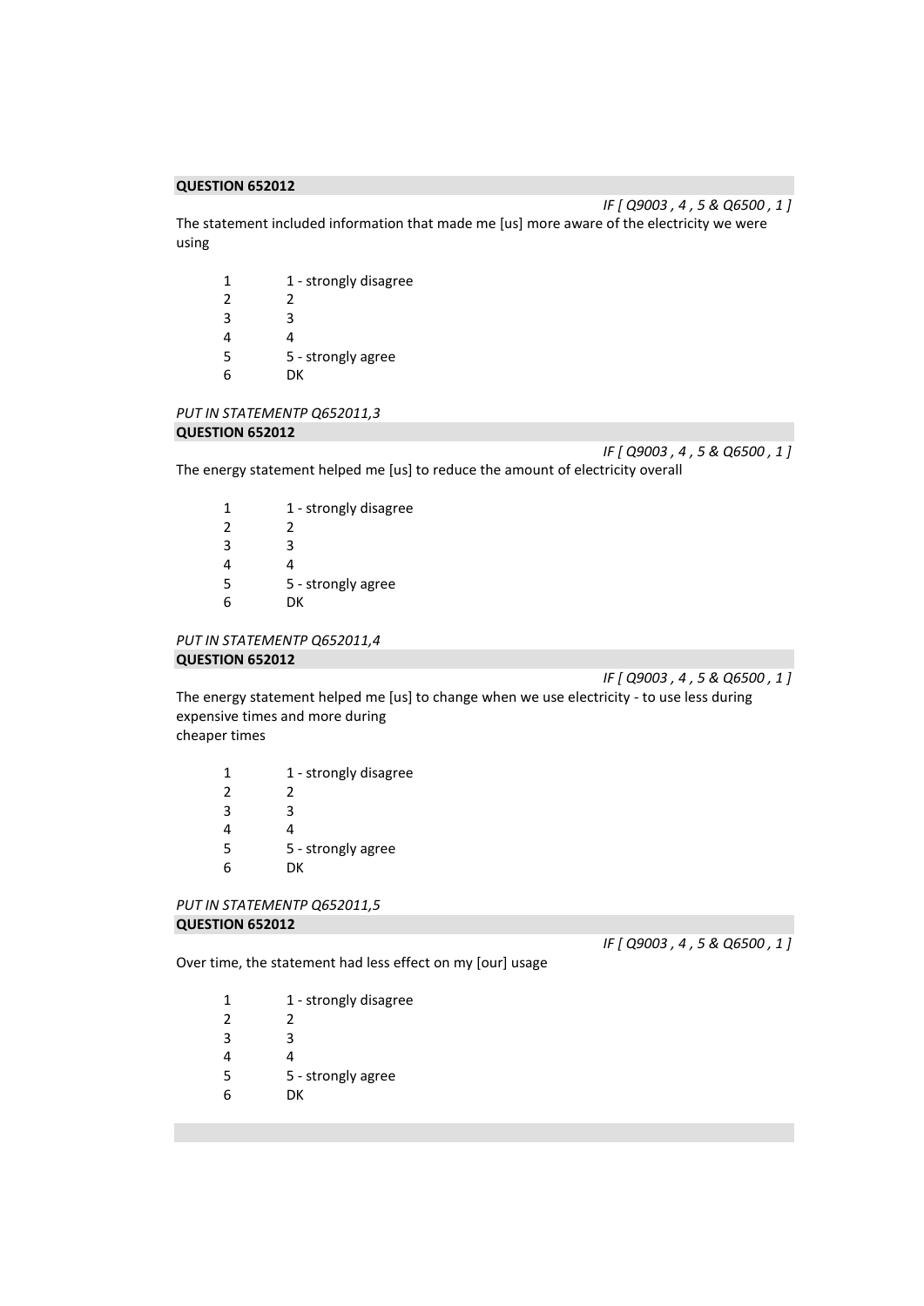*IF [ Q9003 , 4 , 5 & Q6500 , 1 ]*  The statement included information that made me [us] more aware of the electricity we were using

| 1             | 1 - strongly disagree |
|---------------|-----------------------|
| $\mathcal{P}$ | 2                     |
| 3             | ર                     |
| 4             | 4                     |
| 5             | 5 - strongly agree    |
| 6             | DК                    |

#### *PUT IN STATEMENTP Q652011,3*  **QUESTION 652012**

*IF [ Q9003 , 4 , 5 & Q6500 , 1 ]*  The energy statement helped me [us] to reduce the amount of electricity overall

| 1 | 1 - strongly disagree |
|---|-----------------------|
| 2 | 2                     |
| 3 | ς                     |
| 4 | 4                     |
| 5 | 5 - strongly agree    |
| 6 | DК                    |

```
PUT IN STATEMENTP Q652011,4 
QUESTION 652012
```
*IF [ Q9003 , 4 , 5 & Q6500 , 1 ]* 

The energy statement helped me [us] to change when we use electricity - to use less during expensive times and more during cheaper times

| 1 | 1 - strongly disagree |
|---|-----------------------|
| 2 | 2                     |
| 3 | ੨                     |
| 4 | 4                     |
| 5 | 5 - strongly agree    |
| 6 | DК                    |

```
PUT IN STATEMENTP Q652011,5 
QUESTION 652012
```
*IF [ Q9003 , 4 , 5 & Q6500 , 1 ]* 

Over time, the statement had less effect on my [our] usage

| 1 | 1 - strongly disagree |
|---|-----------------------|
| 2 | 2                     |
| 3 | ੨                     |
| 4 |                       |
| 5 | 5 - strongly agree    |
|   |                       |

6 DK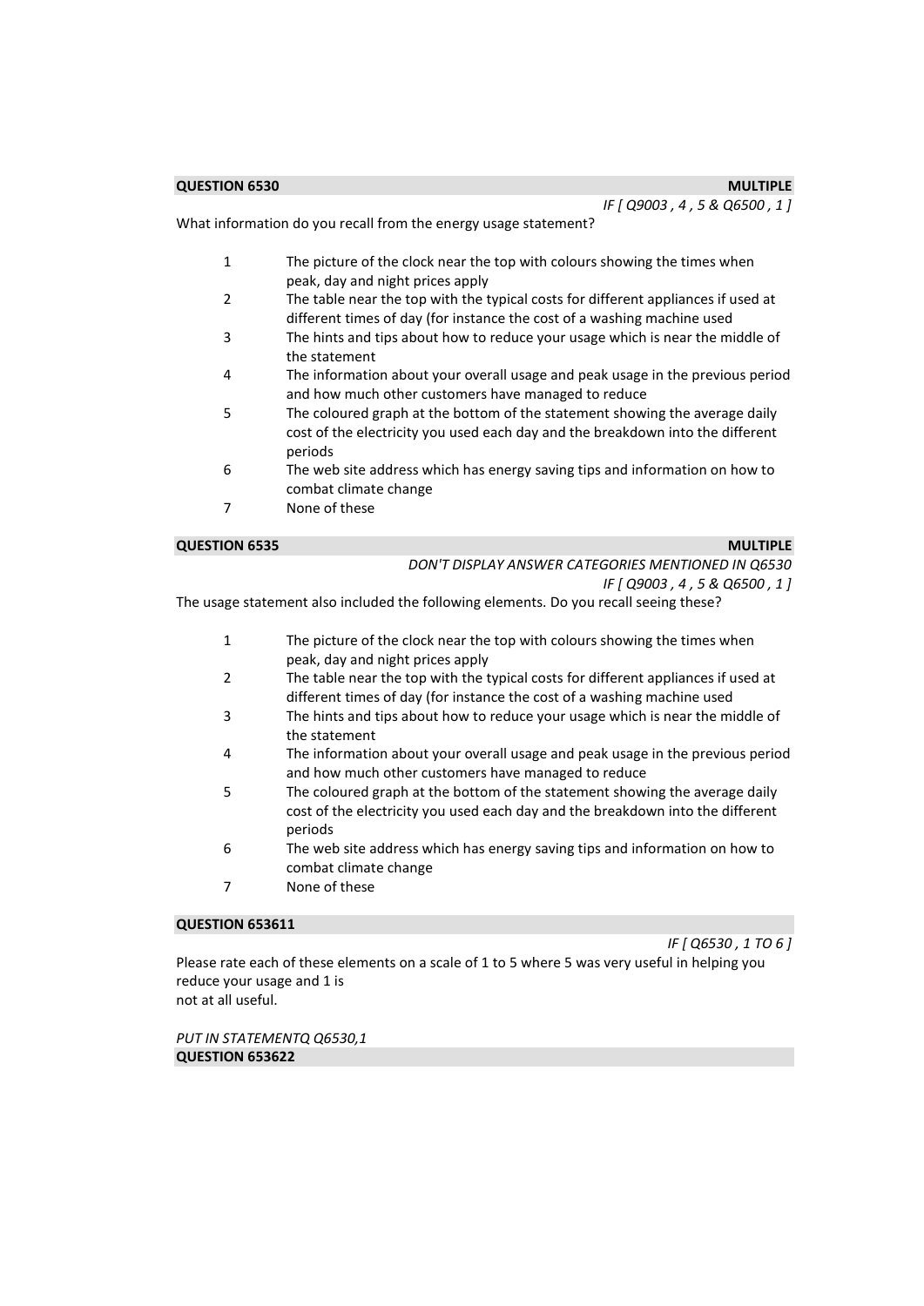*IF [ Q9003 , 4 , 5 & Q6500 , 1 ]* 

What information do you recall from the energy usage statement?

- 1 The picture of the clock near the top with colours showing the times when peak, day and night prices apply
- 2 The table near the top with the typical costs for different appliances if used at different times of day (for instance the cost of a washing machine used
- 3 The hints and tips about how to reduce your usage which is near the middle of the statement
- 4 The information about your overall usage and peak usage in the previous period and how much other customers have managed to reduce
- 5 The coloured graph at the bottom of the statement showing the average daily cost of the electricity you used each day and the breakdown into the different periods
- 6 The web site address which has energy saving tips and information on how to combat climate change
- 7 None of these

#### **QUESTION 6535 MULTIPLE**

| DON'T DISPLAY ANSWER CATEGORIES MENTIONED IN Q6530 |
|----------------------------------------------------|
| IF [ Q9003 , 4 , 5 & Q6500 , 1 ]                   |

The usage statement also included the following elements. Do you recall seeing these?

- 1 The picture of the clock near the top with colours showing the times when peak, day and night prices apply
- 2 The table near the top with the typical costs for different appliances if used at different times of day (for instance the cost of a washing machine used
- 3 The hints and tips about how to reduce your usage which is near the middle of the statement
- 4 The information about your overall usage and peak usage in the previous period and how much other customers have managed to reduce
- 5 The coloured graph at the bottom of the statement showing the average daily cost of the electricity you used each day and the breakdown into the different periods
- 6 The web site address which has energy saving tips and information on how to combat climate change
- 7 None of these

# **QUESTION 653611**

*IF [ Q6530 , 1 TO 6 ]* 

Please rate each of these elements on a scale of 1 to 5 where 5 was very useful in helping you reduce your usage and 1 is not at all useful.

*PUT IN STATEMENTQ Q6530,1* 

**QUESTION 653622**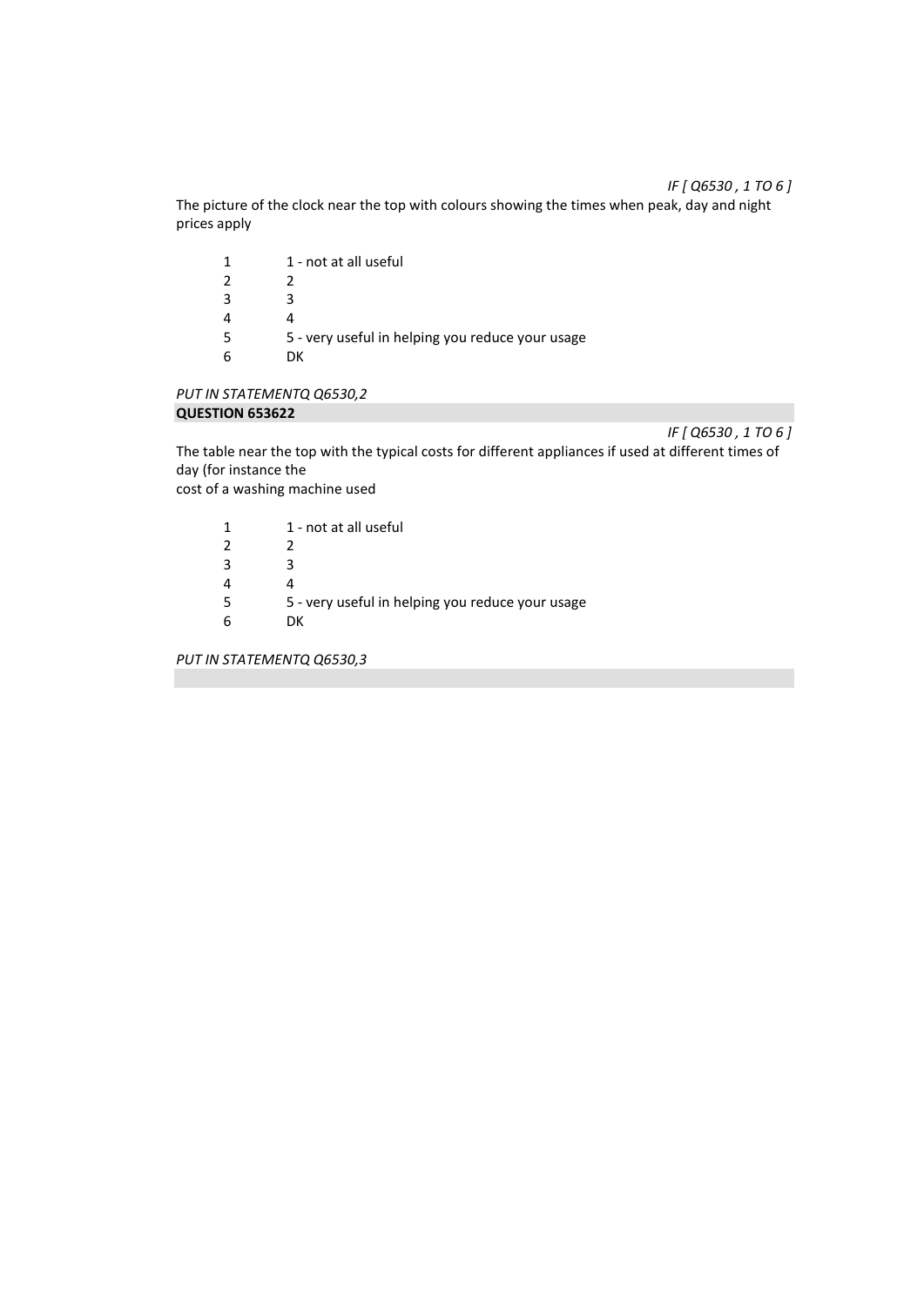# *IF [ Q6530 , 1 TO 6 ]*

The picture of the clock near the top with colours showing the times when peak, day and night prices apply

| 1 | 1 - not at all useful                            |
|---|--------------------------------------------------|
| 2 |                                                  |
| 3 | 2                                                |
| 4 |                                                  |
| 5 | 5 - very useful in helping you reduce your usage |
| 6 | DК                                               |
|   |                                                  |

# *PUT IN STATEMENTQ Q6530,2*  **QUESTION 653622**

*IF [ Q6530 , 1 TO 6 ]* 

The table near the top with the typical costs for different appliances if used at different times of day (for instance the

cost of a washing machine used

| 1 | 1 - not at all useful |
|---|-----------------------|
|   |                       |

- $\begin{array}{ccc} 2 & 2 \\ 3 & 3 \end{array}$
- 3 3
- 4 4<br>5 5
- 5 5 very useful in helping you reduce your usage
- 6 DK

*PUT IN STATEMENTQ Q6530,3*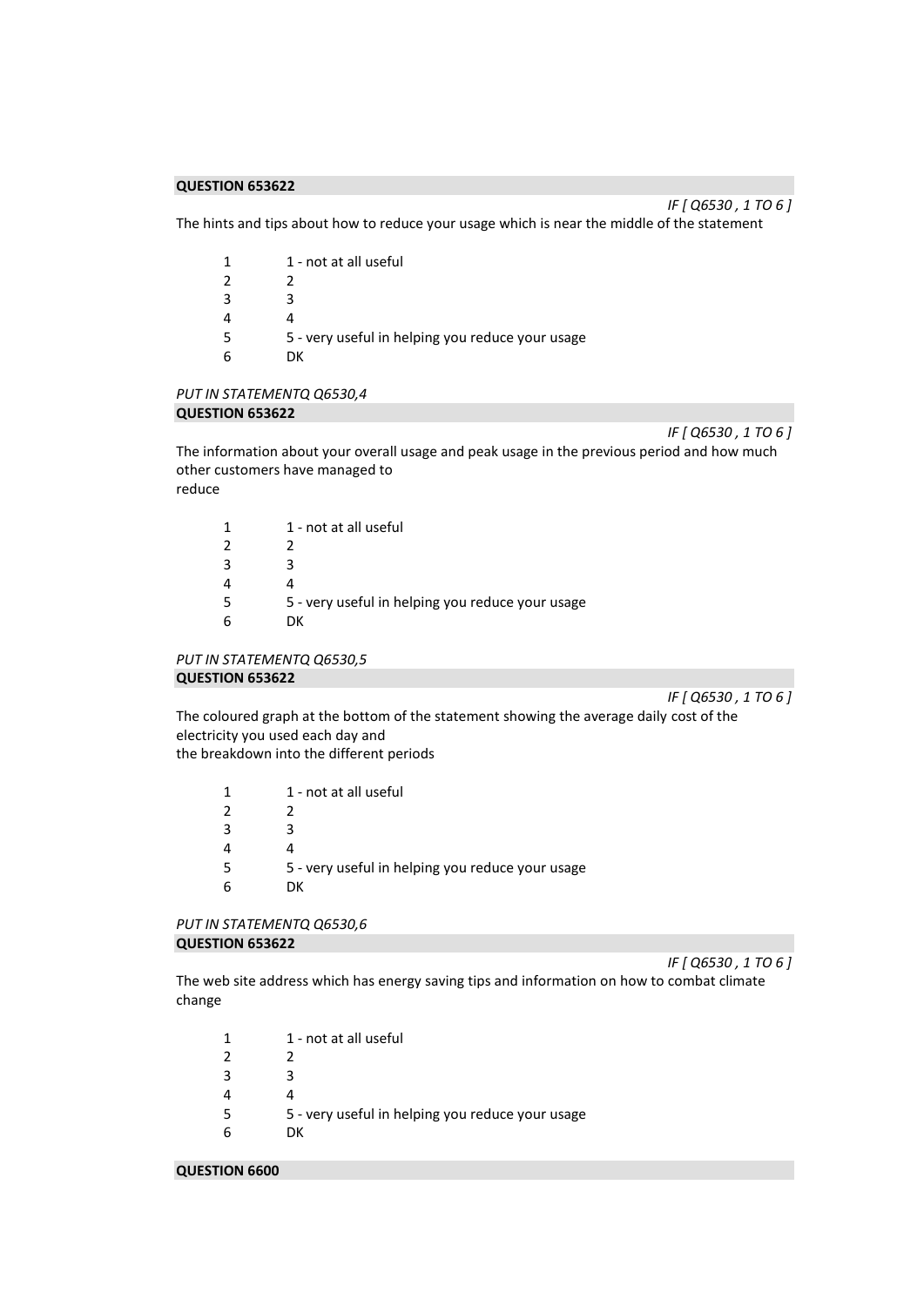*IF [ Q6530 , 1 TO 6 ]* 

The hints and tips about how to reduce your usage which is near the middle of the statement

| 1 | 1 - not at all useful                            |
|---|--------------------------------------------------|
| 2 |                                                  |
| 3 |                                                  |
| 4 |                                                  |
| 5 | 5 - very useful in helping you reduce your usage |
| 6 | nк                                               |
|   |                                                  |

#### *PUT IN STATEMENTQ Q6530,4*  **QUESTION 653622**

*IF [ Q6530 , 1 TO 6 ]* 

The information about your overall usage and peak usage in the previous period and how much other customers have managed to reduce

| 1  | 1 - not at all useful                            |
|----|--------------------------------------------------|
| 2  |                                                  |
| 3  | R                                                |
| 4  |                                                  |
| .5 | 5 - very useful in helping you reduce your usage |
| 6  | DΚ                                               |
|    |                                                  |

#### *PUT IN STATEMENTQ Q6530,5*  **QUESTION 653622**

*IF [ Q6530 , 1 TO 6 ]*  The coloured graph at the bottom of the statement showing the average daily cost of the electricity you used each day and the breakdown into the different periods

| 1 | 1 - not at all useful                            |
|---|--------------------------------------------------|
| 2 |                                                  |
| 3 |                                                  |
|   |                                                  |
| 5 | 5 - very useful in helping you reduce your usage |
|   | DΚ                                               |
|   |                                                  |

# *PUT IN STATEMENTQ Q6530,6*  **QUESTION 653622**

The web site address which has energy saving tips and information on how to combat climate change

| 1 | 1 - not at all useful                            |
|---|--------------------------------------------------|
| 2 |                                                  |
| 3 |                                                  |
| 4 |                                                  |
| 5 | 5 - very useful in helping you reduce your usage |
| 6 | DK.                                              |
|   |                                                  |

**QUESTION 6600** 

*IF [ Q6530 , 1 TO 6 ]*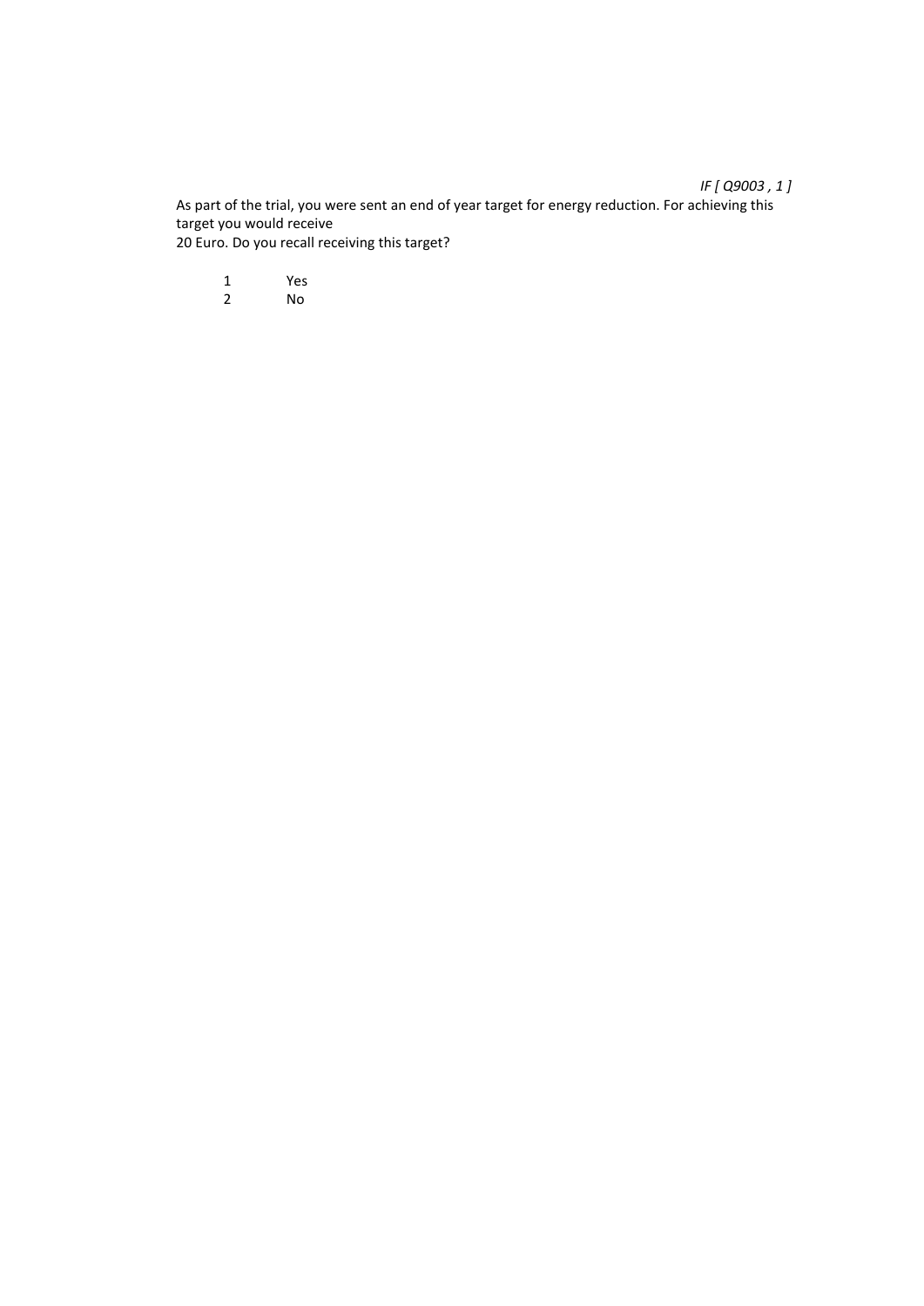As part of the trial, you were sent an end of year target for energy reduction. For achieving this target you would receive 20 Euro. Do you recall receiving this target?

1 Yes<br>2 No

2 No

*IF [ Q9003 , 1 ]*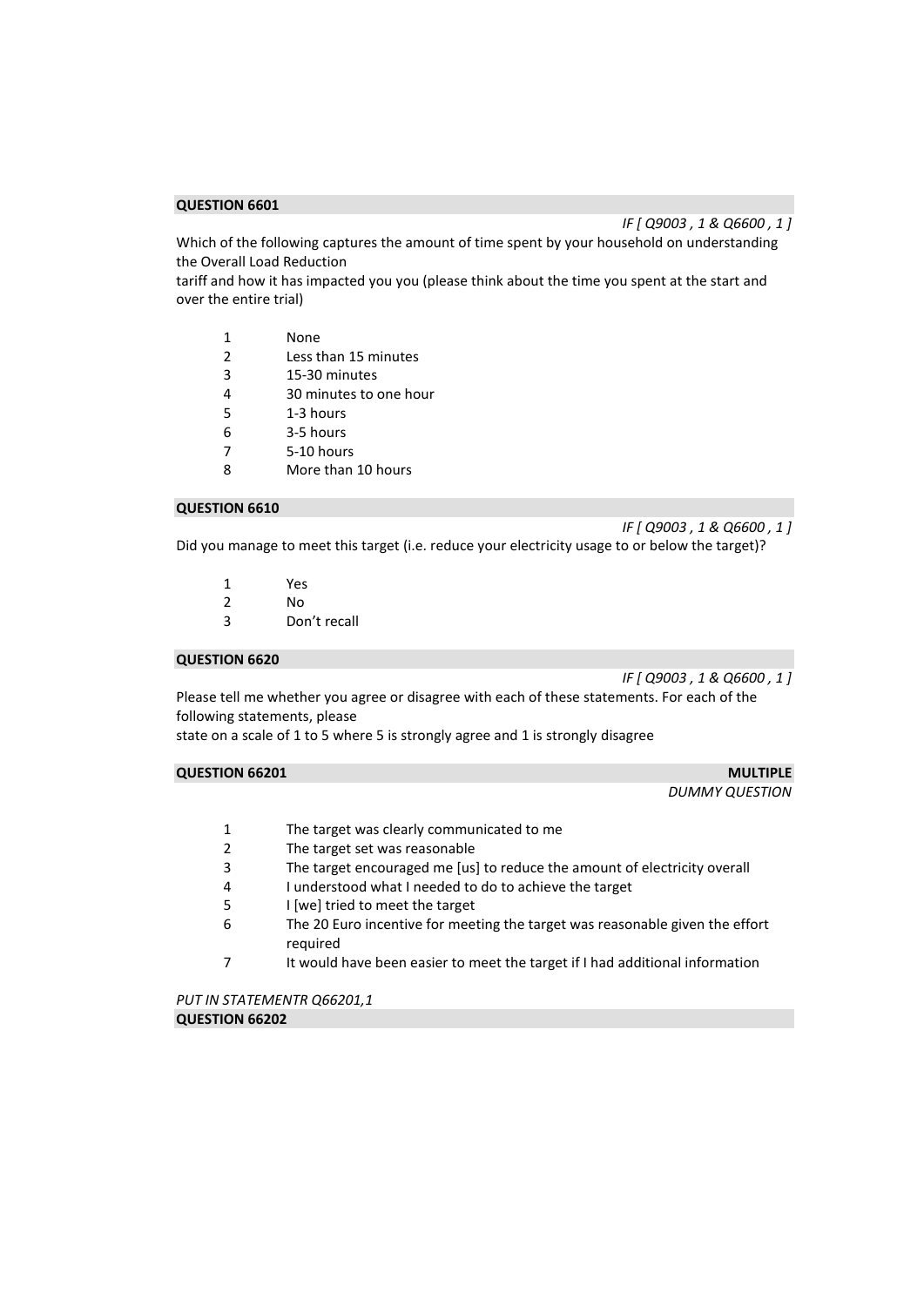*IF [ Q9003 , 1 & Q6600 , 1 ]* 

Which of the following captures the amount of time spent by your household on understanding the Overall Load Reduction

tariff and how it has impacted you you (please think about the time you spent at the start and over the entire trial)

- 2 Less than 15 minutes
- 3 15-30 minutes
- 4 30 minutes to one hour
- 5 1-3 hours
- 6 3-5 hours
- 7 5-10 hours
- 8 More than 10 hours

#### **QUESTION 6610**

*IF [ Q9003 , 1 & Q6600 , 1 ]* 

Did you manage to meet this target (i.e. reduce your electricity usage to or below the target)?

- 1 Yes<br>2 No
- N<sub>o</sub>
- 3 Don't recall

#### **QUESTION 6620**

*IF [ Q9003 , 1 & Q6600 , 1 ]* 

Please tell me whether you agree or disagree with each of these statements. For each of the following statements, please

state on a scale of 1 to 5 where 5 is strongly agree and 1 is strongly disagree

# **QUESTION 66201** MULTIPLE

*DUMMY QUESTION* 

- 1 The target was clearly communicated to me
- 2 The target set was reasonable
- 3 The target encouraged me [us] to reduce the amount of electricity overall
- 4 I understood what I needed to do to achieve the target
- 5 I [we] tried to meet the target
- 6 The 20 Euro incentive for meeting the target was reasonable given the effort required
- 7 It would have been easier to meet the target if I had additional information

*PUT IN STATEMENTR Q66201,1*  **QUESTION 66202**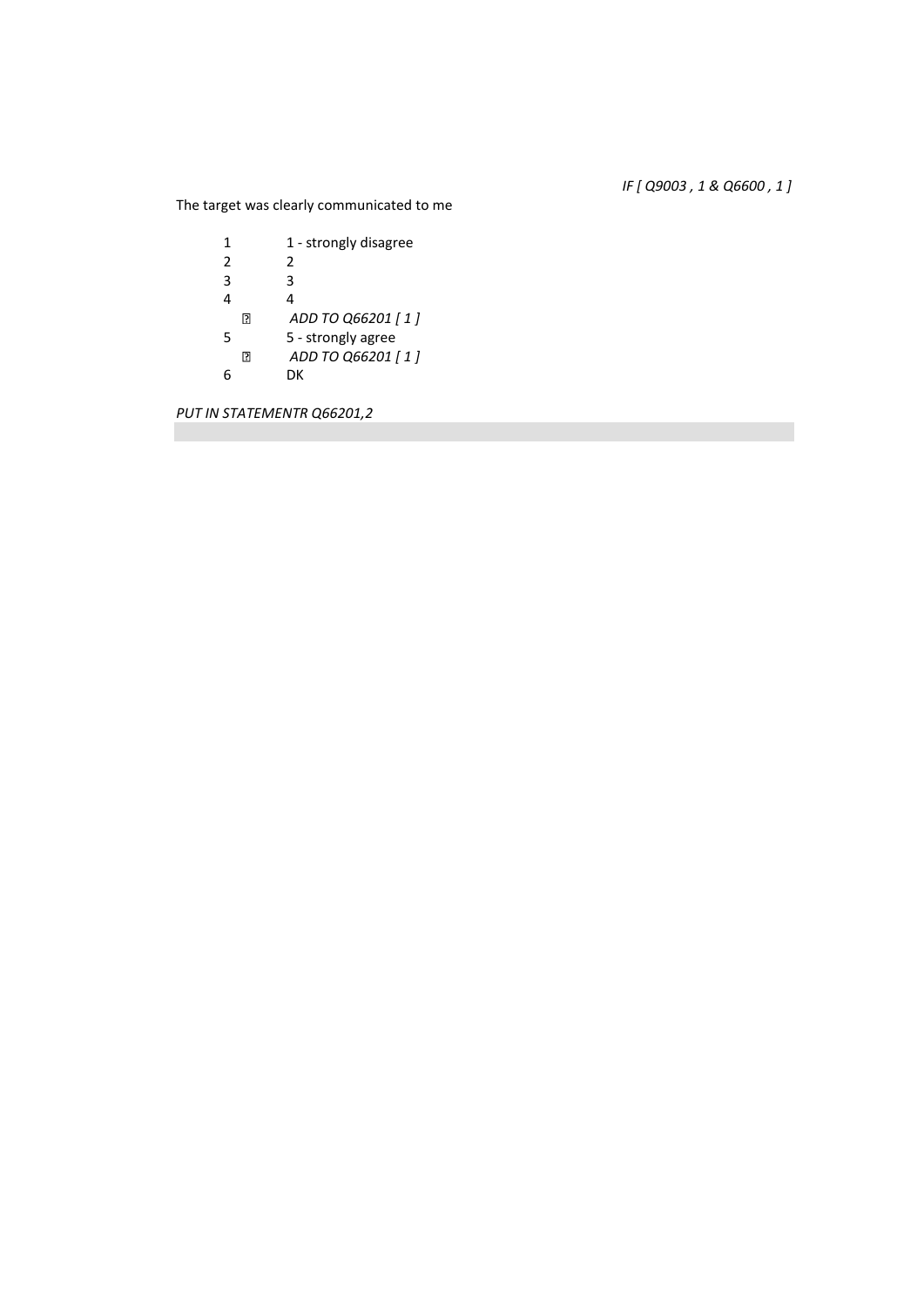*IF [ Q9003 , 1 & Q6600 , 1 ]* 

The target was clearly communicated to me

| 1 |    | 1 - strongly disagree |
|---|----|-----------------------|
| 2 |    | 2                     |
| 3 |    | 3                     |
| 4 |    | Δ                     |
|   | 13 | ADD TO Q66201 [1]     |
| 5 |    | 5 - strongly agree    |
|   | R  | ADD TO Q66201 [1]     |
|   |    | DΚ                    |

*PUT IN STATEMENTR Q66201,2*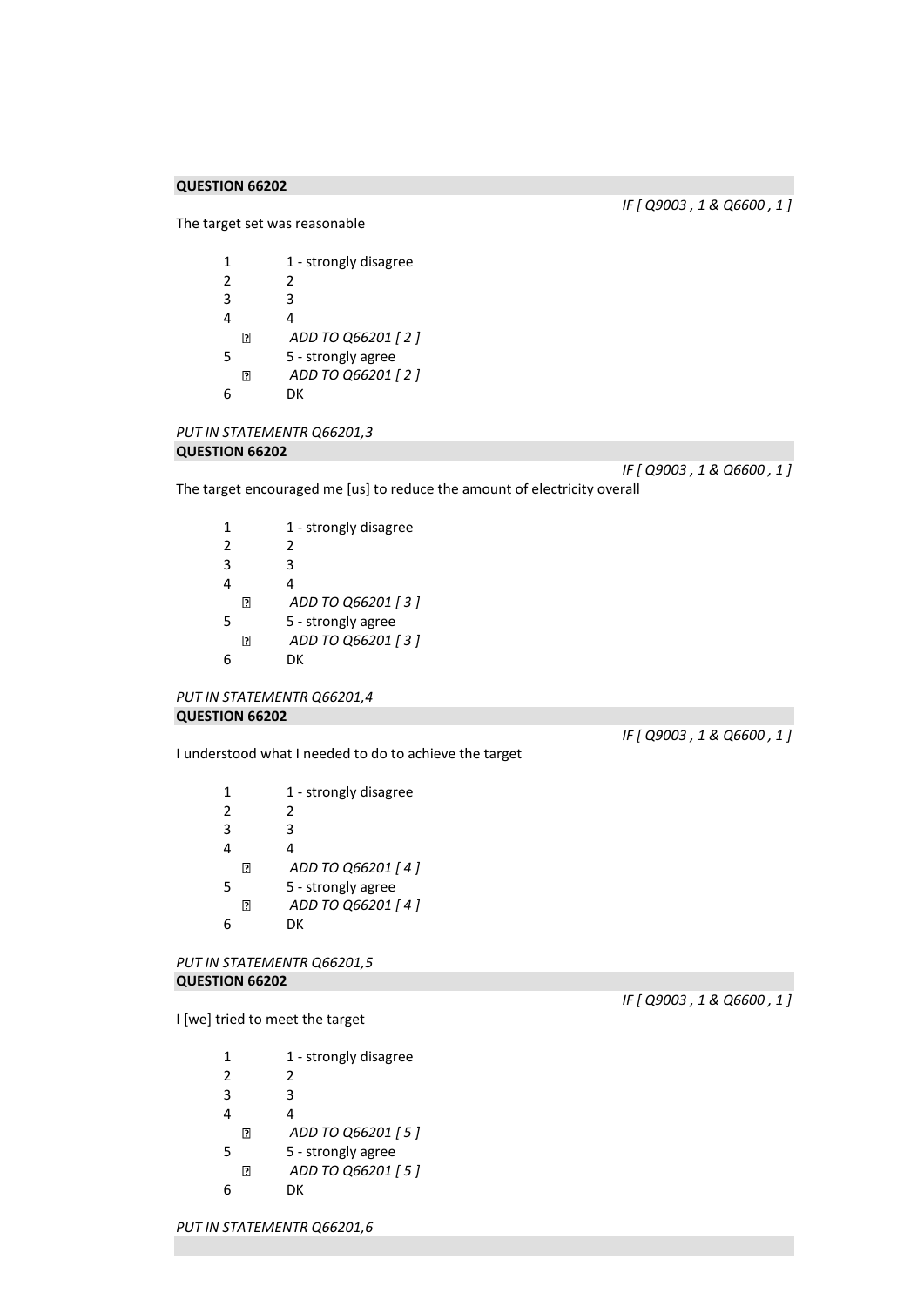*IF [ Q9003 , 1 & Q6600 , 1 ]* 

The target set was reasonable

1 1 - strongly disagree 2 2 3 3 4 4  $\hbox{\bf \large{[}}\hbox{\bf \large{[}}\hbox{\bf \large{[}}\hbox{\bf \large{[}}\hbox{\bf \large{[}}\hbox{\bf \large{[}}\hbox{\bf \large{[}}\hbox{\bf \large{[}}\hbox{\bf \large{[}}\hbox{\bf \large{[}}\hbox{\bf \large{[}}\hbox{\bf \large{[}}\hbox{\bf \large{[}}\hbox{\bf \large{[}}\hbox{\bf \large{[}}\hbox{\bf \large{[}}\hbox{\bf \large{[}}\hbox{\bf \large{[}}\hbox{\bf \large{[}}\hbox{\bf \large{[}}\hbox{\bf \large{[}}\hbox{\bf \large{[}}$ *ADD TO Q66201 [ 2 ]*  5 5 - strongly agree *ADD TO Q66201 [ 2 ]*   $\Box$ 6 DK

*PUT IN STATEMENTR Q66201,3*  **QUESTION 66202** 

*IF [ Q9003 , 1 & Q6600 , 1 ]* 

The target encouraged me [us] to reduce the amount of electricity overall

1 1 - strongly disagree 2 2 3 3 4 4 *ADD TO Q66201 [ 3 ]*   $\Box$ 5 5 - strongly agree *ADD TO Q66201 [ 3 ]*   $\Box$ 6 DK

```
PUT IN STATEMENTR Q66201,4 
QUESTION 66202
```
I understood what I needed to do to achieve the target

1 1 - strongly disagree 2 2 3 3 4 4  $\Box$ *ADD TO Q66201 [ 4 ]*  5 5 - strongly agree  $\Box$ *ADD TO Q66201 [ 4 ]*  6 DK

*PUT IN STATEMENTR Q66201,5*  **QUESTION 66202** 

I [we] tried to meet the target

1 1 - strongly disagree 2 2 3 3 4 4 *ADD TO Q66201 [ 5 ]*   $\Box$ 5 5 - strongly agree  $\Box$ *ADD TO Q66201 [ 5 ]*  6 DK

*IF [ Q9003 , 1 & Q6600 , 1 ]* 

*IF [ Q9003 , 1 & Q6600 , 1 ]* 

*PUT IN STATEMENTR Q66201,6*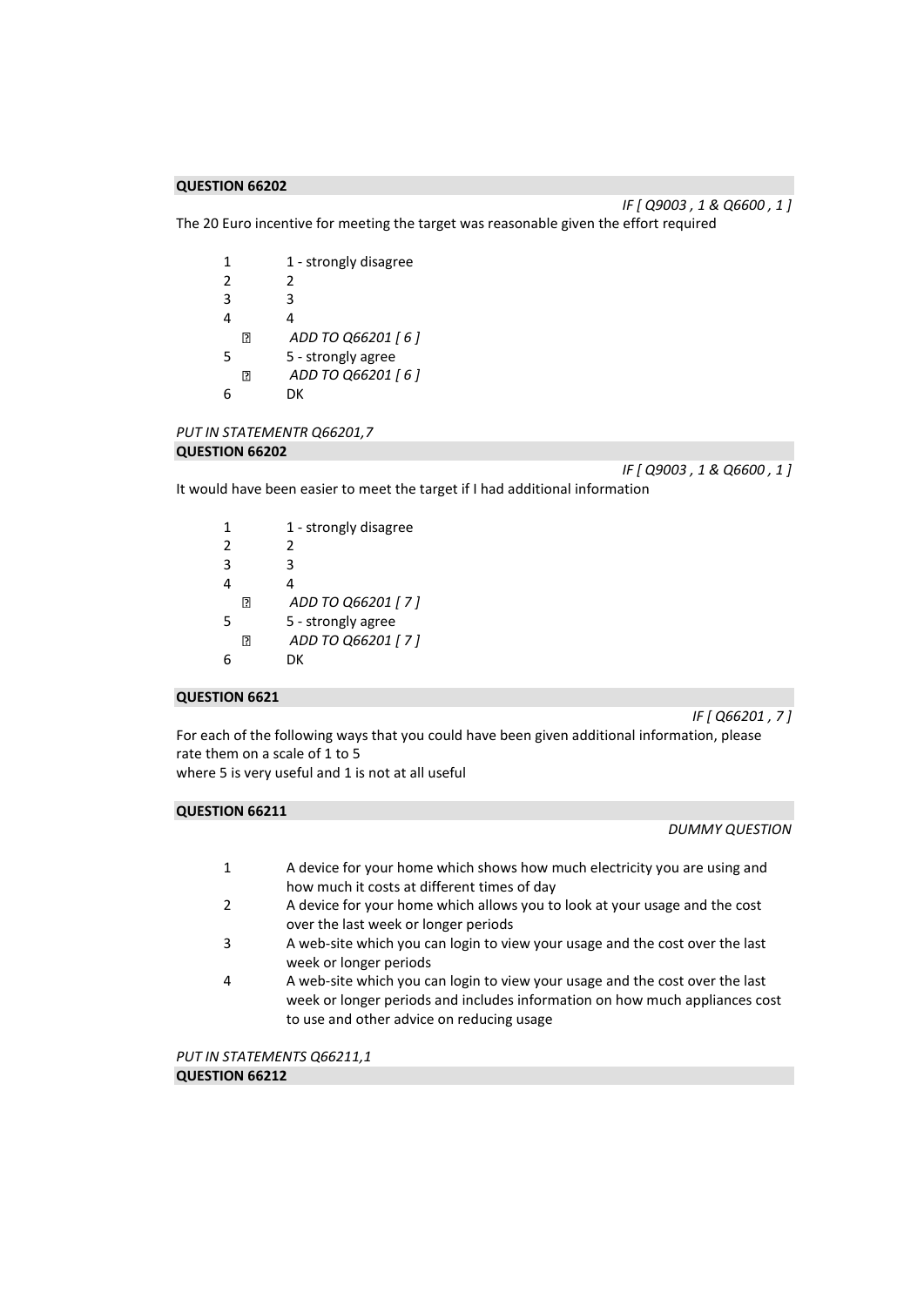*IF [ Q9003 , 1 & Q6600 , 1 ]* 

The 20 Euro incentive for meeting the target was reasonable given the effort required

1 1 - strongly disagree 2 2 3 3 4 4  $\hbox{\bf \large{[}}\hbox{\bf \large{[}}\hbox{\bf \large{[}}\hbox{\bf \large{[}}\hbox{\bf \large{[}}\hbox{\bf \large{[}}\hbox{\bf \large{[}}\hbox{\bf \large{[}}\hbox{\bf \large{[}}\hbox{\bf \large{[}}\hbox{\bf \large{[}}\hbox{\bf \large{[}}\hbox{\bf \large{[}}\hbox{\bf \large{[}}\hbox{\bf \large{[}}\hbox{\bf \large{[}}\hbox{\bf \large{[}}\hbox{\bf \large{[}}\hbox{\bf \large{[}}\hbox{\bf \large{[}}\hbox{\bf \large{[}}\hbox{\bf \large{[}}$ *ADD TO Q66201 [ 6 ]*  5 5 - strongly agree  $\Box$ *ADD TO Q66201 [ 6 ]*  6 DK

*PUT IN STATEMENTR Q66201,7*  **QUESTION 66202** 

*IF [ Q9003 , 1 & Q6600 , 1 ]* 

It would have been easier to meet the target if I had additional information

| 1              |     | 1 - strongly disagree |
|----------------|-----|-----------------------|
| $\mathfrak{p}$ |     | 2                     |
| 3              |     | ੨                     |
| 4              |     | 4                     |
|                | R   | ADD TO Q66201 [7]     |
| 5              |     | 5 - strongly agree    |
|                | 131 | ADD TO Q66201 [7]     |
|                |     | DΚ                    |

# **QUESTION 6621**

*IF [ Q66201 , 7 ]* 

For each of the following ways that you could have been given additional information, please rate them on a scale of 1 to 5

where 5 is very useful and 1 is not at all useful

# **QUESTION 66211**

*DUMMY QUESTION* 

- 1 A device for your home which shows how much electricity you are using and how much it costs at different times of day
- 2 A device for your home which allows you to look at your usage and the cost over the last week or longer periods
- 3 A web-site which you can login to view your usage and the cost over the last week or longer periods
- 4 A web-site which you can login to view your usage and the cost over the last week or longer periods and includes information on how much appliances cost to use and other advice on reducing usage

*PUT IN STATEMENTS Q66211,1*  **QUESTION 66212**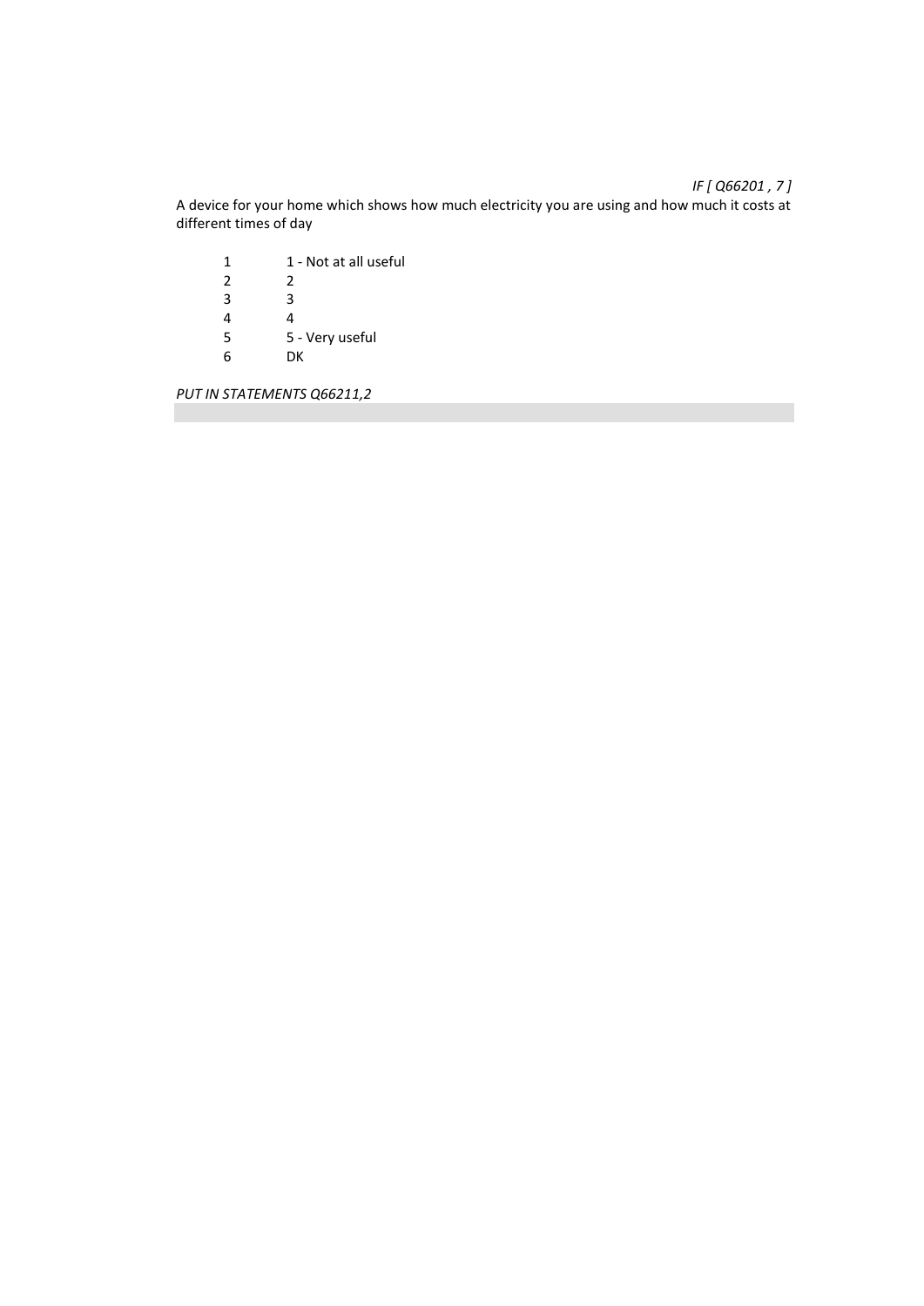A device for your home which shows how much electricity you are using and how much it costs at different times of day

1 1 - Not at all useful<br>2 2  $\begin{array}{ccc} 2 & \quad & 2 \\ 3 & \quad & 3 \end{array}$  $\begin{array}{ccc} 3 & & 3 \\ 4 & & 4 \end{array}$  $\frac{4}{5}$ 5 5 - Very useful 6 DK

*PUT IN STATEMENTS Q66211,2* 

# *IF [ Q66201 , 7 ]*